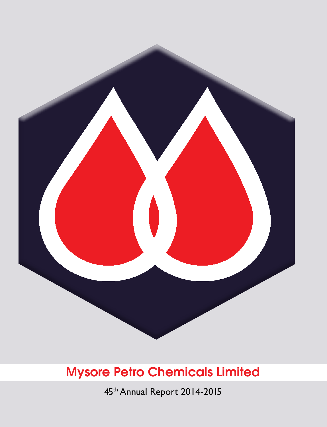

45th Annual Report 2014-2015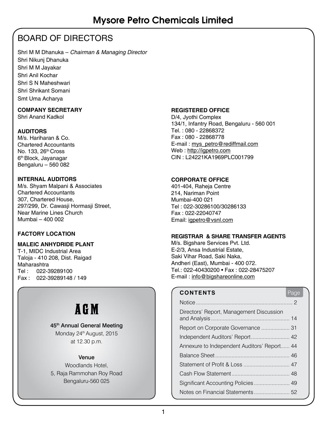# BOARD OF DIRECTORS

Shri M M Dhanuka – *Chairman & Managing Director* Shri Nikunj Dhanuka Shri M M Jayakar Shri Anil Kochar Shri S N Maheshwari Shri Shrikant Somani Smt Uma Acharya

#### **COMPANY SECRETARY**

Shri Anand Kadkol

#### **AUDITORS**

M/s. Hariharan & Co. Chartered Accountants No. 133, 26th Cross 6th Block, Jayanagar Bengaluru – 560 082

#### **INTERNAL AUDITORS**

M/s. Shyam Malpani & Associates Chartered Accountants 307, Chartered House, 297/299, Dr. Cawasji Hormasji Street, Near Marine Lines Church Mumbai – 400 002

#### **FACTORY LOCATION**

#### **MALEIC ANHYDRIDE PLANT**

T-1, MIDC Industrial Area Taloja - 410 208, Dist. Raigad Maharashtra Tel : 022-39289100 Fax : 022-39289148 / 149

# AGM

#### 45<sup>th</sup> Annual General Meeting

Monday 24<sup>th</sup> August, 2015 at 12.30 p.m.

#### Venue

Woodlands Hotel, 5, Raja Rammohan Roy Road Bengaluru-560 025

#### **REGISTERED OFFICE**

D/4, Jyothi Complex 134/1, Infantry Road, Bengaluru - 560 001 Tel. : 080 - 22868372 Fax : 080 - 22868778 E-mail : mys\_petro@rediffmail.com Web : http://igpetro.com CIN : L24221KA1969PLC001799

#### **CORPORATE OFFICE**

401-404, Raheja Centre 214, Nariman Point Mumbai-400 021 Tel : 022-30286100/30286133 Fax : 022-22040747 Email: igpetro@vsnl.com

#### **REGISTRAR & SHARE TRANSFER AGENTS**

M/s. Bigshare Services Pvt. Ltd. E-2/3, Ansa Industrial Estate, Saki Vihar Road, Saki Naka, Andheri (East), Mumbai - 400 072. Tel.: 022-40430200 • Fax : 022-28475207 E-mail : info@bigshareonline.com

### **CONTENTS** Page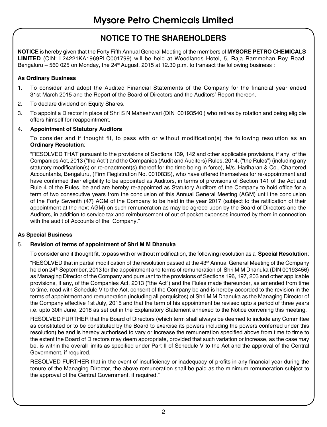# **NOTICE TO THE SHAREHOLDERS**

**NOTICE** is hereby given that the Forty Fifth Annual General Meeting of the members of **MYSORE PETRO CHEMICALS LIMITED** (CIN: L24221KA1969PLC001799) will be held at Woodlands Hotel, 5, Raja Rammohan Roy Road, Bengaluru – 560 025 on Monday, the  $24<sup>th</sup>$  August, 2015 at 12.30 p.m. to transact the following business :

#### **As Ordinary Business**

- 1. To consider and adopt the Audited Financial Statements of the Company for the financial year ended 31st March 2015 and the Report of the Board of Directors and the Auditors' Report thereon.
- 2. To declare dividend on Equity Shares.
- 3. To appoint a Director in place of Shri S N Maheshwari (DIN 00193540 ) who retires by rotation and being eligible offers himself for reappointment.

#### 4. **Appointment of Statutory Auditors**

To consider and if thought fit, to pass with or without modification(s) the following resolution as an **Ordinary Resolution**:

"RESOLVED THAT pursuant to the provisions of Sections 139, 142 and other applicable provisions, if any, of the Companies Act, 2013 ("the Act") and the Companies (Audit and Auditors) Rules, 2014, ("the Rules") (including any statutory modification(s) or re-enactment(s) thereof for the time being in force), M/s. Hariharan & Co., Chartered Accountants, Bengaluru, (Firm Registration No. 001083S), who have offered themselves for re-appointment and have confirmed their eligibility to be appointed as Auditors, in terms of provisions of Section 141 of the Act and Rule 4 of the Rules, be and are hereby re-appointed as Statutory Auditors of the Company to hold office for a term of two consecutive years from the conclusion of this Annual General Meeting (AGM) until the conclusion of the Forty Seventh (47) AGM of the Company to be held in the year 2017 (subject to the ratification of their appointment at the next AGM) on such remuneration as may be agreed upon by the Board of Directors and the Auditors, in addition to service tax and reimbursement of out of pocket expenses incurred by them in connection with the audit of Accounts of the Company."

#### **As Special Business**

#### 5. **Revision of terms of appointment of Shri M M Dhanuka**

To consider and if thought fit, to pass with or without modification, the following resolution as a **Special Resolution**:

"RESOLVED that in partial modification of the resolution passed at the 43<sup>rd</sup> Annual General Meeting of the Company held on 24<sup>th</sup> September, 2013 for the appointment and terms of remuneration of Shri M M Dhanuka (DIN 00193456) as Managing Director of the Company and pursuant to the provisions of Sections 196, 197, 203 and other applicable provisions, if any, of the Companies Act, 2013 ("the Act") and the Rules made thereunder, as amended from time to time, read with Schedule V to the Act, consent of the Company be and is hereby accorded to the revision in the terms of appointment and remuneration (including all perquisites) of Shri M M Dhanuka as the Managing Director of the Company effective 1st July, 2015 and that the term of his appointment be revised upto a period of three years i.e. upto 30th June, 2018 as set out in the Explanatory Statement annexed to the Notice convening this meeting.

RESOLVED FURTHER that the Board of Directors (which term shall always be deemed to include any Committee as constituted or to be constituted by the Board to exercise its powers including the powers conferred under this resolution) be and is hereby authorised to vary or increase the remuneration specified above from time to time to the extent the Board of Directors may deem appropriate, provided that such variation or increase, as the case may be, is within the overall limits as specified under Part II of Schedule V to the Act and the approval of the Central Government, if required.

RESOLVED FURTHER that in the event of insufficiency or inadequacy of profits in any financial year during the tenure of the Managing Director, the above remuneration shall be paid as the minimum remuneration subject to the approval of the Central Government, if required."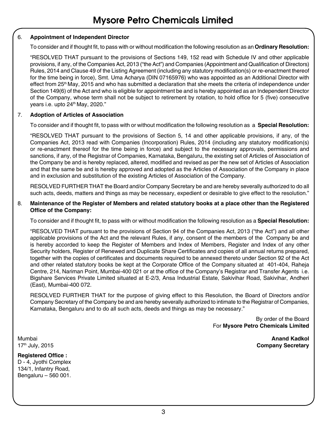#### 6. **Appointment of Independent Director**

To consider and if thought fit, to pass with or without modification the following resolution as an **Ordinary Resolution:**

"RESOLVED THAT pursuant to the provisions of Sections 149, 152 read with Schedule IV and other applicable provisions, if any, of the Companies Act, 2013 ("the Act") and Companies (Appointment and Qualification of Directors) Rules, 2014 and Clause 49 of the Listing Agreement (including any statutory modification(s) or re-enactment thereof for the time being in force), Smt. Uma Acharya (DIN 07165976) who was appointed as an Additional Director with effect from 25<sup>th</sup> May, 2015 and who has submitted a declaration that she meets the criteria of independence under Section 149(6) of the Act and who is eligible for appointment be and is hereby appointed as an Independent Director of the Company, whose term shall not be subject to retirement by rotation, to hold office for 5 (five) consecutive years i.e. upto 24<sup>th</sup> May, 2020."

#### 7. **Adoption of Articles of Association**

To consider and if thought fit, to pass with or without modification the following resolution as a **Special Resolution:**

"RESOLVED THAT pursuant to the provisions of Section 5, 14 and other applicable provisions, if any, of the Companies Act, 2013 read with Companies (Incorporation) Rules, 2014 (including any statutory modification(s) or re-enactment thereof for the time being in force) and subject to the necessary approvals, permissions and sanctions, if any, of the Registrar of Companies, Karnataka, Bengaluru, the existing set of Articles of Association of the Company be and is hereby replaced, altered, modified and revised as per the new set of Articles of Association and that the same be and is hereby approved and adopted as the Articles of Association of the Company in place and in exclusion and substitution of the existing Articles of Association of the Company.

RESOLVED FURTHER THAT the Board and/or Company Secretary be and are hereby severally authorized to do all such acts, deeds, matters and things as may be necessary, expedient or desirable to give effect to the resolution."

#### 8. **Maintenance of the Register of Members and related statutory books at a place other than the Registered Office of the Company:**

To consider and if thought fit, to pass with or without modification the following resolution as a **Special Resolution:**

"RESOLVED THAT pursuant to the provisions of Section 94 of the Companies Act, 2013 ("the Act") and all other applicable provisions of the Act and the relevant Rules, if any, consent of the members of the Company be and is hereby accorded to keep the Register of Members and Index of Members, Register and Index of any other Security holders, Register of Renewed and Duplicate Share Certificates and copies of all annual returns prepared, together with the copies of certificates and documents required to be annexed thereto under Section 92 of the Act and other related statutory books be kept at the Corporate Office of the Company situated at 401-404, Raheja Centre, 214, Nariman Point, Mumbai-400 021 or at the office of the Company's Registrar and Transfer Agents i.e. Bigshare Services Private Limited situated at E-2/3, Ansa Industrial Estate, Sakivihar Road, Sakivihar, Andheri (East), Mumbai-400 072.

RESOLVED FURTHER THAT for the purpose of giving effect to this Resolution, the Board of Directors and/or Company Secretary of the Company be and are hereby severally authorized to intimate to the Registrar of Companies, Karnataka, Bengaluru and to do all such acts, deeds and things as may be necessary."

> By order of the Board For **Mysore Petro Chemicals Limited**

**Registered Office :** D - 4, Jyothi Complex

134/1, Infantry Road, Bengaluru – 560 001.

Mumbai **Anand Kadkol** 17th July, 2015 **Company Secretary**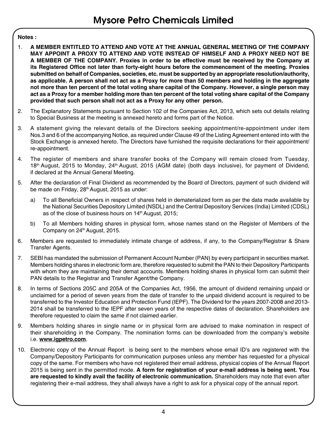#### **Notes :**

- 1. **A MEMBER ENTITLED TO ATTEND AND VOTE AT THE ANNUAL GENERAL MEETING OF THE COMPANY MAY APPOINT A PROXY TO ATTEND AND VOTE INSTEAD OF HIMSELF AND A PROXY NEED NOT BE A MEMBER OF THE COMPANY. Proxies in order to be effective must be received by the Company at its Registered Office not later than forty-eight hours before the commencement of the meeting. Proxies submitted on behalf of Companies, societies, etc. must be supported by an appropriate resolution/authority, as applicable. A person shall not act as a Proxy for more than 50 members and holding in the aggregate not more than ten percent of the total voting share capital of the Company. However, a single person may act as a Proxy for a member holding more than ten percent of the total voting share capital of the Company provided that such person shall not act as a Proxy for any other person.**
- 2. The Explanatory Statements pursuant to Section 102 of the Companies Act, 2013, which sets out details relating to Special Business at the meeting is annexed hereto and forms part of the Notice.
- 3. A statement giving the relevant details of the Directors seeking appointment/re-appointment under item Nos.3 and 6 of the accompanying Notice, as required under Clause 49 of the Listing Agreement entered into with the Stock Exchange is annexed hereto. The Directors have furnished the requisite declarations for their appointment/ re-appointment.
- 4. The register of members and share transfer books of the Company will remain closed from Tuesday, 18<sup>th</sup> August, 2015 to Monday, 24<sup>th</sup> August, 2015 (AGM date) (both days inclusive), for payment of Dividend, if declared at the Annual General Meeting.
- 5. After the declaration of Final Dividend as recommended by the Board of Directors, payment of such dividend will be made on Friday, 28<sup>th</sup> August, 2015 as under:
	- a) To all Beneficial Owners in respect of shares held in dematerialized form as per the data made available by the National Securities Depository Limited (NSDL) and the Central Depository Services (India) Limited (CDSL) as of the close of business hours on 14<sup>th</sup> August, 2015;
	- b) To all Members holding shares in physical form, whose names stand on the Register of Members of the Company on 24<sup>th</sup> August, 2015.
- 6. Members are requested to immediately intimate change of address, if any, to the Company/Registrar & Share Transfer Agents.
- 7. SEBI has mandated the submission of Permanent Account Number (PAN) by every participant in securities market. Members holding shares in electronic form are, therefore requested to submit the PAN to their Depository Participants with whom they are maintaining their demat accounts. Members holding shares in physical form can submit their PAN details to the Registrar and Transfer Agent/the Company.
- 8. In terms of Sections 205C and 205A of the Companies Act, 1956, the amount of dividend remaining unpaid or unclaimed for a period of seven years from the date of transfer to the unpaid dividend account is required to be transferred to the Investor Education and Protection Fund (IEPF). The Dividend for the years 2007-2008 and 2013- 2014 shall be transferred to the IEPF after seven years of the respective dates of declaration. Shareholders are therefore requested to claim the same if not claimed earlier.
- 9. Members holding shares in single name or in physical form are advised to make nomination in respect of their shareholding in the Company. The nomination forms can be downloaded from the company's website i.e. **www.igpetro.com**.
- 10. Electronic copy of the Annual Report is being sent to the members whose email ID's are registered with the Company/Depository Participants for communication purposes unless any member has requested for a physical copy of the same. For members who have not registered their email address, physical copies of the Annual Report 2015 is being sent in the permitted mode. **A form for registration of your e-mail address is being sent. You are requested to kindly avail the facility of electronic communication.** Shareholders may note that even after registering their e-mail address, they shall always have a right to ask for a physical copy of the annual report.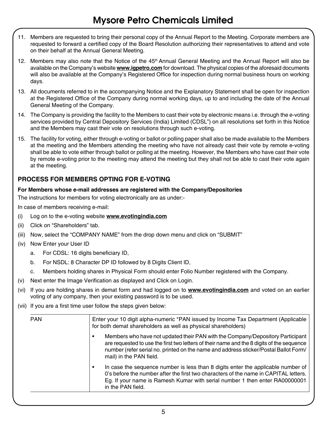- 11. Members are requested to bring their personal copy of the Annual Report to the Meeting. Corporate members are requested to forward a certified copy of the Board Resolution authorizing their representatives to attend and vote on their behalf at the Annual General Meeting.
- 12. Members may also note that the Notice of the 45<sup>th</sup> Annual General Meeting and the Annual Report will also be available on the Company's website **www.igpetro.com** for download. The physical copies of the aforesaid documents will also be available at the Company's Registered Office for inspection during normal business hours on working days.
- 13. All documents referred to in the accompanying Notice and the Explanatory Statement shall be open for inspection at the Registered Office of the Company during normal working days, up to and including the date of the Annual General Meeting of the Company.
- 14. The Company is providing the facility to the Members to cast their vote by electronic means i.e. through the e-voting services provided by Central Depository Services (India) Limited (CDSL") on all resolutions set forth in this Notice and the Members may cast their vote on resolutions through such e-voting.
- 15. The facility for voting, either through e-voting or ballot or polling paper shall also be made available to the Members at the meeting and the Members attending the meeting who have not already cast their vote by remote e-voting shall be able to vote either through ballot or polling at the meeting. However, the Members who have cast their vote by remote e-voting prior to the meeting may attend the meeting but they shall not be able to cast their vote again at the meeting.

# **PROCESS FOR MEMBERS OPTING FOR E-VOTING**

#### **For Members whose e-mail addresses are registered with the Company/Depositories**

The instructions for members for voting electronically are as under:-

In case of members receiving e-mail:

- (i) Log on to the e-voting website **www.evotingindia.com**
- (ii) Click on "Shareholders" tab.
- (iii) Now, select the "COMPANY NAME" from the drop down menu and click on "SUBMIT"
- (iv) Now Enter your User ID
	- a. For CDSL: 16 digits beneficiary ID,
	- b. For NSDL: 8 Character DP ID followed by 8 Digits Client ID,
	- c. Members holding shares in Physical Form should enter Folio Number registered with the Company.
- (v) Next enter the Image Verification as displayed and Click on Login.
- (vi) If you are holding shares in demat form and had logged on to **www.evotingindia.com** and voted on an earlier voting of any company, then your existing password is to be used.
- (vii) If you are a first time user follow the steps given below:

| <b>PAN</b> | Enter your 10 digit alpha-numeric *PAN issued by Income Tax Department (Applicable<br>for both demat shareholders as well as physical shareholders)                                                                                                                                            |
|------------|------------------------------------------------------------------------------------------------------------------------------------------------------------------------------------------------------------------------------------------------------------------------------------------------|
|            | Members who have not updated their PAN with the Company/Depository Participant<br>are requested to use the first two letters of their name and the 8 digits of the sequence<br>number (refer serial no. printed on the name and address sticker/Postal Ballot Form/<br>mail) in the PAN field. |
|            | In case the sequence number is less than 8 digits enter the applicable number of<br>0's before the number after the first two characters of the name in CAPITAL letters.<br>Eq. If your name is Ramesh Kumar with serial number 1 then enter RA00000001<br>in the PAN field.                   |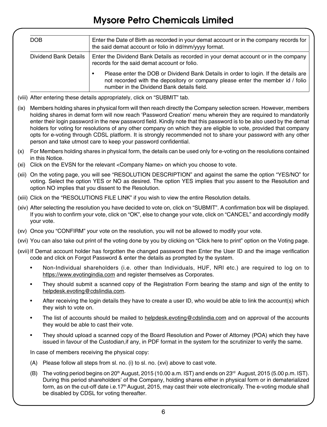|      | <b>DOB</b>                                   | Enter the Date of Birth as recorded in your demat account or in the company records for<br>the said demat account or folio in dd/mm/yyyy format.                                                                                                                                                                                                                                                                                                                                                                                                                                                                                                                  |
|------|----------------------------------------------|-------------------------------------------------------------------------------------------------------------------------------------------------------------------------------------------------------------------------------------------------------------------------------------------------------------------------------------------------------------------------------------------------------------------------------------------------------------------------------------------------------------------------------------------------------------------------------------------------------------------------------------------------------------------|
|      | Dividend Bank Details                        | Enter the Dividend Bank Details as recorded in your demat account or in the company<br>records for the said demat account or folio.                                                                                                                                                                                                                                                                                                                                                                                                                                                                                                                               |
|      |                                              | Please enter the DOB or Dividend Bank Details in order to login. If the details are<br>$\bullet$<br>not recorded with the depository or company please enter the member id / folio<br>number in the Dividend Bank details field.                                                                                                                                                                                                                                                                                                                                                                                                                                  |
|      |                                              | (viii) After entering these details appropriately, click on "SUBMIT" tab.                                                                                                                                                                                                                                                                                                                                                                                                                                                                                                                                                                                         |
| (ix) |                                              | Members holding shares in physical form will then reach directly the Company selection screen. However, members<br>holding shares in demat form will now reach 'Password Creation' menu wherein they are required to mandatorily<br>enter their login password in the new password field. Kindly note that this password is to be also used by the demat<br>holders for voting for resolutions of any other company on which they are eligible to vote, provided that company<br>opts for e-voting through CDSL platform. It is strongly recommended not to share your password with any other<br>person and take utmost care to keep your password confidential. |
|      |                                              | (x) For Members holding shares in physical form, the details can be used only for e-voting on the resolutions contained                                                                                                                                                                                                                                                                                                                                                                                                                                                                                                                                           |
|      | in this Notice.                              | (xi) Click on the EVSN for the relevant <company name=""> on which you choose to vote.</company>                                                                                                                                                                                                                                                                                                                                                                                                                                                                                                                                                                  |
|      |                                              | (xii) On the voting page, you will see "RESOLUTION DESCRIPTION" and against the same the option "YES/NO" for<br>voting. Select the option YES or NO as desired. The option YES implies that you assent to the Resolution and<br>option NO implies that you dissent to the Resolution.                                                                                                                                                                                                                                                                                                                                                                             |
|      |                                              | (xiii) Click on the "RESOLUTIONS FILE LINK" if you wish to view the entire Resolution details.                                                                                                                                                                                                                                                                                                                                                                                                                                                                                                                                                                    |
|      | your vote.                                   | (xiv) After selecting the resolution you have decided to vote on, click on "SUBMIT". A confirmation box will be displayed.<br>If you wish to confirm your vote, click on "OK", else to change your vote, click on "CANCEL" and accordingly modify                                                                                                                                                                                                                                                                                                                                                                                                                 |
|      |                                              | (xv) Once you "CONFIRM" your vote on the resolution, you will not be allowed to modify your vote.                                                                                                                                                                                                                                                                                                                                                                                                                                                                                                                                                                 |
|      |                                              | (xvi) You can also take out print of the voting done by you by clicking on "Click here to print" option on the Voting page.                                                                                                                                                                                                                                                                                                                                                                                                                                                                                                                                       |
|      |                                              | (xvii) If Demat account holder has forgotten the changed password then Enter the User ID and the image verification<br>code and click on Forgot Password & enter the details as prompted by the system.                                                                                                                                                                                                                                                                                                                                                                                                                                                           |
|      | $\bullet$                                    | Non-Individual shareholders (i.e. other than Individuals, HUF, NRI etc.) are required to log on to<br>https://www.evotingindia.com and register themselves as Corporates.                                                                                                                                                                                                                                                                                                                                                                                                                                                                                         |
|      | $\bullet$<br>helpdesk.evoting@cdslindia.com. | They should submit a scanned copy of the Registration Form bearing the stamp and sign of the entity to                                                                                                                                                                                                                                                                                                                                                                                                                                                                                                                                                            |
|      | ٠<br>they wish to vote on.                   | After receiving the login details they have to create a user ID, who would be able to link the account(s) which                                                                                                                                                                                                                                                                                                                                                                                                                                                                                                                                                   |
|      | they would be able to cast their vote.       | The list of accounts should be mailed to helpdesk.evoting@cdslindia.com and on approval of the accounts                                                                                                                                                                                                                                                                                                                                                                                                                                                                                                                                                           |
|      | ٠                                            | They should upload a scanned copy of the Board Resolution and Power of Attorney (POA) which they have<br>issued in favour of the Custodian, if any, in PDF format in the system for the scrutinizer to verify the same.                                                                                                                                                                                                                                                                                                                                                                                                                                           |
|      |                                              | In case of members receiving the physical copy:                                                                                                                                                                                                                                                                                                                                                                                                                                                                                                                                                                                                                   |
|      | (A)                                          | Please follow all steps from sl. no. (i) to sl. no. (xvi) above to cast vote.                                                                                                                                                                                                                                                                                                                                                                                                                                                                                                                                                                                     |
|      | (B)                                          | The voting period begins on 20 <sup>th</sup> August, 2015 (10.00 a.m. IST) and ends on $23^{rd}$ August, 2015 (5.00 p.m. IST).<br>During this period shareholders' of the Company, holding shares either in physical form or in dematerialized                                                                                                                                                                                                                                                                                                                                                                                                                    |

be disabled by CDSL for voting thereafter.

form, as on the cut-off date i.e.17<sup>th</sup> August, 2015, may cast their vote electronically. The e-voting module shall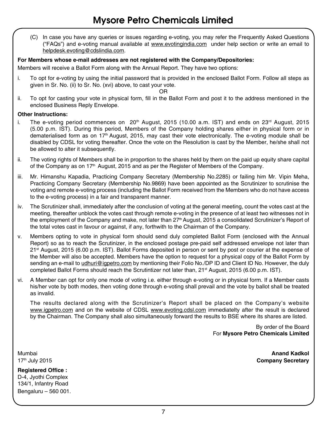(C) In case you have any queries or issues regarding e-voting, you may refer the Frequently Asked Questions ("FAQs") and e-voting manual available at www.evotingindia.com under help section or write an email to helpdesk.evoting@cdslindia.com.

#### **For Members whose e-mail addresses are not registered with the Company/Depositories:**

Members will receive a Ballot Form along with the Annual Report. They have two options:

i. To opt for e-voting by using the initial password that is provided in the enclosed Ballot Form. Follow all steps as given in Sr. No. (ii) to Sr. No. (xvi) above, to cast your vote.

OR

ii. To opt for casting your vote in physical form, fill in the Ballot Form and post it to the address mentioned in the enclosed Business Reply Envelope.

#### **Other Instructions:**

- i. The e-voting period commences on  $20<sup>th</sup>$  August, 2015 (10.00 a.m. IST) and ends on 23<sup>rd</sup> August, 2015 (5.00 p.m. IST). During this period, Members of the Company holding shares either in physical form or in dematerialised form as on 17<sup>th</sup> August, 2015, may cast their vote electronically. The e-voting module shall be disabled by CDSL for voting thereafter. Once the vote on the Resolution is cast by the Member, he/she shall not be allowed to alter it subsequently.
- ii. The voting rights of Members shall be in proportion to the shares held by them on the paid up equity share capital of the Company as on  $17<sup>th</sup>$  August, 2015 and as per the Register of Members of the Company.
- iii. Mr. Himanshu Kapadia, Practicing Company Secretary (Membership No.2285) or failing him Mr. Vipin Meha, Practicing Company Secretary (Membership No.9869) have been appointed as the Scrutinizer to scrutinise the voting and remote e-voting process (including the Ballot Form received from the Members who do not have access to the e-voting process) in a fair and transparent manner.
- iv. The Scrutinizer shall, immediately after the conclusion of voting at the general meeting, count the votes cast at the meeting, thereafter unblock the votes cast through remote e-voting in the presence of at least two witnesses not in the employment of the Company and make, not later than 27<sup>th</sup> August, 2015 a consolidated Scrutinizer's Report of the total votes cast in favour or against, if any, forthwith to the Chairman of the Company.
- v. Members opting to vote in physical form should send duly completed Ballot Form (enclosed with the Annual Report) so as to reach the Scrutinizer, in the enclosed postage pre-paid self addressed envelope not later than 21<sup>st</sup> August, 2015 (6.00 p.m. IST). Ballot Forms deposited in person or sent by post or courier at the expense of the Member will also be accepted. Members have the option to request for a physical copy of the Ballot Form by sending an e-mail to udhuri@igpetro.com by mentioning their Folio No./DP ID and Client ID No. However, the duly completed Ballot Forms should reach the Scrutintizer not later than, 21<sup>st</sup> August, 2015 (6.00 p.m. IST).
- vi. A Member can opt for only one mode of voting i.e. either through e-voting or in physical form. If a Member casts his/her vote by both modes, then voting done through e-voting shall prevail and the vote by ballot shall be treated as invalid.

The results declared along with the Scrutinizer's Report shall be placed on the Company's website www.igpetro.com and on the website of CDSL www.evoting.cdsl.com immediatelty after the result is declared by the Chairman. The Company shall also simultaneously forward the results to BSE where its shares are listed.

> By order of the Board For **Mysore Petro Chemicals Limited**

**Registered Office :** D-4, Jyothi Complex 134/1, Infantry Road Bengaluru – 560 001.

Mumbai **Anand Kadkol** 17th July 2015 **Company Secretary**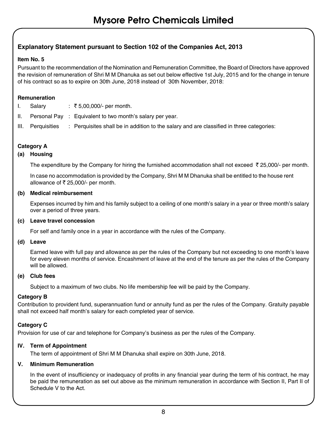### **Explanatory Statement pursuant to Section 102 of the Companies Act, 2013**

#### **Item No. 5**

Pursuant to the recommendation of the Nomination and Remuneration Committee, the Board of Directors have approved the revision of remuneration of Shri M M Dhanuka as set out below effective 1st July, 2015 and for the change in tenure of his contract so as to expire on 30th June, 2018 instead of 30th November, 2018:

#### **Remuneration**

- I. Salary : ₹5,00,000/- per month.
- II. Personal Pay : Equivalent to two month's salary per year.
- III. Perquisities : Perquisites shall be in addition to the salary and are classified in three categories:

#### **Category A**

#### **(a) Housing**

The expenditure by the Company for hiring the furnished accommodation shall not exceed  $\bar{\tau}$  25,000/- per month.

 In case no accommodation is provided by the Company, Shri M M Dhanuka shall be entitled to the house rent allowance of  $\bar{\tau}$  25,000/- per month.

#### **(b) Medical reimbursement**

 Expenses incurred by him and his family subject to a ceiling of one month's salary in a year or three month's salary over a period of three years.

### **(c) Leave travel concession**

For self and family once in a year in accordance with the rules of the Company.

#### **(d) Leave**

 Earned leave with full pay and allowance as per the rules of the Company but not exceeding to one month's leave for every eleven months of service. Encashment of leave at the end of the tenure as per the rules of the Company will be allowed.

#### **(e) Club fees**

Subject to a maximum of two clubs. No life membership fee will be paid by the Company.

#### **Category B**

Contribution to provident fund, superannuation fund or annuity fund as per the rules of the Company. Gratuity payable shall not exceed half month's salary for each completed year of service.

#### **Category C**

Provision for use of car and telephone for Company's business as per the rules of the Company.

#### **IV. Term of Appointment**

The term of appointment of Shri M M Dhanuka shall expire on 30th June, 2018.

#### **V. Minimum Remuneration**

In the event of insufficiency or inadequacy of profits in any financial year during the term of his contract, he may be paid the remuneration as set out above as the minimum remuneration in accordance with Section II, Part II of Schedule V to the Act.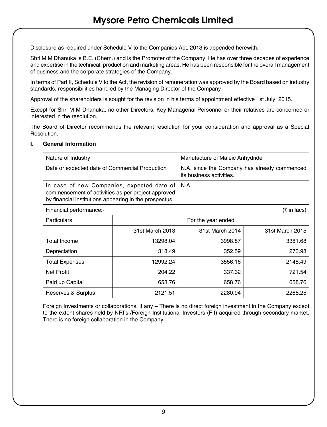Disclosure as required under Schedule V to the Companies Act, 2013 is appended herewith.

Shri M M Dhanuka is B.E. (Chem.) and is the Promoter of the Company. He has over three decades of experience and expertise in the technical, production and marketing areas. He has been responsible for the overall management of business and the corporate strategies of the Company.

In terms of Part II, Schedule V to the Act, the revision of remuneration was approved by the Board based on industry standards, responsibilities handled by the Managing Director of the Company

Approval of the shareholders is sought for the revision in his terms of appointment effective 1st July, 2015.

Except for Shri M M Dhanuka, no other Directors, Key Managerial Personnel or their relatives are concerned or interested in the resolution.

The Board of Director recommends the relevant resolution for your consideration and approval as a Special Resolution.

| Nature of Industry                                                                                                                                        |                                | Manufacture of Maleic Anhydride                                          |                 |  |
|-----------------------------------------------------------------------------------------------------------------------------------------------------------|--------------------------------|--------------------------------------------------------------------------|-----------------|--|
| Date or expected date of Commercial Production                                                                                                            |                                | N.A. since the Company has already commenced<br>its business activities. |                 |  |
| In case of new Companies, expected date of<br>commencement of activities as per project approved<br>by financial institutions appearing in the prospectus |                                | N.A.                                                                     |                 |  |
| Financial performance:-                                                                                                                                   |                                |                                                                          | (₹ in lacs)     |  |
| Particulars                                                                                                                                               |                                | For the year ended                                                       |                 |  |
|                                                                                                                                                           | 31st March 2013                | 31st March 2014                                                          | 31st March 2015 |  |
| Total Income                                                                                                                                              | 13298.04                       | 3998.87                                                                  | 3381.68         |  |
| Depreciation                                                                                                                                              | 318.49<br>352.59<br>273.98     |                                                                          |                 |  |
| <b>Total Expenses</b>                                                                                                                                     | 12992.24<br>3556.16<br>2148.49 |                                                                          |                 |  |
| Net Profit                                                                                                                                                | 204.22                         | 337.32<br>721.54                                                         |                 |  |
| Paid up Capital                                                                                                                                           | 658.76                         | 658.76                                                                   | 658.76          |  |
| Reserves & Surplus                                                                                                                                        | 2121.51                        | 2280.94                                                                  | 2268.25         |  |

#### **I. General Information**

 Foreign Investments or collaborations, if any – There is no direct foreign investment in the Company except to the extent shares held by NRI's /Foreign Institutional Investors (FII) acquired through secondary market. There is no foreign collaboration in the Company.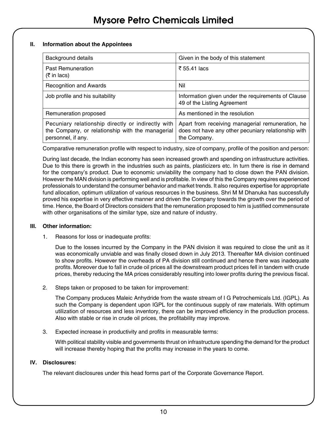#### **II. Information about the Appointees**

| Background details                                                                                                           | Given in the body of this statement                                                                                     |
|------------------------------------------------------------------------------------------------------------------------------|-------------------------------------------------------------------------------------------------------------------------|
| Past Remuneration<br>(₹ in lacs)                                                                                             | ₹ 55.41 lacs                                                                                                            |
| <b>Recognition and Awards</b>                                                                                                | Nil                                                                                                                     |
| Job profile and his suitability                                                                                              | Information given under the requirements of Clause<br>49 of the Listing Agreement                                       |
| Remuneration proposed                                                                                                        | As mentioned in the resolution                                                                                          |
| Pecuniary relationship directly or indirectly with<br>the Company, or relationship with the managerial<br>personnel, if any. | Apart from receiving managerial remuneration, he<br>does not have any other pecuniary relationship with<br>the Company. |

Comparative remuneration profile with respect to industry, size of company, profile of the position and person:

 During last decade, the Indian economy has seen increased growth and spending on infrastructure activities. Due to this there is growth in the industries such as paints, plasticizers etc. In turn there is rise in demand for the company's product. Due to economic unviability the company had to close down the PAN division. However the MAN division is performing well and is profitable. In view of this the Company requires experienced professionals to understand the consumer behavior and market trends. It also requires expertise for appropriate fund allocation, optimum utilization of various resources in the business. Shri M M Dhanuka has successfully proved his expertise in very effective manner and driven the Company towards the growth over the period of time. Hence, the Board of Directors considers that the remuneration proposed to him is justified commensurate with other organisations of the similar type, size and nature of industry.

#### **III. Other information:**

1. Reasons for loss or inadequate profits:

 Due to the losses incurred by the Company in the PAN division it was required to close the unit as it was economically unviable and was finally closed down in July 2013. Thereafter MA division continued to show profits. However the overheads of PA division still continued and hence there was inadequate profits. Moreover due to fall in crude oil prices all the downstream product prices fell in tandem with crude prices, thereby reducing the MA prices considerably resulting into lower profits during the previous fiscal.

2. Steps taken or proposed to be taken for improvement:

 The Company produces Maleic Anhydride from the waste stream of I G Petrochemicals Ltd. (IGPL). As such the Company is dependent upon IGPL for the continuous supply of raw materials. With optimum utilization of resources and less inventory, there can be improved efficiency in the production process. Also with stable or rise in crude oil prices, the profitability may improve.

3. Expected increase in productivity and profits in measurable terms:

 With political stability visible and governments thrust on infrastructure spending the demand for the product will increase thereby hoping that the profits may increase in the years to come.

#### **IV. Disclosures:**

The relevant disclosures under this head forms part of the Corporate Governance Report.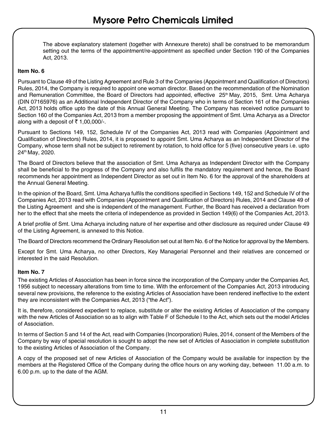The above explanatory statement (together with Annexure thereto) shall be construed to be memorandum setting out the terms of the appointment/re-appointment as specified under Section 190 of the Companies Act, 2013.

#### **Item No. 6**

Pursuant to Clause 49 of the Listing Agreement and Rule 3 of the Companies (Appointment and Qualification of Directors) Rules, 2014, the Company is required to appoint one woman director. Based on the recommendation of the Nomination and Remuneration Committee, the Board of Directors had appointed, effective 25<sup>th</sup> May, 2015, Smt. Uma Acharya (DIN 07165976) as an Additional Independent Director of the Company who in terms of Section 161 of the Companies Act, 2013 holds office upto the date of this Annual General Meeting. The Company has received notice pursuant to Section 160 of the Companies Act, 2013 from a member proposing the appointment of Smt. Uma Acharya as a Director along with a deposit of  $\overline{5}$  1,00,000/-.

Pursuant to Sections 149, 152, Schedule IV of the Companies Act, 2013 read with Companies (Appointment and Qualification of Directors) Rules, 2014, it is proposed to appoint Smt. Uma Acharya as an Independent Director of the Company, whose term shall not be subject to retirement by rotation, to hold office for 5 (five) consecutive years i.e. upto 24th May, 2020.

The Board of Directors believe that the association of Smt. Uma Acharya as Independent Director with the Company shall be beneficial to the progress of the Company and also fulfils the mandatory requirement and hence, the Board recommends her appointment as Independent Director as set out in Item No. 6 for the approval of the shareholders at the Annual General Meeting.

In the opinion of the Board, Smt. Uma Acharya fulfils the conditions specified in Sections 149, 152 and Schedule IV of the Companies Act, 2013 read with Companies (Appointment and Qualification of Directors) Rules, 2014 and Clause 49 of the Listing Agreement and she is independent of the management. Further, the Board has received a declaration from her to the effect that she meets the criteria of independence as provided in Section 149(6) of the Companies Act, 2013.

A brief profile of Smt. Uma Acharya including nature of her expertise and other disclosure as required under Clause 49 of the Listing Agreement, is annexed to this Notice.

The Board of Directors recommend the Ordinary Resolution set out at Item No. 6 of the Notice for approval by the Members.

Except for Smt. Uma Acharya, no other Directors, Key Managerial Personnel and their relatives are concerned or interested in the said Resolution.

#### **Item No. 7**

The existing Articles of Association has been in force since the incorporation of the Company under the Companies Act, 1956 subject to necessary alterations from time to time. With the enforcement of the Companies Act, 2013 introducing several new provisions, the reference to the existing Articles of Association have been rendered ineffective to the extent they are inconsistent with the Companies Act, 2013 ("the Act").

It is, therefore, considered expedient to replace, substitute or alter the existing Articles of Association of the company with the new Articles of Association so as to align with Table F of Schedule I to the Act, which sets out the model Articles of Association.

In terms of Section 5 and 14 of the Act, read with Companies (Incorporation) Rules, 2014, consent of the Members of the Company by way of special resolution is sought to adopt the new set of Articles of Association in complete substitution to the existing Articles of Association of the Company.

A copy of the proposed set of new Articles of Association of the Company would be available for inspection by the members at the Registered Office of the Company during the office hours on any working day, between 11.00 a.m. to 6.00 p.m. up to the date of the AGM.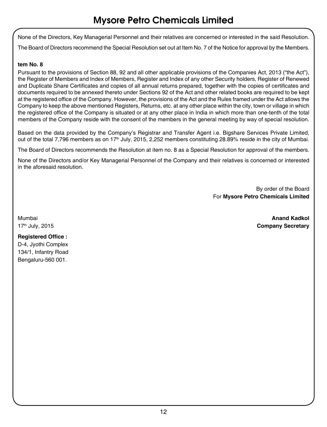None of the Directors, Key Managerial Personnel and their relatives are concerned or interested in the said Resolution.

The Board of Directors recommend the Special Resolution set out at Item No. 7 of the Notice for approval by the Members.

#### **tem No. 8**

Pursuant to the provisions of Section 88, 92 and all other applicable provisions of the Companies Act, 2013 ("the Act"), the Register of Members and Index of Members, Register and Index of any other Security holders, Register of Renewed and Duplicate Share Certificates and copies of all annual returns prepared, together with the copies of certificates and documents required to be annexed thereto under Sections 92 of the Act and other related books are required to be kept at the registered office of the Company. However, the provisions of the Act and the Rules framed under the Act allows the Company to keep the above mentioned Registers, Returns, etc. at any other place within the city, town or village in which the registered office of the Company is situated or at any other place in India in which more than one-tenth of the total members of the Company reside with the consent of the members in the general meeting by way of special resolution.

Based on the data provided by the Company's Registrar and Transfer Agent i.e. Bigshare Services Private Limited, out of the total 7,796 members as on 17<sup>th</sup> July, 2015, 2,252 members constituting 28.89% reside in the city of Mumbai.

The Board of Directors recommends the Resolution at item no. 8 as a Special Resolution for approval of the members.

None of the Directors and/or Key Managerial Personnel of the Company and their relatives is concerned or interested in the aforesaid resolution.

> By order of the Board For **Mysore Petro Chemicals Limited**

Mumbai **Anand Kadkol** 17th July, 2015 **Company Secretary**

**Registered Office :** D-4, Jyothi Complex 134/1, Infantry Road Bengaluru-560 001.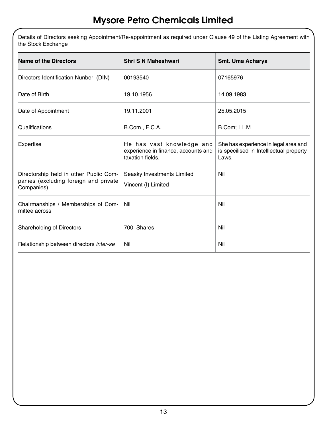Details of Directors seeking Appointment/Re-appointment as required under Clause 49 of the Listing Agreement with the Stock Exchange

| Name of the Directors                                                                         | <b>Shri S N Maheshwari</b>                                                           | Smt. Uma Acharya                                                                         |
|-----------------------------------------------------------------------------------------------|--------------------------------------------------------------------------------------|------------------------------------------------------------------------------------------|
| Directors Identification Nunber (DIN)                                                         | 00193540                                                                             | 07165976                                                                                 |
| Date of Birth                                                                                 | 19.10.1956                                                                           | 14.09.1983                                                                               |
| Date of Appointment                                                                           | 19.11.2001                                                                           | 25.05.2015                                                                               |
| Qualifications                                                                                | B.Com., F.C.A.                                                                       | B.Com; LL.M                                                                              |
| Expertise                                                                                     | He has vast knowledge and<br>experience in finance, accounts and<br>taxation fields. | She has experience in legal area and<br>is specilised in Intelllectual property<br>Laws. |
| Directorship held in other Public Com-<br>panies (excluding foreign and private<br>Companies) | Seasky Investments Limited<br>Vincent (I) Limited                                    | Nil                                                                                      |
| Chairmanships / Memberships of Com-<br>mittee across                                          | Nil                                                                                  | Nil                                                                                      |
| Shareholding of Directors                                                                     | 700 Shares                                                                           | Nil                                                                                      |
| Relationship between directors inter-se                                                       | Nil                                                                                  | Nil                                                                                      |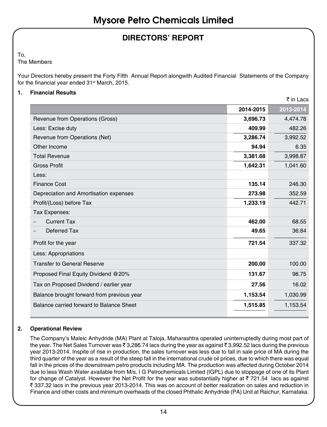# **DIRECTORS' REPORT**

To,

The Members

Your Directors hereby present the Forty Fifth Annual Report alongwith Audited Financial Statements of the Company for the financial year ended 31<sup>st</sup> March, 2015.

#### **1. Financial Results**

|                                            |           | ₹ in Lacs |
|--------------------------------------------|-----------|-----------|
|                                            | 2014-2015 | 2013-2014 |
| Revenue from Operations (Gross)            | 3,696.73  | 4,474.78  |
| Less: Excise duty                          | 409.99    | 482.26    |
| Revenue from Operations (Net)              | 3,286.74  | 3,992.52  |
| Other Income                               | 94.94     | 6.35      |
| <b>Total Revenue</b>                       | 3,381.68  | 3,998.87  |
| <b>Gross Profit</b>                        | 1,642.31  | 1,041.60  |
| Less:                                      |           |           |
| <b>Finance Cost</b>                        | 135.14    | 246.30    |
| Depreciation and Amortisation expenses     | 273.98    | 352.59    |
| Profit/(Loss) before Tax                   | 1,233.19  | 442.71    |
| Tax Expenses:                              |           |           |
| <b>Current Tax</b>                         | 462.00    | 68.55     |
| Deferred Tax                               | 49.65     | 36.84     |
| Profit for the year                        | 721.54    | 337.32    |
| Less: Appropriations                       |           |           |
| <b>Transfer to General Reserve</b>         | 200.00    | 100.00    |
| Proposed Final Equity Dividend @20%        | 131.67    | 98.75     |
| Tax on Proposed Dividend / earlier year    | 27.56     | 16.02     |
| Balance brought forward from previous year | 1,153.54  | 1,030.99  |
| Balance carried forward to Balance Sheet   | 1,515.85  | 1,153.54  |
|                                            |           |           |

#### **2. Operational Review**

The Company's Maleic Anhydride (MA) Plant at Taloja, Maharashtra operated uninterruptedly during most part of the year. The Net Sales Turnover was  $\bar{z}$  3,286.74 lacs during the year as against  $\bar{z}$  3,992.52 lacs during the previous year 2013-2014. Inspite of rise in production, the sales turnover was less due to fall in sale price of MA during the third quarter of the year as a result of the steep fall in the international crude oil prices, due to which there was equal fall in the prices of the downstream petro products including MA. The production was affected during October 2014 due to less Wash Water available from M/s. I G Petrochemicals Limited (IGPL) due to stoppage of one of its Plant for change of Catalyst. However the Net Profit for the year was substantially higher at  $\bar{\tau}$  721.54 lacs as against ` 337.32 lacs in the previous year 2013-2014. This was on account of better realization on sales and reduction in Finance and other costs and minimum overheads of the closed Phthalic Anhydride (PA) Unit at Raichur, Karnataka.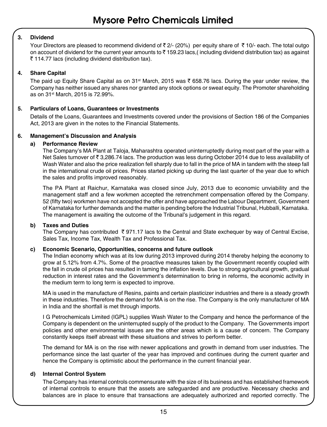#### **3. Dividend**

Your Directors are pleased to recommend dividend of  $\bar{z}$  2/- (20%) per equity share of  $\bar{z}$  10/- each. The total outgo on account of dividend for the current year amounts to  $\bar{\tau}$  159.23 lacs,( including dividend distribution tax) as against  $\bar{\tau}$  114.77 lacs (including dividend distribution tax).

#### **4. Share Capital**

The paid up Equity Share Capital as on 31<sup>st</sup> March, 2015 was  $\bar{\zeta}$  658.76 lacs. During the year under review, the Company has neither issued any shares nor granted any stock options or sweat equity. The Promoter shareholding as on 31st March, 2015 is 72.99%.

#### **5. Particulars of Loans, Guarantees or Investments**

Details of the Loans, Guarantees and Investments covered under the provisions of Section 186 of the Companies Act, 2013 are given in the notes to the Financial Statements.

#### **6. Management's Discussion and Analysis**

#### **a) Performance Review**

The Company's MA Plant at Taloja, Maharashtra operated uninterruptedly during most part of the year with a Net Sales turnover of ₹ 3,286.74 lacs. The production was less during October 2014 due to less availability of Wash Water and also the price realization fell sharply due to fall in the price of MA in tandem with the steep fall in the international crude oil prices. Prices started picking up during the last quarter of the year due to which the sales and profits improved reasonably.

The PA Plant at Raichur, Karnataka was closed since July, 2013 due to economic unviability and the management staff and a few workmen accepted the retrenchment compensation offered by the Company. 52 (fifty two) workmen have not accepted the offer and have approached the Labour Department, Government of Karnataka for further demands and the matter is pending before the Industrial Tribunal, Hubballi, Karnataka. The management is awaiting the outcome of the Tribunal's judgement in this regard.

#### **b) Taxes and Duties**

The Company has contributed  $\bar{\tau}$  971.17 lacs to the Central and State exchequer by way of Central Excise, Sales Tax, Income Tax, Wealth Tax and Professional Tax.

#### **c) Economic Scenario, Opportunities, concerns and future outlook**

The Indian economy which was at its low during 2013 improved during 2014 thereby helping the economy to grow at 5.12% from 4.7%. Some of the proactive measures taken by the Government recently coupled with the fall in crude oil prices has resulted in taming the inflation levels. Due to strong agricultural growth, gradual reduction in interest rates and the Government's determination to bring in reforms, the economic activity in the medium term to long term is expected to improve.

MA is used in the manufacture of Resins, paints and certain plasticizer industries and there is a steady growth in these industries. Therefore the demand for MA is on the rise. The Company is the only manufacturer of MA in India and the shortfall is met through imports.

I G Petrochemicals Limited (IGPL) supplies Wash Water to the Company and hence the performance of the Company is dependent on the uninterrupted supply of the product to the Company. The Governments import policies and other environmental issues are the other areas which is a cause of concern. The Company constantly keeps itself abreast with these situations and strives to perform better.

The demand for MA is on the rise with newer applications and growth in demand from user industries. The performance since the last quarter of the year has improved and continues during the current quarter and hence the Company is optimistic about the performance in the current financial year.

#### **d) Internal Control System**

The Company has internal controls commensurate with the size of its business and has established framework of internal controls to ensure that the assets are safeguarded and are productive. Necessary checks and balances are in place to ensure that transactions are adequately authorized and reported correctly. The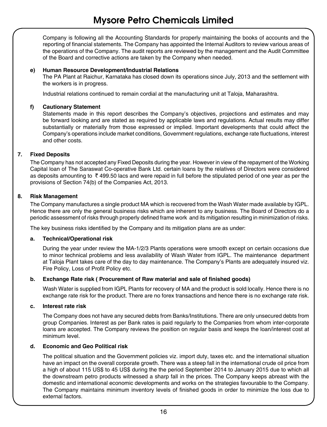Company is following all the Accounting Standards for properly maintaining the books of accounts and the reporting of financial statements. The Company has appointed the Internal Auditors to review various areas of the operations of the Company. The audit reports are reviewed by the management and the Audit Committee of the Board and corrective actions are taken by the Company when needed.

#### **e) Human Resource Development/Industrial Relations**

The PA Plant at Raichur, Karnataka has closed down its operations since July, 2013 and the settlement with the workers is in progress.

Industrial relations continued to remain cordial at the manufacturing unit at Taloja, Maharashtra.

#### **f) Cautionary Statement**

Statements made in this report describes the Company's objectives, projections and estimates and may be forward looking and are stated as required by applicable laws and regulations. Actual results may differ substantially or materially from those expressed or implied. Important developments that could affect the Company's operations include market conditions, Government regulations, exchange rate fluctuations, interest and other costs.

#### **7. Fixed Deposits**

The Company has not accepted any Fixed Deposits during the year. However in view of the repayment of the Working Capital loan of The Saraswat Co-operative Bank Ltd. certain loans by the relatives of Directors were considered as deposits amounting to  $\bar{\tau}$  499.50 lacs and were repaid in full before the stipulated period of one year as per the provisions of Section 74(b) of the Companies Act, 2013.

#### **8. Risk Management**

The Company manufactures a single product MA which is recovered from the Wash Water made available by IGPL. Hence there are only the general business risks which are inherent to any business. The Board of Directors do a periodic assessment of risks through properly defined frame work and its mitigation resulting in minimization of risks.

The key business risks identified by the Company and its mitigation plans are as under:

#### **a. Technical/Operational risk**

During the year under review the MA-1/2/3 Plants operations were smooth except on certain occasions due to minor technical problems and less availability of Wash Water from IGPL. The maintenance department at Taloja Plant takes care of the day to day maintenance. The Company's Plants are adequately insured viz. Fire Policy, Loss of Profit Policy etc.

#### **b. Exchange Rate risk ( Procurement of Raw material and sale of finished goods)**

Wash Water is supplied from IGPL Plants for recovery of MA and the product is sold locally. Hence there is no exchange rate risk for the product. There are no forex transactions and hence there is no exchange rate risk.

#### **c. Interest rate risk**

The Company does not have any secured debts from Banks/Institutions. There are only unsecured debts from group Companies. Interest as per Bank rates is paid regularly to the Companies from whom inter-corporate loans are accepted. The Company reviews the position on regular basis and keeps the loan/interest cost at minimum level.

#### **d. Economic and Geo Political risk**

The political situation and the Government policies viz. import duty, taxes etc. and the international situation have an impact on the overall corporate growth. There was a steep fall in the international crude oil price from a high of about 115 US\$ to 45 US\$ during the the period September 2014 to January 2015 due to which all the downstream petro products witnessed a sharp fall in the prices. The Company keeps abreast with the domestic and international economic developments and works on the strategies favourable to the Company. The Company maintains minimum inventory levels of finished goods in order to minimize the loss due to external factors.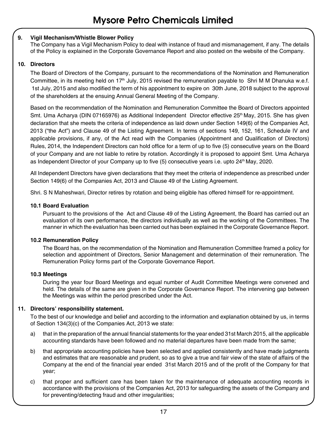#### **9. Vigil Mechanism/Whistle Blower Policy**

The Company has a Vigil Mechanism Policy to deal with instance of fraud and mismanagement, if any. The details of the Policy is explained in the Corporate Governance Report and also posted on the website of the Company.

#### **10. Directors**

The Board of Directors of the Company, pursuant to the recommendations of the Nomination and Remuneration Committee, in its meeting held on 17<sup>th</sup> July, 2015 revised the remuneration payable to Shri M M Dhanuka w.e.f. 1st July, 2015 and also modified the term of his appointment to expire on 30th June, 2018 subject to the approval of the shareholders at the ensuing Annual General Meeting of the Company.

Based on the recommendation of the Nomination and Remuneration Committee the Board of Directors appointed Smt. Uma Acharya (DIN 07165976) as Additional Independent Director effective 25<sup>th</sup> May, 2015. She has given declaration that she meets the criteria of independence as laid down under Section 149(6) of the Companies Act, 2013 ("the Act") and Clause 49 of the Listing Agreement. In terms of sections 149, 152, 161, Schedule IV and applicable provisions, if any, of the Act read with the Companies (Appointment and Qualification of Directors) Rules, 2014, the Independent Directors can hold office for a term of up to five (5) consecutive years on the Board of your Company and are not liable to retire by rotation. Accordingly it is proposed to appoint Smt. Uma Acharya as Independent Director of your Company up to five (5) consecutive years i.e. upto 24<sup>th</sup> May, 2020.

All Independent Directors have given declarations that they meet the criteria of independence as prescribed under Section 149(6) of the Companies Act, 2013 and Clause 49 of the Listing Agreement.

Shri. S N Maheshwari, Director retires by rotation and being eligible has offered himself for re-appointment.

#### **10.1 Board Evaluation**

Pursuant to the provisions of the Act and Clause 49 of the Listing Agreement, the Board has carried out an evaluation of its own performance, the directors individually as well as the working of the Committees. The manner in which the evaluation has been carried out has been explained in the Corporate Governance Report.

#### **10.2 Remuneration Policy**

The Board has, on the recommendation of the Nomination and Remuneration Committee framed a policy for selection and appointment of Directors, Senior Management and determination of their remuneration. The Remuneration Policy forms part of the Corporate Governance Report.

#### **10.3 Meetings**

During the year four Board Meetings and equal number of Audit Committee Meetings were convened and held. The details of the same are given in the Corporate Governance Report. The intervening gap between the Meetings was within the period prescribed under the Act.

#### **11. Directors' responsibility statement.**

To the best of our knowledge and belief and according to the information and explanation obtained by us, in terms of Section 134(3)(c) of the Companies Act, 2013 we state:

- a) that in the preparation of the annual financial statements for the year ended 31st March 2015, all the applicable accounting standards have been followed and no material departures have been made from the same;
- b) that appropriate accounting policies have been selected and applied consistently and have made judgments and estimates that are reasonable and prudent, so as to give a true and fair view of the state of affairs of the Company at the end of the financial year ended 31st March 2015 and of the profit of the Company for that year;
- c) that proper and sufficient care has been taken for the maintenance of adequate accounting records in accordance with the provisions of the Companies Act, 2013 for safeguarding the assets of the Company and for preventing/detecting fraud and other irregularities;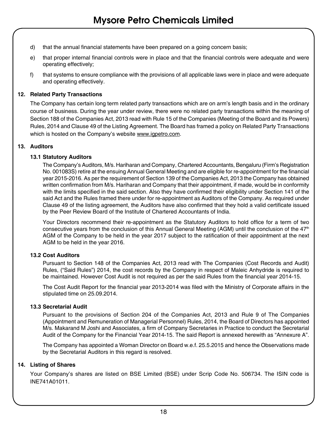- d) that the annual financial statements have been prepared on a going concern basis;
- e) that proper internal financial controls were in place and that the financial controls were adequate and were operating effectively;
- f) that systems to ensure compliance with the provisions of all applicable laws were in place and were adequate and operating effectively.

#### **12. Related Party Transactions**

The Company has certain long term related party transactions which are on arm's length basis and in the ordinary course of business. During the year under review, there were no related party transactions within the meaning of Section 188 of the Companies Act, 2013 read with Rule 15 of the Companies (Meeting of the Board and its Powers) Rules, 2014 and Clause 49 of the Listing Agreement. The Board has framed a policy on Related Party Transactions which is hosted on the Company's website www.igpetro.com.

#### **13. Auditors**

#### **13.1 Statutory Auditors**

The Company's Auditors, M/s. Hariharan and Company, Chartered Accountants, Bengaluru (Firm's Registration No. 001083S) retire at the ensuing Annual General Meeting and are eligible for re-appointment for the financial year 2015-2016. As per the requirement of Section 139 of the Companies Act, 2013 the Company has obtained written confirmation from M/s. Hariharan and Company that their appointment, if made, would be in conformity with the limits specified in the said section. Also they have confirmed their eligibility under Section 141 of the said Act and the Rules framed there under for re-appointment as Auditors of the Company. As required under Clause 49 of the listing agreement, the Auditors have also confirmed that they hold a valid certificate issued by the Peer Review Board of the Institute of Chartered Accountants of India.

Your Directors recommend their re-appointment as the Statutory Auditors to hold office for a term of two consecutive years from the conclusion of this Annual General Meeting (AGM) until the conclusion of the 47<sup>th</sup> AGM of the Company to be held in the year 2017 subject to the ratification of their appointment at the next AGM to be held in the year 2016.

#### **13.2 Cost Auditors**

Pursuant to Section 148 of the Companies Act, 2013 read with The Companies (Cost Records and Audit) Rules, ("Said Rules") 2014, the cost records by the Company in respect of Maleic Anhydride is required to be maintained. However Cost Audit is not required as per the said Rules from the financial year 2014-15.

The Cost Audit Report for the financial year 2013-2014 was filed with the Ministry of Corporate affairs in the stipulated time on 25.09.2014.

#### **13.3 Secretarial Audit**

Pursuant to the provisions of Section 204 of the Companies Act, 2013 and Rule 9 of The Companies (Appointment and Remuneration of Managerial Personnel) Rules, 2014, the Board of Directors has appointed M/s. Makarand M Joshi and Associates, a firm of Company Secretaries in Practice to conduct the Secretarial Audit of the Company for the Financial Year 2014-15. The said Report is annexed herewith as "Annexure A".

The Company has appointed a Woman Director on Board w.e.f. 25.5.2015 and hence the Observations made by the Secretarial Auditors in this regard is resolved.

#### **14. Listing of Shares**

Your Company's shares are listed on BSE Limited (BSE) under Scrip Code No. 506734. The ISIN code is INE741A01011.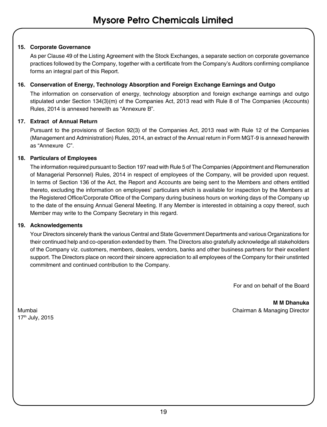#### **15. Corporate Governance**

As per Clause 49 of the Listing Agreement with the Stock Exchanges, a separate section on corporate governance practices followed by the Company, together with a certificate from the Company's Auditors confirming compliance forms an integral part of this Report.

#### **16. Conservation of Energy, Technology Absorption and Foreign Exchange Earnings and Outgo**

The information on conservation of energy, technology absorption and foreign exchange earnings and outgo stipulated under Section 134(3)(m) of the Companies Act, 2013 read with Rule 8 of The Companies (Accounts) Rules, 2014 is annexed herewith as "Annexure B".

#### **17. Extract of Annual Return**

Pursuant to the provisions of Section 92(3) of the Companies Act, 2013 read with Rule 12 of the Companies (Management and Administration) Rules, 2014, an extract of the Annual return in Form MGT-9 is annexed herewith as "Annexure C".

#### **18. Particulars of Employees**

The information required pursuant to Section 197 read with Rule 5 of The Companies (Appointment and Remuneration of Managerial Personnel) Rules, 2014 in respect of employees of the Company, will be provided upon request. In terms of Section 136 of the Act, the Report and Accounts are being sent to the Members and others entitled thereto, excluding the information on employees' particulars which is available for inspection by the Members at the Registered Office/Corporate Office of the Company during business hours on working days of the Company up to the date of the ensuing Annual General Meeting. If any Member is interested in obtaining a copy thereof, such Member may write to the Company Secretary in this regard.

#### **19. Acknowledgements**

Your Directors sincerely thank the various Central and State Government Departments and various Organizations for their continued help and co-operation extended by them. The Directors also gratefully acknowledge all stakeholders of the Company viz. customers, members, dealers, vendors, banks and other business partners for their excellent support. The Directors place on record their sincere appreciation to all employees of the Company for their unstinted commitment and continued contribution to the Company.

For and on behalf of the Board

**M M Dhanuka** Mumbai Chairman & Managing Director

17th July, 2015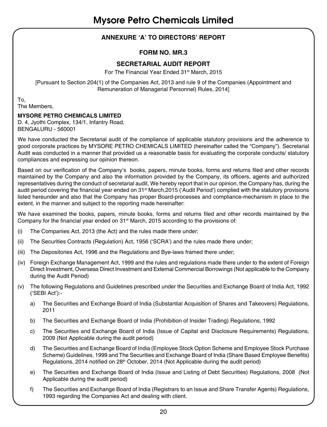# **ANNEXURE 'A' TO DIRECTORS' REPORT**

### **FORM NO. MR.3**

### **SECRETARIAL AUDIT REPORT**

For The Financial Year Ended 31<sup>st</sup> March, 2015

[Pursuant to Section 204(1) of the Companies Act, 2013 and rule 9 of the Companies (Appointment and Remuneration of Managerial Personnel) Rules, 2014]

To, The Members,

#### **MYSORE PETRO CHEMICALS LIMITED**

D. 4, Jyothi Complex, 134/1, Infantry Road, BENGALURU - 560001

We have conducted the Secretarial audit of the compliance of applicable statutory provisions and the adherence to good corporate practices by MYSORE PETRO CHEMICALS LIMITED (hereinafter called the "Company"). Secretarial Audit was conducted in a manner that provided us a reasonable basis for evaluating the corporate conducts/ statutory compliances and expressing our opinion thereon.

Based on our verification of the Company's books, papers, minute books, forms and returns filed and other records maintained by the Company and also the information provided by the Company, its officers, agents and authorized representatives during the conduct of secretarial audit, We hereby report that in our opinion, the Company has, during the audit period covering the financial year ended on 31st March,2015 ('Audit Period') complied with the statutory provisions listed hereunder and also that the Company has proper Board-processes and compliance-mechanism in place to the extent, in the manner and subject to the reporting made hereinafter:

We have examined the books, papers, minute books, forms and returns filed and other records maintained by the Company for the financial year ended on  $31<sup>st</sup>$  March, 2015 according to the provisions of:

- (i) The Companies Act, 2013 (the Act) and the rules made there under;
- (ii) The Securities Contracts (Regulation) Act, 1956 ('SCRA') and the rules made there under;
- (iii) The Depositories Act, 1996 and the Regulations and Bye-laws framed there under;
- (iv) Foreign Exchange Management Act, 1999 and the rules and regulations made there under to the extent of Foreign Direct Investment, Overseas Direct Investment and External Commercial Borrowings (Not applicable to the Company during the Audit Period)
- (v) The following Regulations and Guidelines prescribed under the Securities and Exchange Board of India Act, 1992 ('SEBI Act'):
	- a) The Securities and Exchange Board of India (Substantial Acquisition of Shares and Takeovers) Regulations, 2011
	- b) The Securities and Exchange Board of India (Prohibition of Insider Trading) Regulations, 1992
	- c) The Securities and Exchange Board of India (Issue of Capital and Disclosure Requirements) Regulations, 2009 (Not Applicable during the audit period)
	- d) The Securities and Exchange Board of India (Employee Stock Option Scheme and Employee Stock Purchase Scheme) Guidelines, 1999 and The Securities and Exchange Board of India (Share Based Employee Benefits) Regulations, 2014 notified on 28<sup>th</sup> October, 2014 (Not Applicable during the audit period)
	- e) The Securities and Exchange Board of India (Issue and Listing of Debt Securities) Regulations, 2008 (Not Applicable during the audit period)
	- f) The Securities and Exchange Board of India (Registrars to an Issue and Share Transfer Agents) Regulations, 1993 regarding the Companies Act and dealing with client.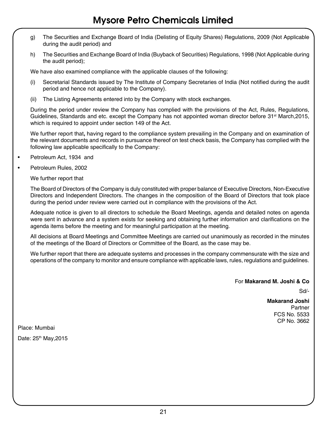- g) The Securities and Exchange Board of India (Delisting of Equity Shares) Regulations, 2009 (Not Applicable during the audit period) and
- h) The Securities and Exchange Board of India (Buyback of Securities) Regulations, 1998 (Not Applicable during the audit period);

We have also examined compliance with the applicable clauses of the following:

- (i) Secretarial Standards issued by The Institute of Company Secretaries of India (Not notified during the audit period and hence not applicable to the Company).
- (ii) The Listing Agreements entered into by the Company with stock exchanges.

 During the period under review the Company has complied with the provisions of the Act, Rules, Regulations, Guidelines, Standards and etc. except the Company has not appointed woman director before 31<sup>st</sup> March, 2015, which is required to appoint under section 149 of the Act.

 We further report that**,** having regard to the compliance system prevailing in the Company and on examination of the relevant documents and records in pursuance thereof on test check basis, the Company has complied with the following law applicable specifically to the Company:

- Petroleum Act, 1934 and
- Petroleum Rules, 2002

We further report that

 The Board of Directors of the Company is duly constituted with proper balance of Executive Directors, Non-Executive Directors and Independent Directors. The changes in the composition of the Board of Directors that took place during the period under review were carried out in compliance with the provisions of the Act.

 Adequate notice is given to all directors to schedule the Board Meetings, agenda and detailed notes on agenda were sent in advance and a system exists for seeking and obtaining further information and clarifications on the agenda items before the meeting and for meaningful participation at the meeting.

 All decisions at Board Meetings and Committee Meetings are carried out unanimously as recorded in the minutes of the meetings of the Board of Directors or Committee of the Board, as the case may be.

 We further report that there are adequate systems and processes in the company commensurate with the size and operations of the company to monitor and ensure compliance with applicable laws, rules, regulations and guidelines.

For **Makarand M. Joshi & Co**

Sd/-

**Makarand Joshi** Partner FCS No. 5533 CP No. 3662

Place: Mumbai

Date: 25<sup>th</sup> May, 2015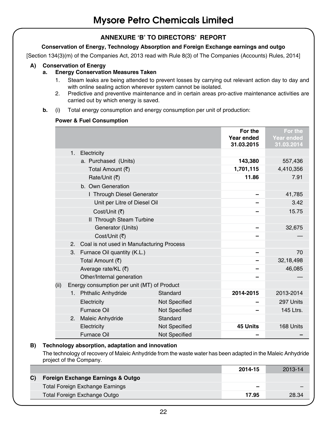### **ANNEXURE 'B' TO DIRECTORS' REPORT**

#### **Conservation of Energy, Technology Absorption and Foreign Exchange earnings and outgo**

[Section 134(3)(m) of the Companies Act, 2013 read with Rule 8(3) of The Companies (Accounts) Rules, 2014]

#### **A) Conservation of Energy**

#### **a. Energy Conservation Measures Taken**

- 1. Steam leaks are being attended to prevent losses by carrying out relevant action day to day and with online sealing action wherever system cannot be isolated.
- 2. Predictive and preventive maintenance and in certain areas pro-active maintenance activities are carried out by which energy is saved.
- **b.** (i) Total energy consumption and energy consumption per unit of production:

#### **Power & Fuel Consumption**

|      |    |                                              |                      | For the<br>Year ended<br>31.03.2015 | For the<br><b>Year ended</b><br>31.03.2014 |
|------|----|----------------------------------------------|----------------------|-------------------------------------|--------------------------------------------|
|      |    | 1. Electricity                               |                      |                                     |                                            |
|      |    | a. Purchased (Units)                         |                      | 143,380                             | 557,436                                    |
|      |    | Total Amount (₹)                             |                      | 1,701,115                           | 4,410,356                                  |
|      |    | Rate/Unit (₹)                                |                      | 11.86                               | 7.91                                       |
|      |    | b. Own Generation                            |                      |                                     |                                            |
|      |    | I Through Diesel Generator                   |                      |                                     | 41,785                                     |
|      |    | Unit per Litre of Diesel Oil                 |                      |                                     | 3.42                                       |
|      |    | Cost/Unit (₹)                                |                      |                                     | 15.75                                      |
|      |    | II Through Steam Turbine                     |                      |                                     |                                            |
|      |    | Generator (Units)                            |                      |                                     | 32,675                                     |
|      |    | Cost/Unit (₹)                                |                      |                                     |                                            |
|      |    | 2. Coal is not used in Manufacturing Process |                      |                                     |                                            |
|      |    | 3. Furnace Oil quantity (K.L.)               |                      |                                     | 70                                         |
|      |    | Total Amount (₹)                             |                      |                                     | 32,18,498                                  |
|      |    | Average rate/KL (₹)                          |                      |                                     | 46,085                                     |
|      |    | Other/Internal generation                    |                      |                                     |                                            |
| (ii) |    | Energy consumption per unit (MT) of Product  |                      |                                     |                                            |
|      |    | 1. Phthalic Anhydride                        | Standard             | 2014-2015                           | 2013-2014                                  |
|      |    | Electricity                                  | <b>Not Specified</b> |                                     | 297 Units                                  |
|      |    | Furnace Oil                                  | <b>Not Specified</b> |                                     | 145 Ltrs.                                  |
|      | 2. | Maleic Anhydride                             | Standard             |                                     |                                            |
|      |    | Electricity                                  | <b>Not Specified</b> | 45 Units                            | 168 Units                                  |
|      |    | Furnace Oil                                  | Not Specified        |                                     |                                            |

#### **B) Technology absorption, adaptation and innovation**

 The technology of recovery of Maleic Anhydride from the waste water has been adapted in the Maleic Anhydride project of the Company.

|                                   | 2014-15 | 2013-14 |
|-----------------------------------|---------|---------|
| Foreign Exchange Earnings & Outgo |         |         |
| Total Foreign Exchange Earnings   |         |         |
| Total Foreign Exchange Outgo      | 17.95   | 28.34   |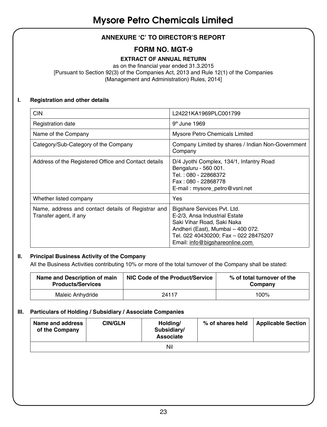# **ANNEXURE 'C' TO DIRECTOR'S REPORT**

# **FORM NO. MGT-9**

### **EXTRACT OF ANNUAL RETURN**

as on the financial year ended 31.3.2015 [Pursuant to Section 92(3) of the Companies Act, 2013 and Rule 12(1) of the Companies (Management and Administration) Rules, 2014]

#### **I. Registration and other details**

| <b>CIN</b>                                                                   | L24221KA1969PLC001799                                                                                                                                                                                      |
|------------------------------------------------------------------------------|------------------------------------------------------------------------------------------------------------------------------------------------------------------------------------------------------------|
| Registration date                                                            | 9 <sup>th</sup> June 1969                                                                                                                                                                                  |
| Name of the Company                                                          | Mysore Petro Chemicals Limited                                                                                                                                                                             |
| Category/Sub-Category of the Company                                         | Company Limited by shares / Indian Non-Government<br>Company                                                                                                                                               |
| Address of the Registered Office and Contact details                         | D/4 Jyothi Complex, 134/1, Infantry Road<br>Bengaluru - 560 001.<br>Tel.: 080 - 22868372<br>Fax: 080 - 22868778<br>E-mail: mysore_petro@vsnl.net                                                           |
| Whether listed company                                                       | Yes                                                                                                                                                                                                        |
| Name, address and contact details of Registrar and<br>Transfer agent, if any | Bigshare Services Pvt. Ltd.<br>E-2/3, Ansa Industrial Estate<br>Saki Vihar Road, Saki Naka<br>Andheri (East), Mumbai - 400 072.<br>Tel. 022 40430200; Fax - 022 28475207<br>Email: info@bigshareonline.com |

#### **II. Principal Business Activity of the Company**

All the Business Activities contributing 10% or more of the total turnover of the Company shall be stated:

| Name and Description of main<br><b>Products/Services</b> | NIC Code of the Product/Service | % of total turnover of the<br>Company |
|----------------------------------------------------------|---------------------------------|---------------------------------------|
| Maleic Anhydride                                         | 24117                           | 100%                                  |

#### **III. Particulars of Holding / Subsidiary / Associate Companies**

| Name and address<br>of the Company | <b>CIN/GLN</b> | Holding/<br>Subsidiary/<br>Associate | % of shares held | <b>Applicable Section</b> |  |  |
|------------------------------------|----------------|--------------------------------------|------------------|---------------------------|--|--|
| Nil                                |                |                                      |                  |                           |  |  |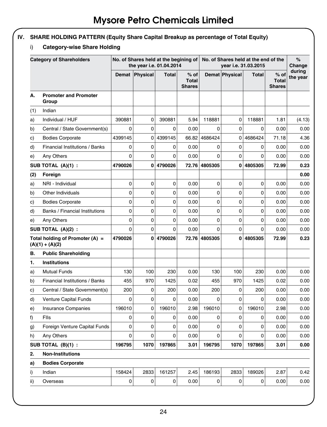# **IV. SHARE HOLDING PATTERN (Equity Share Capital Breakup as percentage of Total Equity)**

# i) **Category-wise Share Holding**

|     | <b>Category of Shareholders</b>                      |             | No. of Shares held at the begining of<br>the year i.e. 01.04.2014 |              |                                         | No. of Shares held at the end of the<br>year i.e. 31.03.2015 |                       |              |                                       | %<br>Change        |
|-----|------------------------------------------------------|-------------|-------------------------------------------------------------------|--------------|-----------------------------------------|--------------------------------------------------------------|-----------------------|--------------|---------------------------------------|--------------------|
|     |                                                      | Demat       | Physical                                                          | <b>Total</b> | $%$ of<br><b>Total</b><br><b>Shares</b> |                                                              | <b>Demat Physical</b> | <b>Total</b> | % of<br><b>Total</b><br><b>Shares</b> | during<br>the year |
| А.  | <b>Promoter and Promoter</b><br>Group                |             |                                                                   |              |                                         |                                                              |                       |              |                                       |                    |
| (1) | Indian                                               |             |                                                                   |              |                                         |                                                              |                       |              |                                       |                    |
| a)  | Individual / HUF                                     | 390881      | 0                                                                 | 390881       | 5.94                                    | 118881                                                       | 0                     | 118881       | 1.81                                  | (4.13)             |
| b)  | Central / State Government(s)                        | $\mathbf 0$ | 0                                                                 | 0            | 0.00                                    | 0                                                            | 0                     | 0            | 0.00                                  | 0.00               |
| c)  | <b>Bodies Corporate</b>                              | 4399145     | 0                                                                 | 4399145      | 66.82                                   | 4686424                                                      | 0                     | 4686424      | 71.18                                 | 4.36               |
| d)  | Financial Institutions / Banks                       | 0           | $\mathbf 0$                                                       | $\Omega$     | 0.00                                    | 0                                                            | $\mathbf 0$           | 0            | 0.00                                  | 0.00               |
| e)  | Any Others                                           | 0           | $\mathbf 0$                                                       | 0            | 0.00                                    | 0                                                            | 0                     | 0            | 0.00                                  | 0.00               |
|     | SUB TOTAL (A)(1) :                                   | 4790026     | 0                                                                 | 4790026      | 72.76                                   | 4805305                                                      | $\mathbf{0}$          | 4805305      | 72.99                                 | 0.23               |
| (2) | Foreign                                              |             |                                                                   |              |                                         |                                                              |                       |              |                                       | 0.00               |
| a)  | NRI - Individual                                     | 0           | $\Omega$                                                          | 0            | 0.00                                    | 0                                                            | 0                     | $\Omega$     | 0.00                                  | 0.00               |
| b)  | Other Individuals                                    | $\mathbf 0$ | $\Omega$                                                          | 0            | 0.00                                    | 0                                                            | 0                     | 0            | 0.00                                  | 0.00               |
| c)  | <b>Bodies Corporate</b>                              | $\mathbf 0$ | 0                                                                 | 0            | 0.00                                    | 0                                                            | 0                     | $\mathbf 0$  | 0.00                                  | 0.00               |
| d)  | Banks / Financial Institutions                       | $\mathbf 0$ | 0                                                                 | 0            | 0.00                                    | 0                                                            | 0                     | $\mathbf 0$  | 0.00                                  | 0.00               |
| e)  | Any Others                                           | 0           | 0                                                                 | 0            | 0.00                                    | 0                                                            | 0                     | 0            | 0.00                                  | 0.00               |
|     | SUB TOTAL (A)(2) :                                   | $\Omega$    | $\Omega$                                                          | $\Omega$     | 0.00                                    | $\Omega$                                                     | $\Omega$              | 0            | 0.00                                  | 0.00               |
|     | Total holding of Promoter (A) =<br>$(A)(1) + (A)(2)$ | 4790026     | 0                                                                 | 4790026      | 72.76                                   | 4805305                                                      | 0                     | 4805305      | 72.99                                 | 0.23               |
| В.  | <b>Public Shareholding</b>                           |             |                                                                   |              |                                         |                                                              |                       |              |                                       |                    |
| 1.  | Institutions                                         |             |                                                                   |              |                                         |                                                              |                       |              |                                       |                    |
| a)  | <b>Mutual Funds</b>                                  | 130         | 100                                                               | 230          | 0.00                                    | 130                                                          | 100                   | 230          | 0.00                                  | 0.00               |
| b)  | Financial Institutions / Banks                       | 455         | 970                                                               | 1425         | 0.02                                    | 455                                                          | 970                   | 1425         | 0.02                                  | 0.00               |
| C)  | Central / State Government(s)                        | 200         | 0                                                                 | 200          | 0.00                                    | 200                                                          | $\Omega$              | 200          | 0.00                                  | 0.00               |
| d)  | Venture Capital Funds                                | 0           | 0                                                                 | 0            | 0.00                                    | 0                                                            | 0                     | $\Omega$     | 0.00                                  | 0.00               |
| e)  | <b>Insurance Companies</b>                           | 196010      | 0                                                                 | 196010       | 2.98                                    | 196010                                                       | 0                     | 196010       | 2.98                                  | 0.00               |
| f)  | Flls                                                 | 0           | 0                                                                 | 0            | 0.00                                    | 0                                                            | 0                     | 0            | 0.00                                  | 0.00               |
| g)  | Foreign Venture Capital Funds                        | 0           | 0                                                                 | 0            | 0.00                                    | 0                                                            | 0                     | 0            | 0.00                                  | 0.00               |
| h)  | Any Others                                           | $\Omega$    | $\Omega$                                                          | $\Omega$     | 0.00                                    | $\Omega$                                                     | $\Omega$              | $\Omega$     | 0.00                                  | 0.00               |
|     | SUB TOTAL (B)(1) :                                   | 196795      | 1070                                                              | 197865       | 3.01                                    | 196795                                                       | 1070                  | 197865       | 3.01                                  | 0.00               |
| 2.  | <b>Non-Institutions</b>                              |             |                                                                   |              |                                         |                                                              |                       |              |                                       |                    |
| a)  | <b>Bodies Corporate</b>                              |             |                                                                   |              |                                         |                                                              |                       |              |                                       |                    |
| i)  | Indian                                               | 158424      | 2833                                                              | 161257       | 2.45                                    | 186193                                                       | 2833                  | 189026       | 2.87                                  | 0.42               |
| ii) | Overseas                                             | 0           | 0                                                                 | $\Omega$     | 0.00                                    | $\overline{0}$                                               | 0                     | 0            | 0.00                                  | 0.00               |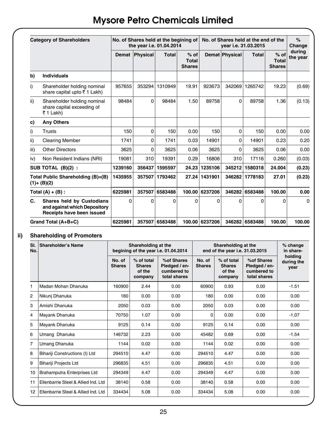|      | <b>Category of Shareholders</b>                                                        |          | No. of Shares held at the begining of<br>the year i.e. 01.04.2014 |          |                                  |                |                | No. of Shares held at the end of the<br>vear i.e. 31.03.2015 |                                         | $\%$<br>Change     |
|------|----------------------------------------------------------------------------------------|----------|-------------------------------------------------------------------|----------|----------------------------------|----------------|----------------|--------------------------------------------------------------|-----------------------------------------|--------------------|
|      |                                                                                        |          | Demat Physical                                                    | Total    | $%$ of<br>Total<br><b>Shares</b> |                | Demat Physical | Total                                                        | $%$ of<br><b>Total</b><br><b>Shares</b> | during<br>the year |
| b)   | Individuals                                                                            |          |                                                                   |          |                                  |                |                |                                                              |                                         |                    |
| i)   | Shareholder holding nominal<br>share capital upto ₹1 Lakh)                             | 957655   | 353294                                                            | 1310949  | 19.91                            | 923673         | 342069         | 1265742                                                      | 19.23                                   | (0.69)             |
| ii)  | Shareholder holding nominal<br>share capital exceeding of<br>₹ 1 Lakh)                 | 98484    | 0                                                                 | 98484    | 1.50                             | 89758          | 0              | 89758                                                        | 1.36                                    | (0.13)             |
| c)   | <b>Any Others</b>                                                                      |          |                                                                   |          |                                  |                |                |                                                              |                                         |                    |
| i)   | Trusts                                                                                 | 150      | $\Omega$                                                          | 150      | 0.00                             | 150            | $\Omega$       | 150                                                          | 0.00                                    | 0.00               |
| ii)  | <b>Clearing Member</b>                                                                 | 1741     | 0                                                                 | 1741     | 0.03                             | 14901          | 0              | 14901                                                        | 0.23                                    | 0.20               |
| iii) | <b>Other Directors</b>                                                                 | 3625     | 0                                                                 | 3625     | 0.06                             | 3625           | 0              | 3625                                                         | 0.06                                    | 0.00               |
| iv)  | Non Resident Indians (NRI)                                                             | 19081    | 310                                                               | 19391    | 0.29                             | 16806          | 310            | 17116                                                        | 0.260                                   | (0.03)             |
|      | SUB TOTAL (B)(2):                                                                      | 1239160  | 356437                                                            | 1595597  | 24.23                            | 1235106        | 345212         | 1580318                                                      | 24.004                                  | (0.23)             |
|      | Total Public Shareholding (B)=(B)<br>$(1)+(B)(2)$                                      | 1435955  | 357507                                                            | 1793462  |                                  | 27.24 1431901  | 346282         | 1778183                                                      | 27.01                                   | (0.23)             |
|      | Total $(A) + (B)$ :                                                                    | 6225981  | 357507                                                            | 6583488  |                                  | 100.00 6237206 | 346282         | 6583488                                                      | 100.00                                  | 0.00               |
| C.   | Shares held by Custodians<br>and against which Depository<br>Receipts have been issued | $\Omega$ | $\Omega$                                                          | $\Omega$ | 0                                | $\Omega$       | $\Omega$       | 0                                                            | $\Omega$                                | $\Omega$           |
|      | Grand Total (A+B+C)                                                                    |          | 357507                                                            | 6583488  | 100.00                           | 6237206        |                | 346282 6583488                                               | 100.00                                  | 100.00             |

### **ii) Shareholding of Promoters**

| SI.<br>No. | Shareholder's Name                   | Shareholding at the<br>begining of the year i.e. 01.04.2014 |                                                  |                                                            |                         | Shareholding at the<br>end of the year i.e. 31.03.2015 |                                                            | % change<br>in share-         |
|------------|--------------------------------------|-------------------------------------------------------------|--------------------------------------------------|------------------------------------------------------------|-------------------------|--------------------------------------------------------|------------------------------------------------------------|-------------------------------|
|            |                                      | No. of<br><b>Shares</b>                                     | % of total<br><b>Shares</b><br>of the<br>company | %of Shares<br>Pledged / en-<br>cumbered to<br>total shares | No. of<br><b>Shares</b> | % of total<br><b>Shares</b><br>of the<br>company       | %of Shares<br>Pledged / en-<br>cumbered to<br>total shares | holding<br>during the<br>year |
| 1          | Madan Mohan Dhanuka                  | 160900                                                      | 2.44                                             | 0.00                                                       | 60900                   | 0.93                                                   | 0.00                                                       | $-1.51$                       |
| 2          | Nikunj Dhanuka                       | 180                                                         | 0.00                                             | 0.00                                                       | 180                     | 0.00                                                   | 0.00                                                       | 0.00                          |
| 3          | Amishi Dhanuka                       | 2050                                                        | 0.03                                             | 0.00                                                       | 2050                    | 0.03                                                   | 0.00                                                       | 0.00                          |
| 4          | Mayank Dhanuka                       | 70750                                                       | 1.07                                             | 0.00                                                       | $\Omega$                | 0.00                                                   | 0.00                                                       | $-1.07$                       |
| 5          | Mayank Dhanuka                       | 9125                                                        | 0.14                                             | 0.00                                                       | 9125                    | 0.14                                                   | 0.00                                                       | 0.00                          |
| 6          | Umang Dhanuka                        | 146732                                                      | 2.23                                             | 0.00                                                       | 45482                   | 0.69                                                   | 0.00                                                       | $-1.54$                       |
| 7          | Umang Dhanuka                        | 1144                                                        | 0.02                                             | 0.00                                                       | 1144                    | 0.02                                                   | 0.00                                                       | 0.00                          |
| 8          | Bihariji Constructions (I) Ltd       | 294510                                                      | 4.47                                             | 0.00                                                       | 294510                  | 4.47                                                   | 0.00                                                       | 0.00                          |
| 9          | Bihariji Projects Ltd                | 296835                                                      | 4.51                                             | 0.00                                                       | 296835                  | 4.51                                                   | 0.00                                                       | 0.00                          |
| 10         | Brahamputra Enterprises Ltd          | 294349                                                      | 4.47                                             | 0.00                                                       | 294349                  | 4.47                                                   | 0.00                                                       | 0.00                          |
| 11         | Ellenbarrie Steel & Allied Ind. Ltd. | 38140                                                       | 0.58                                             | 0.00                                                       | 38140                   | 0.58                                                   | 0.00                                                       | 0.00                          |
| 12         | Ellenbarrie Steel & Allied Ind. Ltd. | 334434                                                      | 5.08                                             | 0.00                                                       | 334434                  | 5.08                                                   | 0.00                                                       | 0.00                          |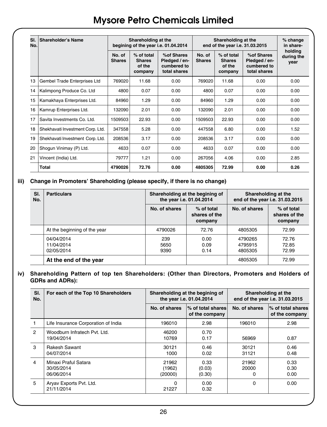| SI.<br>No. | Shareholder's Name               |                         | Shareholding at the                              | begining of the year i.e. 01.04.2014                       |                         | Shareholding at the<br>end of the year i.e. 31.03.2015 |                                                            | % change<br>in share-         |
|------------|----------------------------------|-------------------------|--------------------------------------------------|------------------------------------------------------------|-------------------------|--------------------------------------------------------|------------------------------------------------------------|-------------------------------|
|            |                                  | No. of<br><b>Shares</b> | % of total<br><b>Shares</b><br>of the<br>company | %of Shares<br>Pledged / en-<br>cumbered to<br>total shares | No. of<br><b>Shares</b> | % of total<br><b>Shares</b><br>of the<br>company       | %of Shares<br>Pledged / en-<br>cumbered to<br>total shares | holding<br>during the<br>year |
| 13         | Gembel Trade Enterprises Ltd     | 769020                  | 11.68                                            | 0.00                                                       | 769020                  | 11.68                                                  | 0.00                                                       | 0.00                          |
| 14         | Kalimpong Produce Co. Ltd        | 4800                    | 0.07                                             | 0.00                                                       | 4800                    | 0.07                                                   | 0.00                                                       | 0.00                          |
| 15         | Kamakhaya Enterprises Ltd.       | 84960                   | 1.29                                             | 0.00                                                       | 84960                   | 1.29                                                   | 0.00                                                       | 0.00                          |
| 16         | Kamrup Enterprises Ltd.          | 132090                  | 2.01                                             | 0.00                                                       | 132090                  | 2.01                                                   | 0.00                                                       | 0.00                          |
| 17         | Savita Investments Co. Ltd.      | 1509503                 | 22.93                                            | 0.00                                                       | 1509503                 | 22.93                                                  | 0.00                                                       | 0.00                          |
| 18         | Shekhavati Investment Corp. Ltd. | 347558                  | 5.28                                             | 0.00                                                       | 447558                  | 6.80                                                   | 0.00                                                       | 1.52                          |
| 19         | Shekhavati Investment Corp. Ltd. | 208536                  | 3.17                                             | 0.00                                                       | 208536                  | 3.17                                                   | 0.00                                                       | 0.00                          |
| 20         | Shogun Vinimay (P) Ltd.          | 4633                    | 0.07                                             | 0.00                                                       | 4633                    | 0.07                                                   | 0.00                                                       | 0.00                          |
| 21         | Vincent (India) Ltd.             | 79777                   | 1.21                                             | 0.00                                                       | 267056                  | 4.06                                                   | 0.00                                                       | 2.85                          |
|            | <b>Total</b>                     | 4790026                 | 72.76                                            | 0.00                                                       | 4805305                 | 72.99                                                  | 0.00                                                       | 0.26                          |

#### **iii) Change in Promoters' Shareholding (please specify, if there is no change)**

| SI.<br>No. | <b>Particulars</b>                     | Shareholding at the begining of<br>the year i.e. 01.04.2014 |                                          | Shareholding at the<br>end of the year i.e. 31.03.2015 |                                        |  |
|------------|----------------------------------------|-------------------------------------------------------------|------------------------------------------|--------------------------------------------------------|----------------------------------------|--|
|            |                                        | No. of shares                                               | $%$ of total<br>shares of the<br>company | No. of shares                                          | % of total<br>shares of the<br>company |  |
|            | At the beginning of the year           | 4790026                                                     | 72.76                                    | 4805305                                                | 72.99                                  |  |
|            | 04/04/2014<br>11/04/2014<br>02/05/2014 | 239<br>5650<br>9390                                         | 0.00<br>0.09<br>0.14                     | 4790265<br>4795915<br>4805305                          | 72.76<br>72.85<br>72.99                |  |
|            | At the end of the year                 |                                                             |                                          | 4805305                                                | 72.99                                  |  |

#### **iv) Shareholding Pattern of top ten Shareholders: (Other than Directors, Promoters and Holders of GDRs and ADRs):**

| SI.<br>No.     | For each of the Top 10 Shareholders              |                            | Shareholding at the begining of<br>the year i.e. 01.04.2014 | Shareholding at the<br>end of the year i.e. 31.03.2015 |                                     |  |
|----------------|--------------------------------------------------|----------------------------|-------------------------------------------------------------|--------------------------------------------------------|-------------------------------------|--|
|                |                                                  | No. of shares              | % of total shares<br>of the company                         | No. of shares                                          | % of total shares<br>of the company |  |
|                | Life Insurance Corporation of India              | 196010                     | 2.98                                                        | 196010                                                 | 2.98                                |  |
| $\mathfrak{p}$ | Woodburn Infratech Pyt. Ltd.<br>19/04/2014       | 46200<br>10769             | 0.70<br>0.17                                                | 56969                                                  | 0.87                                |  |
| 3              | <b>Rakesh Sawant</b><br>04/07/2014               | 30121<br>1000              | 0.46<br>0.02                                                | 30121<br>31121                                         | 0.46<br>0.48                        |  |
| 4              | Minaxi Praful Satara<br>30/05/2014<br>06/06/2014 | 21962<br>(1962)<br>(20000) | 0.33<br>(0.03)<br>(0.30)                                    | 21962<br>20000<br>0                                    | 0.33<br>0.30<br>0.00                |  |
| 5              | Aryav Exports Pvt. Ltd.<br>21/11/2014            | $\Omega$<br>21227          | 0.00<br>0.32                                                | 0                                                      | 0.00                                |  |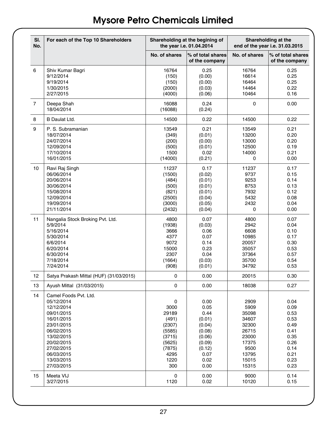| SI.<br>No.     | For each of the Top 10 Shareholders     |                  | Shareholding at the begining of<br>the year i.e. 01.04.2014 |               | Shareholding at the<br>end of the year i.e. 31.03.2015 |
|----------------|-----------------------------------------|------------------|-------------------------------------------------------------|---------------|--------------------------------------------------------|
|                |                                         | No. of shares    | % of total shares<br>of the company                         | No. of shares | % of total shares<br>of the company                    |
| 6              | Shiv Kumar Bagri                        | 16764            | 0.25                                                        | 16764         | 0.25                                                   |
|                | 9/12/2014                               | (150)            | (0.00)                                                      | 16614         | 0.25                                                   |
|                | 9/19/2014                               | (150)            | (0.00)                                                      | 16464         | 0.25                                                   |
|                | 1/30/2015                               | (2000)           | (0.03)                                                      | 14464         | 0.22                                                   |
|                | 2/27/2015                               | (4000)           | (0.06)                                                      | 10464         | 0.16                                                   |
| $\overline{7}$ | Deepa Shah<br>18/04/2014                | 16088<br>(16088) | 0.24<br>(0.24)                                              | $\Omega$      | 0.00                                                   |
| 8              | <b>B</b> Daulat Ltd.                    | 14500            | 0.22                                                        | 14500         | 0.22                                                   |
| 9              | P. S. Subramanian                       | 13549            | 0.21                                                        | 13549         | 0.21                                                   |
|                | 18/07/2014                              | (349)            | (0.01)                                                      | 13200         | 0.20                                                   |
|                | 24/07/2014                              | (200)            | (0.00)                                                      | 13000         | 0.20                                                   |
|                | 12/09/2014                              | (500)            | (0.01)                                                      | 12500         | 0.19                                                   |
|                | 17/10/2014                              | 1500             | 0.02                                                        | 14000         | 0.21                                                   |
|                | 16/01/2015                              | (14000)          | (0.21)                                                      | 0             | 0.00                                                   |
| 10             | Ravi Raj Singh                          | 11237            | 0.17                                                        | 11237         | 0.17                                                   |
|                | 06/06/2014                              | (1500)           | (0.02)                                                      | 9737          | 0.15                                                   |
|                | 20/06/2014                              | (484)            | (0.01)                                                      | 9253          | 0.14                                                   |
|                | 30/06/2014                              | (500)            | (0.01)                                                      | 8753          | 0.13                                                   |
|                | 15/08/2014<br>12/09/2014                | (821)            | (0.01)                                                      | 7932<br>5432  | 0.12<br>0.08                                           |
|                | 19/09/2014                              | (2500)<br>(3000) | (0.04)<br>(0.05)                                            | 2432          | 0.04                                                   |
|                | 21/11/2014                              | (2432)           | (0.04)                                                      | 0             | 0.00                                                   |
| 11             | Nangalia Stock Broking Pvt. Ltd.        | 4800             | 0.07                                                        | 4800          | 0.07                                                   |
|                | 5/9/2014                                | (1938)           | (0.03)                                                      | 2942          | 0.04                                                   |
|                | 5/16/2014                               | 3666             | 0.06                                                        | 6608          | 0.10                                                   |
|                | 5/30/2014                               | 4377             | 0.07                                                        | 10985         | 0.17                                                   |
|                | 6/6/2014                                | 9072             | 0.14                                                        | 20057         | 0.30                                                   |
|                | 6/20/2014                               | 15000            | 0.23                                                        | 35057         | 0.53                                                   |
|                | 6/30/2014                               | 2307             | 0.04                                                        | 37364         | 0.57                                                   |
|                | 7/18/2014                               | (1664)           | (0.03)                                                      | 35700         | 0.54                                                   |
|                | 7/24/2014                               | (908)            | (0.01)                                                      | 34792         | 0.53                                                   |
| 12             | Satya Prakash Mittal (HUF) (31/03/2015) | $\Omega$         | 0.00                                                        | 20015         | 0.30                                                   |
| 13             | Ayush Mittal (31/03/2015)               | $\Omega$         | 0.00                                                        | 18038         | 0.27                                                   |
| 14             | Camel Foods Pvt. Ltd.                   |                  |                                                             |               |                                                        |
|                | 05/12/2014                              | 0                | 0.00                                                        | 2909          | 0.04                                                   |
|                | 12/12/2014                              | 3000<br>29189    | 0.05<br>0.44                                                | 5909<br>35098 | 0.09<br>0.53                                           |
|                | 09/01/2015<br>16/01/2015                | (491)            | (0.01)                                                      | 34607         | 0.53                                                   |
|                | 23/01/2015                              | (2307)           | (0.04)                                                      | 32300         | 0.49                                                   |
|                | 06/02/2015                              | (5585)           | (0.08)                                                      | 26715         | 0.41                                                   |
|                | 13/02/2015                              | (3715)           | (0.06)                                                      | 23000         | 0.35                                                   |
|                | 20/02/2015                              | (5625)           | (0.09)                                                      | 17375         | 0.26                                                   |
|                | 27/02/2015                              | (7875)           | (0.12)                                                      | 9500          | 0.14                                                   |
|                | 06/03/2015                              | 4295             | 0.07                                                        | 13795         | 0.21                                                   |
|                | 13/03/2015                              | 1220             | 0.02                                                        | 15015         | 0.23                                                   |
|                | 27/03/2015                              | 300              | 0.00                                                        | 15315         | 0.23                                                   |
| 15             | Meeta VIJ                               | 0                | 0.00                                                        | 9000          | 0.14                                                   |
|                | 3/27/2015                               | 1120             | 0.02                                                        | 10120         | 0.15                                                   |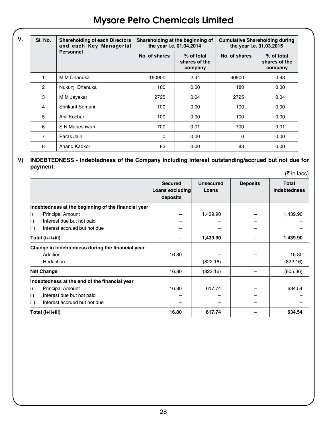| V. | SI. No. | <b>Shareholding of each Directors</b><br>and each Key Managerial | Shareholding at the beginning of<br>the year i.e. 01.04.2014 |                                        | <b>Cumulative Shareholding during</b><br>the year i.e. 31.03.2015 |                                        |  |
|----|---------|------------------------------------------------------------------|--------------------------------------------------------------|----------------------------------------|-------------------------------------------------------------------|----------------------------------------|--|
|    |         | Personnel                                                        | No. of shares                                                | % of total<br>shares of the<br>company | No. of shares                                                     | % of total<br>shares of the<br>company |  |
|    |         | M M Dhanuka                                                      | 160900                                                       | 2.44                                   | 60900                                                             | 0.93                                   |  |
|    | 2       | Nukunj Dhanuka                                                   | 180                                                          | 0.00                                   | 180                                                               | 0.00                                   |  |
|    | 3       | M M Jayakar                                                      | 2725                                                         | 0.04                                   | 2725                                                              | 0.04                                   |  |
|    | 4       | Shrikant Somani                                                  | 100                                                          | 0.00                                   | 100                                                               | 0.00                                   |  |
|    | 5       | Anil Kochar                                                      | 100                                                          | 0.00                                   | 100                                                               | 0.00                                   |  |
|    | 6       | S N Maheshwari                                                   | 700                                                          | 0.01                                   | 700                                                               | 0.01                                   |  |
|    | 7       | Paras Jain                                                       | 0                                                            | 0.00                                   | 0                                                                 | 0.00                                   |  |
|    | 8       | Anand Kadkol                                                     | 83                                                           | 0.00                                   | 83                                                                | 0.00                                   |  |

#### **V) INDEBTEDNESS - Indebtedness of the Company including interest outstanding/accrued but not due for payment.**  $(\bar{\tau}$  in lace)

|                  |                                                     | <b>Secured</b><br>Loans excluding<br>deposits | <b>Unsecured</b><br>Loans | <b>Deposits</b> | Total<br><b>Indebtedness</b> |
|------------------|-----------------------------------------------------|-----------------------------------------------|---------------------------|-----------------|------------------------------|
|                  | Indebtedness at the beginning of the financial year |                                               |                           |                 |                              |
| i)               | <b>Principal Amount</b>                             |                                               | 1,439.90                  |                 | 1,439.90                     |
| ii)              | Interest due but not paid                           |                                               |                           |                 |                              |
| iii)             | Interest accrued but not due                        |                                               |                           |                 |                              |
| Total (i+ii+iii) |                                                     |                                               | 1,439.90                  |                 | 1,439.90                     |
|                  | Change in Indebtedness during the financial year    |                                               |                           |                 |                              |
|                  | Addition                                            | 16.80                                         |                           |                 | 16.80                        |
|                  | Reduction                                           |                                               | (822.16)                  |                 | (822.16)                     |
|                  | <b>Net Change</b>                                   | 16.80                                         | (822.16)                  |                 | (805.36)                     |
|                  | Indebtedness at the end of the financial year       |                                               |                           |                 |                              |
| i)               | <b>Principal Amount</b>                             | 16.80                                         | 617.74                    |                 | 634.54                       |
| ii)              | Interest due but not paid                           |                                               |                           |                 |                              |
| iii)             | Interest accrued but not due                        |                                               |                           |                 |                              |
| Total (i+ii+iii) |                                                     | 16.80                                         | 617.74                    |                 | 634.54                       |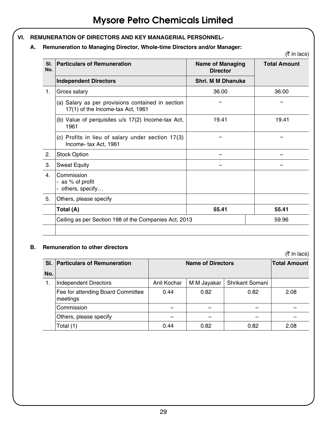- **VI. REMUNERATION OF DIRECTORS AND KEY MANAGERIAL PERSONNEL-**
	- **A. Remuneration to Managing Director, Whole-time Directors and/or Manager:**

| SI.            |                                                                                        |                                            | <b>Total Amount</b> |
|----------------|----------------------------------------------------------------------------------------|--------------------------------------------|---------------------|
| No.            | <b>Particulars of Remuneration</b>                                                     | <b>Name of Managing</b><br><b>Director</b> |                     |
|                | <b>Independent Directors</b>                                                           | Shri, M M Dhanuka                          |                     |
| 1.             | Gross salary                                                                           | 36.00                                      | 36.00               |
|                | (a) Salary as per provisions contained in section<br>17(1) of the Income-tax Act, 1961 |                                            |                     |
|                | (b) Value of perquisites u/s 17(2) Income-tax Act,<br>1961                             | 19.41                                      | 19.41               |
|                | (c) Profits in lieu of salary under section 17(3)<br>Income-tax Act, 1961              |                                            |                     |
| 2.             | <b>Stock Option</b>                                                                    |                                            |                     |
| 3.             | <b>Sweat Equity</b>                                                                    |                                            |                     |
| 4 <sup>1</sup> | Commission<br>- as % of profit<br>- others, specify                                    |                                            |                     |
| 5.             | Others, please specify                                                                 |                                            |                     |
|                | Total (A)                                                                              | 55.41                                      | 55.41               |
|                | Ceiling as per Section 198 of the Companies Act, 2013                                  |                                            | 59.96               |

#### **B. Remuneration to other directors**

 $($ ₹ in lacs)

|     | SI. Particulars of Remuneration               |             | <b>Name of Directors</b> | <b>Total Amount</b> |      |
|-----|-----------------------------------------------|-------------|--------------------------|---------------------|------|
| No. |                                               |             |                          |                     |      |
| 1.  | Independent Directors                         | Anil Kochar | M M Jayakar              | Shrikant Somani     |      |
|     | Fee for attending Board Committee<br>meetings | 0.44        | 0.82                     | 0.82                | 2.08 |
|     | Commission                                    |             |                          |                     |      |
|     | Others, please specify                        |             |                          |                     |      |
|     | Total (1)                                     | 0.44        | 0.82                     | 0.82                | 2.08 |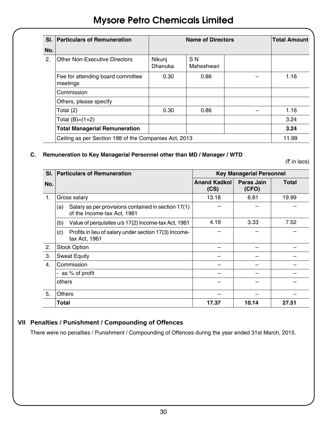|     | SI. Particulars of Remuneration                       |                   | <b>Name of Directors</b>     | <b>Total Amount</b> |
|-----|-------------------------------------------------------|-------------------|------------------------------|---------------------|
| No. |                                                       |                   |                              |                     |
| 2.  | Other Non-Executive Directors                         | Nikunj<br>Dhanuka | S <sub>N</sub><br>Maheshwari |                     |
|     | Fee for attending board committee<br>meetings         | 0.30              | 0.86                         | 1.16                |
|     | Commission                                            |                   |                              |                     |
|     | Others, please specify                                |                   |                              |                     |
|     | Total (2)                                             | 0.30              | 0.86                         | 1.16                |
|     | Total $(B)=(1+2)$                                     |                   |                              | 3.24                |
|     | <b>Total Managerial Remuneration</b>                  |                   |                              | 3.24                |
|     | Ceiling as per Section 198 of the Companies Act, 2013 | 11.99             |                              |                     |

### **C. Remuneration to Key Managerial Personnel other than MD / Manager / WTD**

 $($ ₹ in lacs)

|     | SI. Particulars of Remuneration                                                           | <b>Key Managerial Personnel</b> |                     |       |  |
|-----|-------------------------------------------------------------------------------------------|---------------------------------|---------------------|-------|--|
| No. |                                                                                           | <b>Anand Kadkol</b><br>(CS)     | Paras Jain<br>(CFO) | Total |  |
| 1.  | Gross salary                                                                              | 13.18                           | 6.81                | 19.99 |  |
|     | Salary as per provisions contained in section 17(1)<br>(a)<br>of the Income-tax Act, 1961 |                                 |                     |       |  |
|     | Value of perquisites u/s 17(2) Income-tax Act, 1961<br>(b)                                | 4.19                            | 3.33                | 7.52  |  |
|     | Profits in lieu of salary under section 17(3) Income-<br>(c)<br>tax Act, 1961             |                                 |                     |       |  |
| 2.  | <b>Stock Option</b>                                                                       |                                 |                     |       |  |
| 3.  | <b>Sweat Equity</b>                                                                       |                                 |                     |       |  |
| 4.  | Commission                                                                                |                                 |                     |       |  |
|     | as % of profit<br>$\overline{\phantom{0}}$                                                |                                 |                     |       |  |
|     | others                                                                                    |                                 |                     |       |  |
| 5.  | <b>Others</b>                                                                             |                                 |                     |       |  |
|     | Total                                                                                     | 17.37                           | 10.14               | 27.51 |  |

# **VII Penalties / Punishment / Compounding of Offences**

There were no penalties / Punishment / Compounding of Offences during the year ended 31st March, 2015.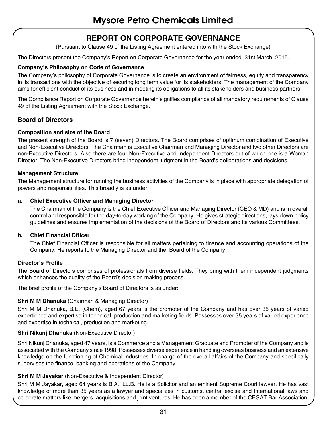# **REPORT ON CORPORATE GOVERNANCE**

(Pursuant to Clause 49 of the Listing Agreement entered into with the Stock Exchange)

The Directors present the Company's Report on Corporate Governance for the year ended 31st March, 2015.

#### **Company's Philosophy on Code of Governance**

The Company's philosophy of Corporate Governance is to create an environment of fairness, equity and transparency in its transactions with the objective of securing long term value for its stakeholders. The management of the Company aims for efficient conduct of its business and in meeting its obligations to all its stakeholders and business partners.

The Compliance Report on Corporate Governance herein signifies compliance of all mandatory requirements of Clause 49 of the Listing Agreement with the Stock Exchange.

#### **Board of Directors**

#### **Composition and size of the Board**

The present strength of the Board is 7 (seven) Directors. The Board comprises of optimum combination of Executive and Non-Executive Directors. The Chairman is Executive Chairman and Managing Director and two other Directors are non-Executive Directors. Also there are four Non-Executive and Independent Directors out of which one is a Woman Director. The Non-Executive Directors bring independent judgment in the Board's deliberations and decisions.

#### **Management Structure**

The Management structure for running the business activities of the Company is in place with appropriate delegation of powers and responsibilities. This broadly is as under:

#### **a. Chief Executive Officer and Managing Director**

The Chairman of the Company is the Chief Executive Officer and Managing Director (CEO & MD) and is in overall control and responsible for the day-to-day working of the Company. He gives strategic directions, lays down policy guidelines and ensures implementation of the decisions of the Board of Directors and its various Committees.

#### **b. Chief Financial Officer**

The Chief Financial Officer is responsible for all matters pertaining to finance and accounting operations of the Company. He reports to the Managing Director and the Board of the Company.

#### **Director's Profile**

The Board of Directors comprises of professionals from diverse fields. They bring with them independent judgments which enhances the quality of the Board's decision making process.

The brief profile of the Company's Board of Directors is as under:

#### **Shri M M Dhanuka** (Chairman & Managing Director)

Shri M M Dhanuka, B.E. (Chem), aged 67 years is the promoter of the Company and has over 35 years of varied expertience and expertise in technical, production and marketing fields. Possesses over 35 years of varied experience and expertise in technical, production and marketing.

#### **Shri Nikunj Dhanuka** (Non-Executive Director)

Shri Nikunj Dhanuka, aged 47 years, is a Commerce and a Management Graduate and Promoter of the Company and is associated with the Company since 1998. Possesses diverse experience in handling overseas business and an extensive knowledge on the functioning of Chemical Industries. In charge of the overall affairs of the Company and specifically supervises the finance, banking and operations of the Company.

#### **Shri M M Jayakar** (Non-Executive & Independent Director)

Shri M M Jayakar, aged 64 years is B.A., LL.B. He is a Solicitor and an eminent Supreme Court lawyer. He has vast knowledge of more than 35 years as a lawyer and specializes in customs, central excise and International laws and corporate matters like mergers, acquisitions and joint ventures. He has been a member of the CEGAT Bar Association.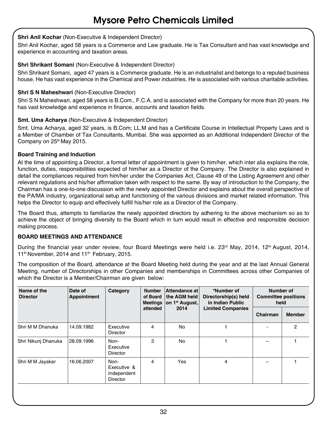#### **Shri Anil Kochar** (Non-Executive & Independent Director)

Shri Anil Kochar, aged 58 years is a Commerce and Law graduate. He is Tax Consultant and has vast knowledge and experience in accounting and taxation areas.

#### **Shri Shrikant Somani** (Non-Executive & Independent Director)

Shri Shrikant Somani, aged 47 years is a Commerce graduate. He is an industrialist and belongs to a reputed business house. He has vast experience in the Chemical and Power industries. He is associated with various charitable activities.

#### **Shri S N Maheshwari (Non-Executive Director)**

Shri S N Maheshwari, aged 58 years is B.Com., F.C.A. and is associated with the Company for more than 20 years. He has vast knowledge and experience in finance, accounts and taxation fields.

#### **Smt. Uma Acharya** (Non-Executive & Independent Director)

Smt. Uma Acharya, aged 32 years, is B.Com; LL.M and has a Certificate Course in Intellectual Property Laws and is a Member of Chamber of Tax Consultants, Mumbai. She was appointed as an Additional Independent Director of the Company on 25<sup>th</sup> May 2015.

#### **Board Training and Induction**

At the time of appointing a Director, a formal letter of appointment is given to him/her, which inter alia explains the role, function, duties, responsibilities expected of him/her as a Director of the Company. The Director is also explained in detail the compliances required from him/her under the Companies Act, Clause 49 of the Listing Agreement and other relevant regulations and his/her affirmation taken with respect to the same. By way of introduction to the Company, the Chairman has a one-to-one discussion with the newly appointed Director and explains about the overall perspective of the PA/MA industry, organizational setup and functioning of the various divisions and market related information. This helps the Director to equip and effectively fulfill his/her role as a Director of the Company.

The Board thus, attempts to familiarize the newly appointed directors by adhering to the above mechanism so as to achieve the object of bringing diversity to the Board which in turn would result in effective and responsible decision making process.

#### **BOARD MEETINGS AND ATTENDANCE**

During the financial year under review, four Board Meetings were held i.e. 23<sup>rd</sup> May, 2014, 12<sup>th</sup> August, 2014, 11<sup>th</sup> November, 2014 and 11<sup>th</sup> February, 2015.

The composition of the Board, attendance at the Board Meeting held during the year and at the last Annual General Meeting, number of Directorships in other Companies and memberships in Committees across other Companies of which the Director is a Member/Chairman are given below:

| Name of the<br><b>Director</b> | Date of<br>Appointment | Category                                       | <b>Number</b><br>of Board<br><b>Meetings</b><br>attended | Attendance at<br>the AGM held<br>on 1 <sup>st</sup> August,<br>2014 | *Number of<br>Directorship(s) held<br>in Indian Public<br><b>Limited Companies</b> | Number of<br><b>Committee positions</b><br>held |               |
|--------------------------------|------------------------|------------------------------------------------|----------------------------------------------------------|---------------------------------------------------------------------|------------------------------------------------------------------------------------|-------------------------------------------------|---------------|
|                                |                        |                                                |                                                          |                                                                     |                                                                                    | Chairman                                        | <b>Member</b> |
| Shri M M Dhanuka               | 14.09.1982             | Executive<br>Director                          | 4                                                        | No                                                                  |                                                                                    |                                                 | 2             |
| Shri Nikunj Dhanuka            | 28.09.1996             | Non-<br>Executive<br>Director                  | 3                                                        | No                                                                  |                                                                                    |                                                 |               |
| Shri M M Jayakar               | 16.06.2007             | Non-<br>Executive &<br>Independent<br>Director | 4                                                        | Yes                                                                 | 4                                                                                  |                                                 |               |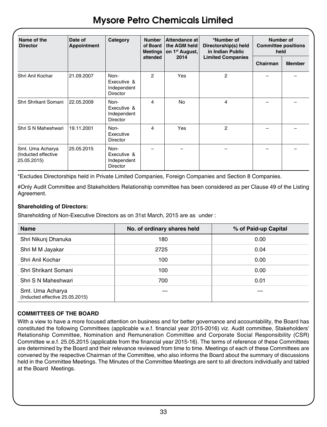| Name of the<br><b>Director</b>                         | Date of<br>Appointment | Category                                              | <b>Number</b><br>of Board<br>attended | Attendance at<br>the AGM held<br>Meetings on 1 <sup>st</sup> August,<br>2014 | *Number of<br>Directorship(s) held<br>in Indian Public<br><b>Limited Companies</b> | Number of<br><b>Committee positions</b><br>held |               |
|--------------------------------------------------------|------------------------|-------------------------------------------------------|---------------------------------------|------------------------------------------------------------------------------|------------------------------------------------------------------------------------|-------------------------------------------------|---------------|
|                                                        |                        |                                                       |                                       |                                                                              |                                                                                    | Chairman                                        | <b>Member</b> |
| Shri Anil Kochar                                       | 21.09.2007             | Non-<br>Executive &<br>Independent<br>Director        | 2                                     | Yes                                                                          | 2                                                                                  |                                                 |               |
| Shri Shrikant Somani                                   | 22.05.2009             | Non-<br>Executive &<br>Independent<br>Director        | 4                                     | <b>No</b>                                                                    | 4                                                                                  |                                                 |               |
| Shri S N Maheshwari                                    | 19.11.2001             | Non-<br>Executive<br>Director                         | 4                                     | Yes                                                                          | $\overline{2}$                                                                     |                                                 |               |
| Smt. Uma Acharya<br>(Inducted effective<br>25.05.2015) | 25.05.2015             | Non-<br>Executive &<br>Independent<br><b>Director</b> |                                       |                                                                              |                                                                                    |                                                 |               |

\*Excludes Directorships held in Private Limited Companies, Foreign Companies and Section 8 Companies.

#Only Audit Committee and Stakeholders Relationship committee has been considered as per Clause 49 of the Listing Agreement.

#### **Shareholding of Directors:**

Shareholding of Non-Executive Directors as on 31st March, 2015 are as under :

| <b>Name</b>                                         | No. of ordinary shares held | % of Paid-up Capital |
|-----------------------------------------------------|-----------------------------|----------------------|
| Shri Nikunj Dhanuka                                 | 180                         | 0.00                 |
| Shri M M Jayakar                                    | 2725                        | 0.04                 |
| Shri Anil Kochar                                    | 100                         | 0.00                 |
| Shri Shrikant Somani                                | 100                         | 0.00                 |
| Shri S N Maheshwari                                 | 700                         | 0.01                 |
| Smt. Uma Acharya<br>(Inducted effective 25.05.2015) |                             |                      |

#### **COMMITTEES OF THE BOARD**

With a view to have a more focused attention on business and for better governance and accountability, the Board has constituted the following Committees (applicable w.e.f. financial year 2015-2016) viz. Audit committee, Stakeholders' Relationship Committee, Nomination and Remuneration Committee and Corporate Social Responsibility (CSR) Committee w.e.f. 25.05.2015 (applicable from the financial year 2015-16). The terms of reference of these Committees are determined by the Board and their relevance reviewed from time to time. Meetings of each of these Committees are convened by the respective Chairman of the Committee, who also informs the Board about the summary of discussions held in the Committee Meetings. The Minutes of the Committee Meetings are sent to all directors individually and tabled at the Board Meetings.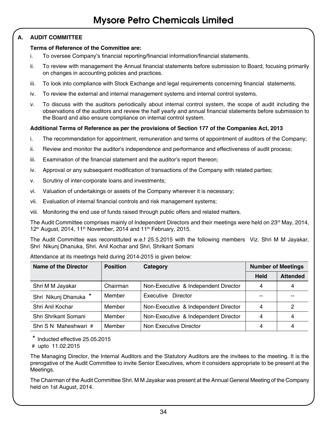### **A. AUDIT COMMITTEE**

#### **Terms of Reference of the Committee are:**

- i. To oversee Company's financial reporting/financial information/financial statements.
- ii. To review with management the Annual financial statements before submission to Board, focusing primarily on changes in accounting policies and practices.
- iii. To look into compliance with Stock Exchange and legal requirements concerning financial statements.
- iv. To review the external and internal management systems and internal control systems.
- v. To discuss with the auditors periodically about internal control system, the scope of audit including the observations of the auditors and review the half yearly and annual financial statements before submission to the Board and also ensure compliance on internal control system.

#### **Additional Terms of Reference as per the provisions of Section 177 of the Companies Act, 2013**

- i. The recommendation for appointment, remuneration and terms of appointment of auditors of the Company;
- ii. Review and monitor the auditor's independence and performance and effectiveness of audit process;
- iii. Examination of the financial statement and the auditor's report thereon;
- iv. Approval or any subsequent modification of transactions of the Company with related parties;
- v. Scrutiny of inter-corporate loans and investments;
- vi. Valuation of undertakings or assets of the Company wherever it is necessary;
- vii. Evaluation of internal financial controls and risk management systems;
- viii. Monitoring the end use of funds raised through public offers and related matters.

The Audit Committee comprises mainly of Independent Directors and their meetings were held on 23<sup>rd</sup> May, 2014,  $12<sup>th</sup>$  August, 2014, 11<sup>th</sup> November, 2014 and 11<sup>th</sup> February, 2015.

The Audit Committee was reconstituted w.e.f 25.5.2015 with the following members Viz. Shri M M Jayakar, Shri Nikunj Dhanuka, Shri. Anil Kochar and Shri. Shrikant Somani

| Name of the Director  | <b>Position</b> | Category                             | <b>Number of Meetings</b> |                 |
|-----------------------|-----------------|--------------------------------------|---------------------------|-----------------|
|                       |                 |                                      | <b>Held</b>               | <b>Attended</b> |
| Shri M M Jayakar      | Chairman        | Non-Executive & Independent Director | 4                         | 4               |
| Shri Nikunj Dhanuka * | Member          | Executive Director                   |                           | $- -$           |
| Shri Anil Kochar      | Member          | Non-Executive & Independent Director | 4                         | 2               |
| Shri Shrikant Somani  | Member          | Non-Executive & Independent Director | 4                         | 4               |
| Shri S N Maheshwari # | Member          | Non Executive Director               | 4                         | 4               |

Attendance at its meetings held during 2014-2015 is given below:

\* Inducted effective 25.05.2015

# upto 11.02.2015

The Managing Director, the Internal Auditors and the Statutory Auditors are the invitees to the meeting. It is the prerogative of the Audit Committee to invite Senior Executives, whom it considers appropriate to be present at the Meetings.

The Chairman of the Audit Committee Shri. M M Jayakar was present at the Annual General Meeting of the Company held on 1st August, 2014.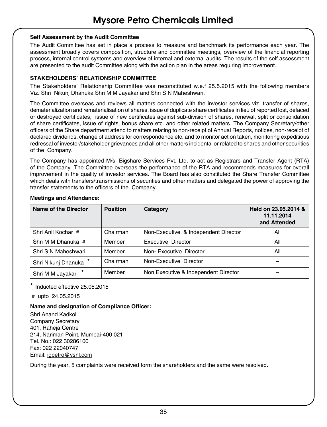#### **Self Assessment by the Audit Committee**

The Audit Committee has set in place a process to measure and benchmark its performance each year. The assessment broadly covers composition, structure and committee meetings, overview of the financial reporting process, internal control systems and overview of internal and external audits. The results of the self assessment are presented to the audit Committee along with the action plan in the areas requiring improvement.

#### **STAKEHOLDERS' RELATIONSHIP COMMITTEE**

The Stakeholders' Relationship Committee was reconstituted w.e.f 25.5.2015 with the following members Viz. Shri Nikunj Dhanuka Shri M M Jayakar and Shri S N Maheshwari.

The Committee overseas and reviews all matters connected with the investor services viz. transfer of shares, dematerialization and rematerialisation of shares, issue of duplicate share certificates in lieu of reported lost, defaced or destroyed certificates, issue of new certificates against sub-division of shares, renewal, split or consolidation of share certificates, issue of rights, bonus share etc. and other related matters. The Company Secretary/other officers of the Share department attend to matters relating to non-receipt of Annual Reports, notices, non-receipt of declared dividends, change of address for correspondence etc. and to monitor action taken, monitoring expeditious redressal of investor/stakeholder grievances and all other matters incidental or related to shares and other securities of the Company.

The Company has appointed M/s. Bigshare Services Pvt. Ltd. to act as Registrars and Transfer Agent (RTA) of the Company. The Committee overseas the performance of the RTA and recommends measures for overall improvement in the quality of investor services. The Board has also constituted the Share Transfer Committee which deals with transfers/transmissions of securities and other matters and delegated the power of approving the transfer statements to the officers of the Company.

| Name of the Director  | <b>Position</b> | Category                             | Held on 23.05.2014 &<br>11.11.2014<br>and Attended |
|-----------------------|-----------------|--------------------------------------|----------------------------------------------------|
| Shri Anil Kochar #    | Chairman        | Non-Executive & Independent Director | All                                                |
| Shri M M Dhanuka #    | Member          | Executive Director                   | All                                                |
| Shri S N Maheshwari   | Member          | Non-Executive Director               | All                                                |
| Shri Nikunj Dhanuka * | Chairman        | Non-Executive Director               |                                                    |
| Shri M M Jayakar      | Member          | Non Executive & Independent Director |                                                    |

#### **Meetings and Attendance:**

\* Inducted effective 25.05.2015

# upto 24.05.2015

#### **Name and designation of Compliance Officer:**

Shri Anand Kadkol Company Secretary 401, Raheja Centre 214, Nariman Point, Mumbai-400 021 Tel. No.: 022 30286100 Fax: 022 22040747 Email: igpetro@vsnl.com

During the year, 5 complaints were received form the shareholders and the same were resolved.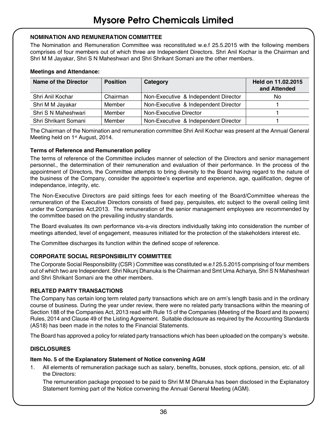#### **NOMINATION AND REMUNERATION COMMITTEE**

The Nomination and Remuneration Committee was reconstituted w.e.f 25.5.2015 with the following members comprises of four members out of which three are Independent Directors. Shri Anil Kochar is the Chairman and Shri M M Jayakar, Shri S N Maheshwari and Shri Shrikant Somani are the other members.

#### **Meetings and Attendance:**

| Name of the Director | <b>Position</b> | Category                             | Held on 11.02.2015<br>and Attended |
|----------------------|-----------------|--------------------------------------|------------------------------------|
| Shri Anil Kochar     | Chairman        | Non-Executive & Independent Director | No                                 |
| Shri M M Jayakar     | Member          | Non-Executive & Independent Director |                                    |
| Shri S N Maheshwari  | Member          | Non-Executive Director               |                                    |
| Shri Shrikant Somani | Member          | Non-Executive & Independent Director |                                    |

The Chairman of the Nomination and remuneration committee Shri Anil Kochar was present at the Annual General Meeting held on 1<sup>st</sup> August, 2014.

#### **Terms of Reference and Remuneration policy**

The terms of reference of the Committee includes manner of selection of the Directors and senior management personnel., the determination of their remuneration and evaluation of their performance. In the process of the appointment of Directors, the Committee attempts to bring diversity to the Board having regard to the nature of the business of the Company, consider the appointee's expertise and experience, age, qualification, degree of independance, integrity, etc.

The Non-Executive Directors are paid sittings fees for each meeting of the Board/Committee whereas the remuneration of the Executive Directors consists of fixed pay, perquisites, etc subject to the overall ceiling limit under the Companies Act,2013. The remuneration of the senior management employees are recommended by the committee based on the prevailing industry standards.

The Board evaluates its own performance vis-a-vis directors individually taking into consideration the number of meetings attended, level of engagement, measures initiated for the protection of the stakeholders interest etc.

The Committee discharges its function within the defined scope of reference.

#### **CORPORATE SOCIAL RESPONSIBILITY COMMITTEE**

The Corporate Social Responsibility (CSR ) Committee was constituted w.e.f 25.5.2015 comprising of four members out of which two are Independent. Shri Nikunj Dhanuka is the Chairman and Smt Uma Acharya, Shri S N Maheshwari and Shri Shrikant Somani are the other members.

#### **RELATED PARTY TRANSACTIONS**

The Company has certain long term related party transactions which are on arm's length basis and in the ordinary course of business. During the year under review, there were no related party transactions within the meaning of Section 188 of the Companies Act, 2013 read with Rule 15 of the Companies (Meeting of the Board and its powers) Rules, 2014 and Clause 49 of the Listing Agreement. Suitable disclosure as required by the Accounting Standards (AS18) has been made in the notes to the Financial Statements.

The Board has approved a policy for related party transactions which has been uploaded on the company's website.

#### **DISCLOSURES**

#### **Item No. 5 of the Explanatory Statement of Notice convening AGM**

1. All elements of remuneration package such as salary, benefits, bonuses, stock options, pension, etc. of all the Directors:

The remuneration package proposed to be paid to Shri M M Dhanuka has been disclosed in the Explanatory Statement forming part of the Notice convening the Annual General Meeting (AGM).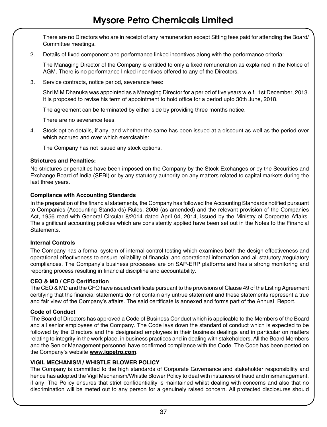There are no Directors who are in receipt of any remuneration except Sitting fees paid for attending the Board/ Committee meetings.

2. Details of fixed component and performance linked incentives along with the performance criteria:

The Managing Director of the Company is entitled to only a fixed remuneration as explained in the Notice of AGM. There is no performance linked incentives offered to any of the Directors.

3. Service contracts, notice period, severance fees:

Shri M M Dhanuka was appointed as a Managing Director for a period of five years w.e.f. 1st December, 2013. It is proposed to revise his term of appointment to hold office for a period upto 30th June, 2018.

The agreement can be terminated by either side by providing three months notice.

There are no severance fees.

4. Stock option details, if any, and whether the same has been issued at a discount as well as the period over which accrued and over which exercisable:

The Company has not issued any stock options.

#### **Strictures and Penalties:**

No strictures or penalties have been imposed on the Company by the Stock Exchanges or by the Securities and Exchange Board of India (SEBI) or by any statutory authority on any matters related to capital markets during the last three years.

#### **Compliance with Accounting Standards**

In the preparation of the financial statements, the Company has followed the Accounting Standards notified pursuant to Companies (Accounting Standards) Rules, 2006 (as amended) and the relevant provision of the Companies Act, 1956 read with General Circular 8/2014 dated April 04, 2014, issued by the Ministry of Corporate Affairs. The significant accounting policies which are consistently applied have been set out in the Notes to the Financial Statements.

#### **Internal Controls**

The Company has a formal system of internal control testing which examines both the design effectiveness and operational effectiveness to ensure reliability of financial and operational information and all statutory /regulatory compliances. The Company's business processes are on SAP-ERP platforms and has a strong monitoring and reporting process resulting in financial discipline and accountability.

#### **CEO & MD / CFO Certification**

The CEO & MD and the CFO have issued certificate pursuant to the provisions of Clause 49 of the Listing Agreement certifying that the financial statements do not contain any untrue statement and these statements represent a true and fair view of the Company's affairs. The said certificate is annexed and forms part of the Annual Report.

#### **Code of Conduct**

The Board of Directors has approved a Code of Business Conduct which is applicable to the Members of the Board and all senior employees of the Company. The Code lays down the standard of conduct which is expected to be followed by the Directors and the designated employees in their business dealings and in particular on matters relating to integrity in the work place, in business practices and in dealing with stakeholders. All the Board Members and the Senior Management personnel have confirmed compliance with the Code. The Code has been posted on the Company's website **www.igpetro.com**.

#### **VIGIL MECHANISM / WHISTLE BLOWER POLICY**

The Company is committed to the high standards of Corporate Governance and stakeholder responsibility and hence has adopted the Vigil Mechanism/Whistle Blower Policy to deal with instances of fraud and mismanagement, if any. The Policy ensures that strict confidentiality is maintained whilst dealing with concerns and also that no discrimination will be meted out to any person for a genuinely raised concern. All protected disclosures should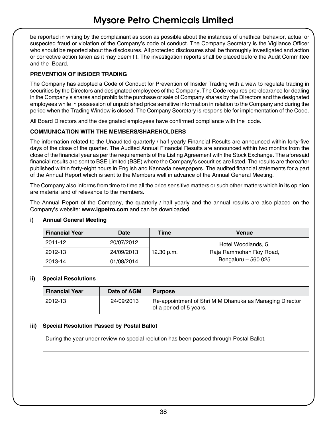be reported in writing by the complainant as soon as possible about the instances of unethical behavior, actual or suspected fraud or violation of the Company's code of conduct. The Company Secretary is the Vigilance Officer who should be reported about the disclosures. All protected disclosures shall be thoroughly investigated and action or corrective action taken as it may deem fit. The investigation reports shall be placed before the Audit Committee and the Board.

#### **PREVENTION OF INSIDER TRADING**

The Company has adopted a Code of Conduct for Prevention of Insider Trading with a view to regulate trading in securities by the Directors and designated employees of the Company. The Code requires pre-clearance for dealing in the Company's shares and prohibits the purchase or sale of Company shares by the Directors and the designated employees while in possession of unpublished price sensitive information in relation to the Company and during the period when the Trading Window is closed. The Company Secretary is responsible for implementation of the Code.

All Board Directors and the designated employees have confirmed compliance with the code.

#### **COMMUNICATION WITH THE MEMBERS/SHAREHOLDERS**

The information related to the Unaudited quarterly / half yearly Financial Results are announced within forty-five days of the close of the quarter. The Audited Annual Financial Results are announced within two months from the close of the financial year as per the requirements of the Listing Agreement with the Stock Exchange. The aforesaid financial results are sent to BSE Limited (BSE) where the Company's securities are listed. The results are thereafter published within forty-eight hours in English and Kannada newspapers. The audited financial statements for a part of the Annual Report which is sent to the Members well in advance of the Annual General Meeting.

The Company also informs from time to time all the price sensitive matters or such other matters which in its opinion are material and of relevance to the members.

The Annual Report of the Company, the quarterly / half yearly and the annual results are also placed on the Company's website: **www.igpetro.com** and can be downloaded.

| <b>Financial Year</b> | Date       | Time       | Venue                   |
|-----------------------|------------|------------|-------------------------|
| 2011-12               | 20/07/2012 |            | Hotel Woodlands, 5.     |
| 2012-13               | 24/09/2013 | 12.30 p.m. | Raja Rammohan Roy Road, |
| 2013-14               | 01/08/2014 |            | Bengaluru - 560 025     |

#### **i) Annual General Meeting**

#### **ii) Special Resolutions**

| <b>Financial Year</b> | Date of AGM | <b>Purpose</b>                                                                     |
|-----------------------|-------------|------------------------------------------------------------------------------------|
| 2012-13               | 24/09/2013  | Re-appointment of Shri M M Dhanuka as Managing Director<br>of a period of 5 years. |

#### **iii) Special Resolution Passed by Postal Ballot**

During the year under review no special reolution has been passed through Postal Ballot.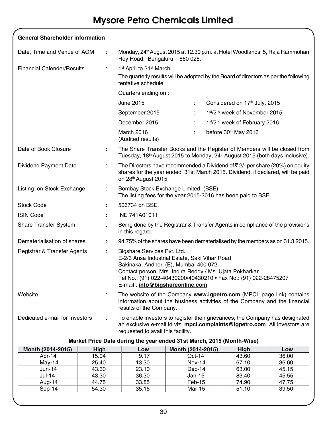| <b>General Shareholder information</b> |    |                                                                                                                                                                                                                                                                                          |  |                                                                                                                                                                                  |  |  |
|----------------------------------------|----|------------------------------------------------------------------------------------------------------------------------------------------------------------------------------------------------------------------------------------------------------------------------------------------|--|----------------------------------------------------------------------------------------------------------------------------------------------------------------------------------|--|--|
| Date, Time and Venue of AGM            | ÷  | Monday, 24 <sup>th</sup> August 2015 at 12.30 p.m. at Hotel Woodlands, 5, Raja Rammohan<br>Roy Road, Bengaluru - 560 025.                                                                                                                                                                |  |                                                                                                                                                                                  |  |  |
| <b>Financial Calender/Results</b>      | ÷  | 1 <sup>st</sup> April to 31 <sup>st</sup> March                                                                                                                                                                                                                                          |  |                                                                                                                                                                                  |  |  |
|                                        |    | The quarterly results will be adopted by the Board of directors as per the following<br>tentative schedule:                                                                                                                                                                              |  |                                                                                                                                                                                  |  |  |
|                                        |    | Quarters ending on :                                                                                                                                                                                                                                                                     |  |                                                                                                                                                                                  |  |  |
|                                        |    | June 2015<br>÷                                                                                                                                                                                                                                                                           |  | Considered on 17 <sup>th</sup> July, 2015                                                                                                                                        |  |  |
|                                        |    | September 2015<br>÷                                                                                                                                                                                                                                                                      |  | 1st/2 <sup>nd</sup> week of November 2015                                                                                                                                        |  |  |
|                                        |    | December 2015<br>÷                                                                                                                                                                                                                                                                       |  | 1st/2 <sup>nd</sup> week of February 2016                                                                                                                                        |  |  |
|                                        |    | March 2016<br>÷<br>(Audited results)                                                                                                                                                                                                                                                     |  | before 30 <sup>th</sup> May 2016                                                                                                                                                 |  |  |
| Date of Book Closure                   | ÷  |                                                                                                                                                                                                                                                                                          |  | The Share Transfer Books and the Register of Members will be closed from<br>Tuesday, 18 <sup>th</sup> August 2015 to Monday, 24 <sup>th</sup> August 2015 (both days inclusive). |  |  |
| Dividend Payment Date                  | ÷. | on 28th August 2015.                                                                                                                                                                                                                                                                     |  | The Directors have recommended a Dividend of $\bar{\tau}$ 2/- per share (20%) on equity<br>shares for the year ended 31st March 2015. Dividend, if declared, will be paid        |  |  |
| Listing on Stock Exchange              | ÷  | Bombay Stock Exchange Limited (BSE).<br>The listing fees for the year 2015-2016 has been paid to BSE.                                                                                                                                                                                    |  |                                                                                                                                                                                  |  |  |
| Stock Code                             |    | 506734 on BSE.                                                                                                                                                                                                                                                                           |  |                                                                                                                                                                                  |  |  |
| <b>ISIN Code</b>                       | ÷  | INE 741A01011                                                                                                                                                                                                                                                                            |  |                                                                                                                                                                                  |  |  |
| <b>Share Transfer System</b>           | ÷  | in this regard.                                                                                                                                                                                                                                                                          |  | Being done by the Registrar & Transfer Agents in compliance of the provisions                                                                                                    |  |  |
| Dematerialisation of shares            | ÷  |                                                                                                                                                                                                                                                                                          |  | 94.75% of the shares have been dematerialised by the members as on 31.3.2015.                                                                                                    |  |  |
| Registrar & Transfer Agents            | ÷  | Bigshare Services Pvt. Ltd.<br>E-2/3 Ansa Industrial Estate, Saki Vihar Road<br>Sakinaka, Andheri (E), Mumbai 400 072.<br>Contact person: Mrs. Indira Reddy / Ms. Ujata Pokharkar<br>Tel No.: (91) 022-40430200/40430210 · Fax No.: (91) 022-28475207<br>E-mail: info@bigshareonline.com |  |                                                                                                                                                                                  |  |  |
| Website                                | ÷  | The website of the Company www.igpetro.com (MPCL page link) contains<br>information about the business activities of the Company and the financial<br>results of the Company.                                                                                                            |  |                                                                                                                                                                                  |  |  |
| Dedicated e-mail for Investors         | ÷  | To enable investors to register their grievances, the Company has designated<br>an exclusive e-mail id viz. mpcl.complaints@igpetro.com. All investors are<br>requested to avail this facility.                                                                                          |  |                                                                                                                                                                                  |  |  |

| Market Price Data during the year ended 31st March, 2015 (Month-Wise) |  |
|-----------------------------------------------------------------------|--|
|-----------------------------------------------------------------------|--|

| Month (2014-2015) | Hiah  | Low   | Month (2014-2015) | Hiah  | Low   |
|-------------------|-------|-------|-------------------|-------|-------|
| Apr-14            | 15.04 | 9.17  | $Oct-14$          | 43.60 | 36.00 |
| May-14            | 25.40 | 13.30 | Nov-14            | 67.10 | 36.60 |
| $Jun-14$          | 43.30 | 23.10 | $Dec-14$          | 63.00 | 45.15 |
| Jul-14            | 43.30 | 36.30 | Jan-15            | 83.40 | 45.55 |
| Aug-14            | 44.75 | 33.85 | $Feb-15$          | 74.90 | 47.75 |
| Sep-14            | 54.30 | 35.15 | Mar-15            | 51.10 | 39.50 |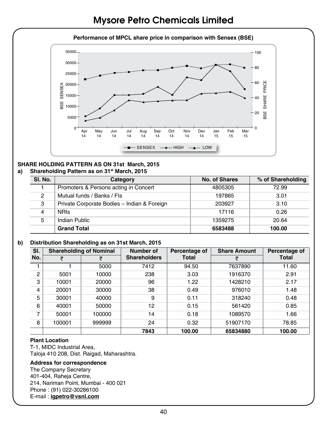#### **Performance of MPCL share price in comparison with Sensex (BSE)**



#### **SHARE HOLDING PATTERN AS ON 31st March, 2015**

#### **a) Shareholding Pattern as on 31st March, 2015**

| SI. No. | Category                                    | No. of Shares | % of Shareholding |
|---------|---------------------------------------------|---------------|-------------------|
|         | Promoters & Persons acting in Concert       | 4805305       | 72.99             |
| 2       | Mutual funds / Banks / Fls                  | 197865        | 3.01              |
| 3       | Private Corporate Bodies - Indian & Foreign | 203927        | 3.10              |
| 4       | <b>NRIS</b>                                 | 17116         | 0.26              |
| 5       | Indian Public                               | 1359275       | 20.64             |
|         | <b>Grand Total</b>                          | 6583488       | 100.00            |

#### **b) Distribution Shareholding as on 31st March, 2015**

| SI. |        | <b>Shareholding of Nominal</b> | Number of<br>Percentage of |              | <b>Share Amount</b> | Percentage of |  |
|-----|--------|--------------------------------|----------------------------|--------------|---------------------|---------------|--|
| No. | ₹      |                                | <b>Shareholders</b>        | <b>Total</b> |                     | Total         |  |
|     |        | 5000                           | 7412                       | 94.50        | 7637890             | 11.60         |  |
| 2   | 5001   | 10000                          | 238                        | 3.03         | 1916370             | 2.91          |  |
| 3   | 10001  | 20000                          | 96                         | 1.22         | 1428210             | 2.17          |  |
| 4   | 20001  | 30000                          | 38                         | 0.49         | 976010              | 1.48          |  |
| 5   | 30001  | 40000                          | 9                          | 0.11         | 318240              | 0.48          |  |
| 6   | 40001  | 50000                          | 12                         | 0.15         | 561420              | 0.85          |  |
| 7   | 50001  | 100000                         | 14                         | 0.18         | 1089570             | 1.66          |  |
| 8   | 100001 | 999999                         | 24                         | 0.32         | 51907170            | 78.85         |  |
|     |        |                                | 7843                       | 100.00       | 65834880            | 100.00        |  |

#### **Plant Location**

T-1, MIDC Industrial Area, Taloja 410 208, Dist. Raigad, Maharashtra.

#### **Address for correspondence**

The Company Secretary 401-404, Raheja Centre, 214, Nariman Point, Mumbai - 400 021 Phone : (91) 022-30286100 E-mail : **igpetro@vsnl.com**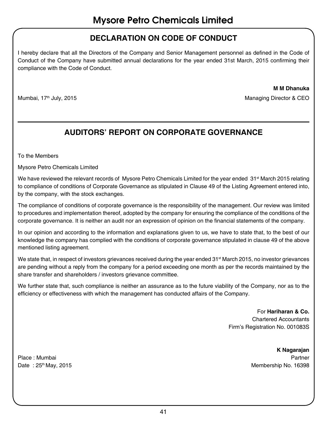### **DECLARATION ON CODE OF CONDUCT**

I hereby declare that all the Directors of the Company and Senior Management personnel as defined in the Code of Conduct of the Company have submitted annual declarations for the year ended 31st March, 2015 confirming their compliance with the Code of Conduct.

**M M Dhanuka** 

Mumbai, 17<sup>th</sup> July, 2015 Managing Director & CEO

### **AUDITORS' REPORT ON CORPORATE GOVERNANCE**

To the Members

Mysore Petro Chemicals Limited

We have reviewed the relevant records of Mysore Petro Chemicals Limited for the year ended 31<sup>st</sup> March 2015 relating to compliance of conditions of Corporate Governance as stipulated in Clause 49 of the Listing Agreement entered into, by the company, with the stock exchanges.

The compliance of conditions of corporate governance is the responsibility of the management. Our review was limited to procedures and implementation thereof, adopted by the company for ensuring the compliance of the conditions of the corporate governance. It is neither an audit nor an expression of opinion on the financial statements of the company.

In our opinion and according to the information and explanations given to us, we have to state that, to the best of our knowledge the company has complied with the conditions of corporate governance stipulated in clause 49 of the above mentioned listing agreement.

We state that, in respect of investors grievances received during the year ended 31<sup>st</sup> March 2015, no investor grievances are pending without a reply from the company for a period exceeding one month as per the records maintained by the share transfer and shareholders / investors grievance committee.

We further state that, such compliance is neither an assurance as to the future viability of the Company, nor as to the efficiency or effectiveness with which the management has conducted affairs of the Company.

> For **Hariharan & Co.**  Chartered Accountants Firm's Registration No. 001083S

**K Nagarajan**  Place : Mumbai Partner Date : 25<sup>th</sup> May, 2015 Membership No. 16398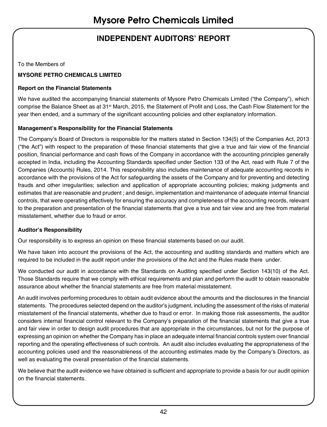## **INDEPENDENT AUDITORS' REPORT**

To the Members of

#### **MYSORE PETRO CHEMICALS LIMITED**

#### **Report on the Financial Statements**

We have audited the accompanying financial statements of Mysore Petro Chemicals Limited ("the Company"), which comprise the Balance Sheet as at 31<sup>st</sup> March, 2015, the Statement of Profit and Loss, the Cash Flow Statement for the year then ended, and a summary of the significant accounting policies and other explanatory information.

#### **Management's Responsibility for the Financial Statements**

The Company's Board of Directors is responsible for the matters stated in Section 134(5) of the Companies Act, 2013 ("the Act") with respect to the preparation of these financial statements that give a true and fair view of the financial position, financial performance and cash flows of the Company in accordance with the accounting principles generally accepted in India, including the Accounting Standards specified under Section 133 of the Act, read with Rule 7 of the Companies (Accounts) Rules, 2014. This responsibility also includes maintenance of adequate accounting records in accordance with the provisions of the Act for safeguarding the assets of the Company and for preventing and detecting frauds and other irregularities; selection and application of appropriate accounting policies; making judgments and estimates that are reasonable and prudent ; and design, implementation and maintenance of adequate internal financial controls, that were operating effectively for ensuring the accuracy and completeness of the accounting records, relevant to the preparation and presentation of the financial statements that give a true and fair view and are free from material misstatement, whether due to fraud or error.

#### **Auditor's Responsibility**

Our responsibility is to express an opinion on these financial statements based on our audit.

We have taken into account the provisions of the Act, the accounting and auditing standards and matters which are required to be included in the audit report under the provisions of the Act and the Rules made there under.

We conducted our audit in accordance with the Standards on Auditing specified under Section 143(10) of the Act. Those Standards require that we comply with ethical requirements and plan and perform the audit to obtain reasonable assurance about whether the financial statements are free from material misstatement.

An audit involves performing procedures to obtain audit evidence about the amounts and the disclosures in the financial statements. The procedures selected depend on the auditor's judgment, including the assessment of the risks of material misstatement of the financial statements, whether due to fraud or error. In making those risk assessments, the auditor considers internal financial control relevant to the Company's preparation of the financial statements that give a true and fair view in order to design audit procedures that are appropriate in the circumstances, but not for the purpose of expressing an opinion on whether the Company has in place an adequate internal financial controls system over financial reporting and the operating effectiveness of such controls. An audit also includes evaluating the appropriateness of the accounting policies used and the reasonableness of the accounting estimates made by the Company's Directors, as well as evaluating the overall presentation of the financial statements.

We believe that the audit evidence we have obtained is sufficient and appropriate to provide a basis for our audit opinion on the financial statements.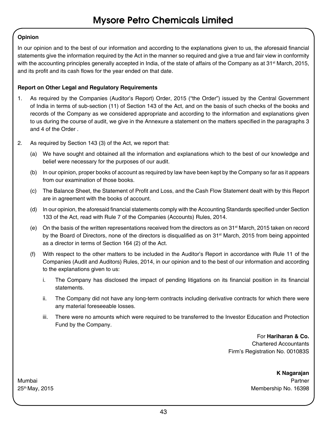#### **Opinion**

In our opinion and to the best of our information and according to the explanations given to us, the aforesaid financial statements give the information required by the Act in the manner so required and give a true and fair view in conformity with the accounting principles generally accepted in India, of the state of affairs of the Company as at 31<sup>st</sup> March, 2015, and its profit and its cash flows for the year ended on that date.

#### **Report on Other Legal and Regulatory Requirements**

- 1. As required by the Companies (Auditor's Report) Order, 2015 ("the Order") issued by the Central Government of India in terms of sub-section (11) of Section 143 of the Act, and on the basis of such checks of the books and records of the Company as we considered appropriate and according to the information and explanations given to us during the course of audit, we give in the Annexure a statement on the matters specified in the paragraphs 3 and 4 of the Order .
- 2. As required by Section 143 (3) of the Act, we report that:
	- (a) We have sought and obtained all the information and explanations which to the best of our knowledge and belief were necessary for the purposes of our audit.
	- (b) In our opinion, proper books of account as required by law have been kept by the Company so far as it appears from our examination of those books.
	- (c) The Balance Sheet, the Statement of Profit and Loss, and the Cash Flow Statement dealt with by this Report are in agreement with the books of account.
	- (d) In our opinion, the aforesaid financial statements comply with the Accounting Standards specified under Section 133 of the Act, read with Rule 7 of the Companies (Accounts) Rules, 2014.
	- (e) On the basis of the written representations received from the directors as on 31<sup>st</sup> March, 2015 taken on record by the Board of Directors, none of the directors is disqualified as on 31<sup>st</sup> March, 2015 from being appointed as a director in terms of Section 164 (2) of the Act.
	- (f) With respect to the other matters to be included in the Auditor's Report in accordance with Rule 11 of the Companies (Audit and Auditors) Rules, 2014, in our opinion and to the best of our information and according to the explanations given to us:
		- i. The Company has disclosed the impact of pending litigations on its financial position in its financial statements.
		- ii. The Company did not have any long-term contracts including derivative contracts for which there were any material foreseeable losses.
		- iii. There were no amounts which were required to be transferred to the Investor Education and Protection Fund by the Company.

For **Hariharan & Co.**

Chartered Accountants Firm's Registration No. 001083S

**K Nagarajan** 

Mumbai Partner 25th May, 2015 Membership No. 16398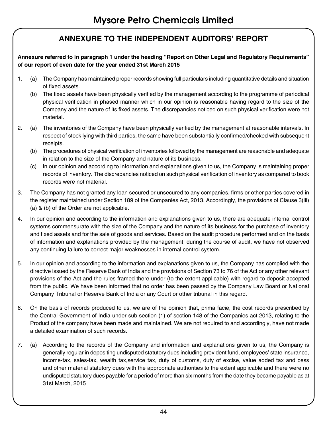### **ANNEXURE TO THE INDEPENDENT AUDITORS' REPORT**

#### **Annexure referred to in paragraph 1 under the heading "Report on Other Legal and Regulatory Requirements" of our report of even date for the year ended 31st March 2015**

- 1. (a) The Company has maintained proper records showing full particulars including quantitative details and situation of fixed assets.
	- (b) The fixed assets have been physically verified by the management according to the programme of periodical physical verification in phased manner which in our opinion is reasonable having regard to the size of the Company and the nature of its fixed assets. The discrepancies noticed on such physical verification were not material.
- 2. (a) The inventories of the Company have been physically verified by the management at reasonable intervals. In respect of stock lying with third parties, the same have been substantially confirmed/checked with subsequent receipts.
	- (b) The procedures of physical verification of inventories followed by the management are reasonable and adequate in relation to the size of the Company and nature of its business.
	- (c) In our opinion and according to information and explanations given to us, the Company is maintaining proper records of inventory. The discrepancies noticed on such physical verification of inventory as compared to book records were not material.
- 3. The Company has not granted any loan secured or unsecured to any companies, firms or other parties covered in the register maintained under Section 189 of the Companies Act, 2013. Accordingly, the provisions of Clause 3(iii) (a) & (b) of the Order are not applicable.
- 4. In our opinion and according to the information and explanations given to us, there are adequate internal control systems commensurate with the size of the Company and the nature of its business for the purchase of inventory and fixed assets and for the sale of goods and services. Based on the audit procedure performed and on the basis of information and explanations provided by the management, during the course of audit, we have not observed any continuing failure to correct major weaknesses in internal control system.
- 5. In our opinion and according to the information and explanations given to us, the Company has complied with the directive issued by the Reserve Bank of India and the provisions of Section 73 to 76 of the Act or any other relevant provisions of the Act and the rules framed there under (to the extent applicable) with regard to deposit accepted from the public. We have been informed that no order has been passed by the Company Law Board or National Company Tribunal or Reserve Bank of India or any Court or other tribunal in this regard.
- 6. On the basis of records produced to us, we are of the opinion that, prima facie, the cost records prescribed by the Central Government of India under sub section (1) of section 148 of the Companies act 2013, relating to the Product of the company have been made and maintained. We are not required to and accordingly, have not made a detailed examination of such records.
- 7. (a) According to the records of the Company and information and explanations given to us, the Company is generally regular in depositing undisputed statutory dues including provident fund, employees' state insurance, income-tax, sales-tax, wealth tax,service tax, duty of customs, duty of excise, value added tax and cess and other material statutory dues with the appropriate authorities to the extent applicable and there were no undisputed statutory dues payable for a period of more than six months from the date they became payable as at 31st March, 2015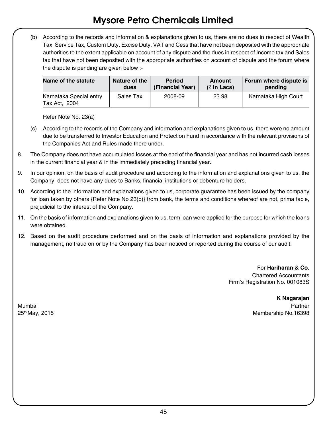(b) According to the records and information & explanations given to us, there are no dues in respect of Wealth Tax, Service Tax, Custom Duty, Excise Duty, VAT and Cess that have not been deposited with the appropriate authorities to the extent applicable on account of any dispute and the dues in respect of Income tax and Sales tax that have not been deposited with the appropriate authorities on account of dispute and the forum where the dispute is pending are given below :-

| Name of the statute                      | Nature of the | Period           | Amount                              | Forum where dispute is |
|------------------------------------------|---------------|------------------|-------------------------------------|------------------------|
|                                          | dues          | (Financial Year) | $(5 \in \mathsf{In} \textsf{Lacs})$ | pendina                |
| Karnataka Special entry<br>Tax Act, 2004 | Sales Tax     | 2008-09          | 23.98                               | Karnataka High Court   |

Refer Note No. 23(a)

- (c) According to the records of the Company and information and explanations given to us, there were no amount due to be transferred to Investor Education and Protection Fund in accordance with the relevant provisions of the Companies Act and Rules made there under.
- 8. The Company does not have accumulated losses at the end of the financial year and has not incurred cash losses in the current financial year & in the immediately preceding financial year.
- 9. In our opinion, on the basis of audit procedure and according to the information and explanations given to us, the Company does not have any dues to Banks, financial institutions or debenture holders.
- 10. According to the information and explanations given to us, corporate guarantee has been issued by the company for loan taken by others {Refer Note No 23(b)} from bank, the terms and conditions whereof are not, prima facie, prejudicial to the interest of the Company.
- 11. On the basis of information and explanations given to us, term loan were applied for the purpose for which the loans were obtained.
- 12. Based on the audit procedure performed and on the basis of information and explanations provided by the management, no fraud on or by the Company has been noticed or reported during the course of our audit.

For **Hariharan & Co.** Chartered Accountants Firm's Registration No. 001083S

**K Nagarajan** Mumbai Partner

25th May, 2015 Membership No.16398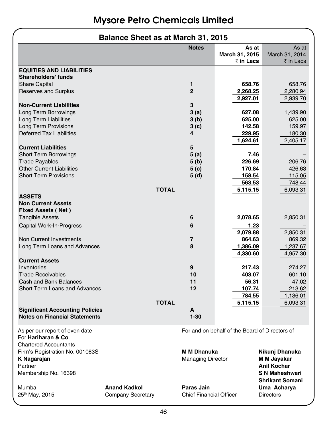### **Balance Sheet as at March 31, 2015**

|                                                                                                  |                          | <b>Notes</b>                   | As at                                          | As at                  |  |
|--------------------------------------------------------------------------------------------------|--------------------------|--------------------------------|------------------------------------------------|------------------------|--|
|                                                                                                  |                          |                                | March 31, 2015<br>₹ in Lacs                    | March 31, 2014         |  |
|                                                                                                  |                          |                                |                                                | ₹ in Lacs              |  |
| <b>EQUITIES AND LIABILITIES</b>                                                                  |                          |                                |                                                |                        |  |
| Shareholders' funds                                                                              |                          |                                |                                                |                        |  |
| <b>Share Capital</b>                                                                             |                          | 1                              | 658.76                                         | 658.76                 |  |
| Reserves and Surplus                                                                             |                          | $\overline{2}$                 | 2,268.25                                       | 2,280.94               |  |
|                                                                                                  |                          |                                | 2,927.01                                       | 2,939.70               |  |
| <b>Non-Current Liabilities</b>                                                                   |                          | 3                              |                                                |                        |  |
| Long Term Borrowings                                                                             |                          | 3(a)                           | 627.08                                         | 1,439.90               |  |
| <b>Long Term Liabilities</b>                                                                     |                          | 3(b)                           | 625.00                                         | 625.00                 |  |
| <b>Long Term Provisions</b>                                                                      |                          | 3 (c)                          | 142.58                                         | 159.97                 |  |
| Deferred Tax Liabilities                                                                         |                          | 4                              | 229.95                                         | 180.30                 |  |
|                                                                                                  |                          |                                | 1,624.61                                       | 2,405.17               |  |
| <b>Current Liabilities</b>                                                                       |                          | 5                              |                                                |                        |  |
| <b>Short Term Borrowings</b>                                                                     |                          | 5 (a)                          | 7.46                                           |                        |  |
| <b>Trade Payables</b>                                                                            |                          | 5 (b)                          | 226.69                                         | 206.76                 |  |
| <b>Other Current Liabilities</b>                                                                 |                          | 5 (c)                          | 170.84                                         | 426.63                 |  |
| <b>Short Term Provisions</b>                                                                     |                          | 5 (d)                          | 158.54                                         | 115.05                 |  |
|                                                                                                  |                          |                                | 563.53                                         | 748.44                 |  |
|                                                                                                  | <b>TOTAL</b>             |                                | 5,115.15                                       | 6,093.31               |  |
| <b>ASSETS</b>                                                                                    |                          |                                |                                                |                        |  |
| <b>Non Current Assets</b>                                                                        |                          |                                |                                                |                        |  |
| <b>Fixed Assets (Net)</b>                                                                        |                          |                                |                                                |                        |  |
| <b>Tangible Assets</b>                                                                           |                          | 6                              | 2,078.65                                       | 2,850.31               |  |
| Capital Work-In-Progress                                                                         |                          | 6                              | 1.23                                           |                        |  |
|                                                                                                  |                          |                                | 2,079.88                                       | 2,850.31               |  |
| Non Current Investments                                                                          |                          | 7                              | 864.63                                         | 869.32                 |  |
| Long Term Loans and Advances                                                                     |                          | 8                              | 1,386.09                                       | 1,237.67               |  |
|                                                                                                  |                          |                                | 4,330.60                                       | 4,957.30               |  |
| <b>Current Assets</b>                                                                            |                          |                                |                                                |                        |  |
| Inventories                                                                                      |                          | 9                              | 217.43                                         | 274.27                 |  |
| <b>Trade Receivables</b>                                                                         |                          | 10                             | 403.07                                         | 601.10                 |  |
| Cash and Bank Balances                                                                           |                          | 11                             | 56.31                                          | 47.02                  |  |
| Short Terrn Loans and Advances                                                                   |                          | 12                             | 107.74                                         | 213.62                 |  |
|                                                                                                  |                          |                                | 784.55                                         | 1,136.01               |  |
|                                                                                                  | <b>TOTAL</b>             |                                | 5,115.15                                       | 6,093.31               |  |
| <b>Significant Accounting Policies</b>                                                           |                          | Α                              |                                                |                        |  |
| <b>Notes on Financial Statements</b>                                                             |                          | $1 - 30$                       |                                                |                        |  |
| As per our report of even date<br>For <b>Hariharan &amp; Co.</b><br><b>Chartered Accountants</b> |                          |                                | For and on behalf of the Board of Directors of |                        |  |
| Firm's Registration No. 001083S                                                                  |                          | <b>M M Dhanuka</b>             |                                                | Nikunj Dhanuka         |  |
| K Nagarajan                                                                                      |                          | <b>Managing Director</b>       |                                                | M M Jayakar            |  |
| Partner                                                                                          |                          |                                |                                                | <b>Anil Kochar</b>     |  |
|                                                                                                  |                          |                                |                                                | <b>S N Maheshwari</b>  |  |
| Membership No. 16398                                                                             |                          |                                |                                                | <b>Shrikant Somani</b> |  |
|                                                                                                  | <b>Anand Kadkol</b>      | Paras Jain                     |                                                |                        |  |
| Mumbai                                                                                           |                          | <b>Chief Financial Officer</b> |                                                | Uma Acharya            |  |
| 25th May, 2015                                                                                   | <b>Company Secretary</b> |                                |                                                | <b>Directors</b>       |  |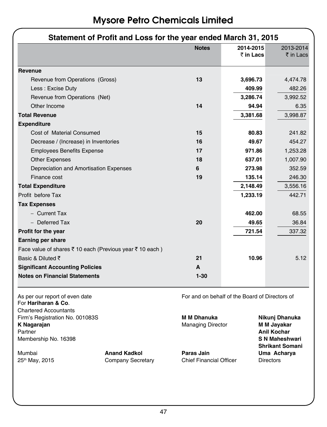| Statement of Profit and Loss for the year ended March 31, 2015 |              |                                                |                            |  |  |
|----------------------------------------------------------------|--------------|------------------------------------------------|----------------------------|--|--|
|                                                                | <b>Notes</b> | 2014-2015                                      | 2013-2014                  |  |  |
|                                                                |              | ₹ in Lacs                                      | $\bar{\bar{\tau}}$ in Lacs |  |  |
| Revenue                                                        |              |                                                |                            |  |  |
| Revenue from Operations (Gross)                                | 13           | 3,696.73                                       | 4,474.78                   |  |  |
| Less: Excise Duty                                              |              | 409.99                                         | 482.26                     |  |  |
| Revenue from Operations (Net)                                  |              | 3,286.74                                       | 3,992.52                   |  |  |
| Other Income                                                   | 14           | 94.94                                          | 6.35                       |  |  |
| <b>Total Revenue</b>                                           |              | 3,381.68                                       | 3,998.87                   |  |  |
| <b>Expenditure</b>                                             |              |                                                |                            |  |  |
| Cost of Material Consumed                                      | 15           | 80.83                                          | 241.82                     |  |  |
| Decrease / (Increase) in Inventories                           | 16           | 49.67                                          | 454.27                     |  |  |
| <b>Employees Benefits Expense</b>                              | 17           | 971.86                                         | 1,253.28                   |  |  |
| <b>Other Expenses</b>                                          | 18           | 637.01                                         | 1,007.90                   |  |  |
| Depreciation and Amortisation Expenses                         | 6            | 273.98                                         | 352.59                     |  |  |
| Finance cost                                                   | 19           | 135.14                                         | 246.30                     |  |  |
| <b>Total Expenditure</b>                                       |              | 2,148.49                                       | 3,556.16                   |  |  |
| Profit before Tax                                              |              | 1,233.19                                       | 442.71                     |  |  |
| <b>Tax Expenses</b>                                            |              |                                                |                            |  |  |
| - Current Tax                                                  |              | 462.00                                         | 68.55                      |  |  |
| - Deferred Tax                                                 | 20           | 49.65                                          | 36.84                      |  |  |
| Profit for the year                                            |              | 721.54                                         | 337.32                     |  |  |
| <b>Earning per share</b>                                       |              |                                                |                            |  |  |
| Face value of shares ₹ 10 each (Previous year ₹ 10 each)       |              |                                                |                            |  |  |
| Basic & Diluted $\bar{\tau}$                                   | 21           | 10.96                                          | 5.12                       |  |  |
| <b>Significant Accounting Policies</b>                         | A            |                                                |                            |  |  |
| <b>Notes on Financial Statements</b>                           | $1 - 30$     |                                                |                            |  |  |
| As per our report of even date                                 |              | For and on behalf of the Board of Directors of |                            |  |  |

For **Hariharan & Co**. Chartered Accountants Firm's Registration No. 001083S **M M Dhanuka Nikunj Dhanuka** Partner **Anil Kochar** Membership No. 16398 **S N Maheshwari**

Company Secretary

**Managing Director** 

Mumbai **Anand Kadkol Paras Jain Uma Acharya**

 **Shrikant Somani**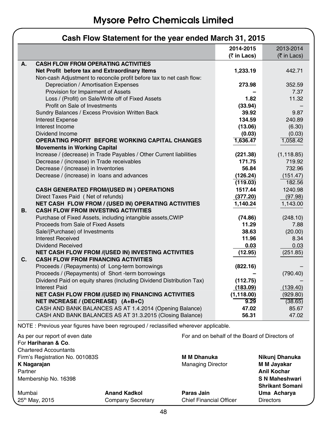|    | Cash Flow Statement for the year ended March 31, 2015                                                             |                          |                          |  |  |
|----|-------------------------------------------------------------------------------------------------------------------|--------------------------|--------------------------|--|--|
|    |                                                                                                                   | 2014-2015                | 2013-2014                |  |  |
|    |                                                                                                                   | $(7 \in \text{Ln}$ Lacs) | $(5 \in \text{Ln}$ Lacs) |  |  |
| А. | <b>CASH FLOW FROM OPERATING ACTIVITIES</b>                                                                        |                          |                          |  |  |
|    | Net Profit before tax and Extraordinary Items                                                                     | 1,233.19                 | 442.71                   |  |  |
|    | Non-cash Adjustment to reconcile profit before tax to net cash flow:                                              |                          |                          |  |  |
|    | Depreciation / Amortisation Expenses                                                                              | 273.98                   | 352.59                   |  |  |
|    | Provision for Impairment of Assets                                                                                |                          | 7.37                     |  |  |
|    | Loss / (Profit) on Sale/Write off of Fixed Assets                                                                 | 1.82                     | 11.32                    |  |  |
|    | Profit on Sale of Investments                                                                                     | (33.94)                  |                          |  |  |
|    | Sundry Balances / Excess Provision Written Back                                                                   | 39.92                    | 9.87                     |  |  |
|    | <b>Interest Expense</b>                                                                                           | 134.59                   | 240.89                   |  |  |
|    | Interest Income                                                                                                   | (13.06)                  | (6.30)                   |  |  |
|    | Dividend Income                                                                                                   | (0.03)                   | (0.03)                   |  |  |
|    | <b>OPERATING PROFIT BEFORE WORKING CAPITAL CHANGES</b>                                                            | 1,636.47                 | 1,058.42                 |  |  |
|    | <b>Movements in Working Capital</b>                                                                               |                          |                          |  |  |
|    | Increase / (decrease) in Trade Payables / Other Current liabilities<br>Decrease / (increase) in Trade receivables | (221.38)<br>171.75       | (1, 118.85)              |  |  |
|    | Decrease / (increase) in Inventories                                                                              | 56.84                    | 719.92<br>732.96         |  |  |
|    | Decrease / (increase) in loans and advances                                                                       | (126.24)                 | (151.47)                 |  |  |
|    |                                                                                                                   | (119.03)                 | 182.56                   |  |  |
|    | <b>CASH GENERATED FROM/(USED IN) OPERATIONS</b>                                                                   | 1517.44                  | 1240.98                  |  |  |
|    | Direct Taxes Paid (Net of refunds)                                                                                | (377.20)                 | (97.98)                  |  |  |
|    | NET CASH FLOW FROM / (USED IN) OPERATING ACTIVITIES                                                               | 1,140.24                 | 1,143.00                 |  |  |
| В. | <b>CASH FLOW FROM INVESTING ACTIVITIES</b>                                                                        |                          |                          |  |  |
|    | Purchase of Fixed Assets, including intangible assets, CWIP                                                       | (74.86)                  | (248.10)                 |  |  |
|    | Proceeds from Sale of Fixed Assets                                                                                | 11.29                    | 7.88                     |  |  |
|    | Sale/(Purchase) of Investments                                                                                    | 38.63                    | (20.00)                  |  |  |
|    | Interest Received                                                                                                 | 11.96                    | 8.34                     |  |  |
|    | Dividend Received                                                                                                 | 0.03                     | 0.03                     |  |  |
|    | NET CASH FLOW FROM /(USED IN) INVESTING ACTIVITIES                                                                | (12.95)                  | (251.85)                 |  |  |
| C. | <b>CASH FLOW FROM FINANCING ACTIVITIES</b>                                                                        |                          |                          |  |  |
|    | Proceeds / (Repayments) of Long-term borrowings                                                                   | (822.16)                 |                          |  |  |
|    | Proceeds / (Repayments) of Short - term borrowings                                                                |                          | (790.40)                 |  |  |
|    | Dividend Paid on equity shares (Including Dividend Distribution Tax)                                              | (112.75)                 |                          |  |  |
|    | Interest Paid                                                                                                     | (183.09)                 | (139.40)                 |  |  |
|    | NET CASH FLOW FROM /(USED IN) FINANCING ACTIVITIES                                                                | (1, 118.00)              | (929.80)                 |  |  |
|    | NET INCREASE / (DECREASE) (A+B+C)                                                                                 | 9.29                     | (38.65)                  |  |  |
|    | CASH AND BANK BALANCES AS AT 1.4.2014 (Opening Balance)                                                           | 47.02                    | 85.67                    |  |  |
|    | CASH AND BANK BALANCES AS AT 31.3.2015 (Closing Balance)                                                          | 56.31                    | 47.02                    |  |  |

NOTE : Previous year figures have been regrouped / reclassified wherever applicable.

| As per our report of even date  |                     | For and on behalf of the Board of Directors of |                        |
|---------------------------------|---------------------|------------------------------------------------|------------------------|
| For Hariharan & Co.             |                     |                                                |                        |
| <b>Chartered Accountants</b>    |                     |                                                |                        |
| Firm's Registration No. 001083S |                     | <b>M M Dhanuka</b>                             | Nikuni Dhanuka         |
| K Nagarajan                     |                     | <b>Managing Director</b>                       | M M Jayakar            |
| Partner                         |                     |                                                | <b>Anil Kochar</b>     |
| Membership No. 16398            |                     |                                                | S N Maheshwari         |
|                                 |                     |                                                | <b>Shrikant Somani</b> |
| Mumbai                          | <b>Anand Kadkol</b> | Paras Jain                                     | Uma Acharya            |
| 25 <sup>th</sup> May, 2015      | Company Secretary   | <b>Chief Financial Officer</b>                 | <b>Directors</b>       |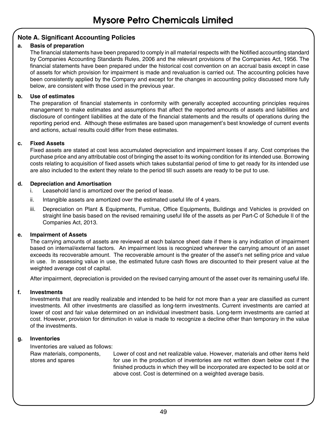#### **Note A. Significant Accounting Policies**

#### **a. Basis of preparation**

The financial statements have been prepared to comply in all material respects with the Notified accounting standard by Companies Accounting Standards Rules, 2006 and the relevant provisions of the Companies Act, 1956. The financial statements have been prepared under the historical cost convention on an accrual basis except in case of assets for which provision for impairment is made and revaluation is carried out. The accounting policies have been consistently applied by the Company and except for the changes in accounting policy discussed more fully below, are consistent with those used in the previous year.

#### **b. Use of estimates**

The preparation of financial statements in conformity with generally accepted accounting principles requires management to make estimates and assumptions that affect the reported amounts of assets and liabilities and disclosure of contingent liabilities at the date of the financial statements and the results of operations during the reporting period end. Although these estimates are based upon management's best knowledge of current events and actions, actual results could differ from these estimates.

#### **c. Fixed Assets**

Fixed assets are stated at cost less accumulated depreciation and impairment losses if any. Cost comprises the purchase price and any attributable cost of bringing the asset to its working condition for its intended use. Borrowing costs relating to acquisition of fixed assets which takes substantial period of time to get ready for its intended use are also included to the extent they relate to the period till such assets are ready to be put to use.

#### **d. Depreciation and Amortisation**

- i. Leasehold land is amortized over the period of lease.
- ii. Intangible assets are amortized over the estimated useful life of 4 years.
- iii. Depreciation on Plant & Equipments, Furnitue, Office Equipments, Buildings and Vehicles is provided on straight line basis based on the revised remaining useful life of the assets as per Part-C of Schedule II of the Companies Act, 2013.

#### **e. Impairment of Assets**

The carrying amounts of assets are reviewed at each balance sheet date if there is any indication of impairment based on internal/external factors. An impairment loss is recognized wherever the carrying amount of an asset exceeds its recoverable amount. The recoverable amount is the greater of the asset's net selling price and value in use. In assessing value in use, the estimated future cash flows are discounted to their present value at the weighted average cost of capital.

After impairment, depreciation is provided on the revised carrying amount of the asset over its remaining useful life.

#### **f. Investments**

Investments that are readily realizable and intended to be held for not more than a year are classified as current investments. All other investments are classified as long-term investments. Current investments are carried at lower of cost and fair value determined on an individual investment basis. Long-term investments are carried at cost. However, provision for diminution in value is made to recognize a decline other than temporary in the value of the investments.

#### **g. Inventories**

Inventories are valued as follows: Raw materials, components, stores and spares

Lower of cost and net realizable value. However, materials and other items held for use in the production of inventories are not written down below cost if the finished products in which they will be incorporated are expected to be sold at or above cost. Cost is determined on a weighted average basis.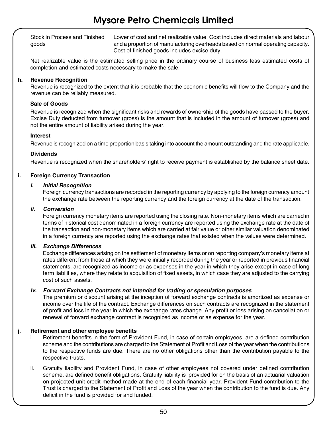Stock in Process and Finished goods

Lower of cost and net realizable value. Cost includes direct materials and labour and a proportion of manufacturing overheads based on normal operating capacity. Cost of finished goods includes excise duty.

Net realizable value is the estimated selling price in the ordinary course of business less estimated costs of completion and estimated costs necessary to make the sale.

#### **h. Revenue Recognition**

Revenue is recognized to the extent that it is probable that the economic benefits will flow to the Company and the revenue can be reliably measured.

#### **Sale of Goods**

Revenue is recognized when the significant risks and rewards of ownership of the goods have passed to the buyer. Excise Duty deducted from turnover (gross) is the amount that is included in the amount of turnover (gross) and not the entire amount of liability arised during the year.

#### **Interest**

Revenue is recognized on a time proportion basis taking into account the amount outstanding and the rate applicable.

#### **Dividends**

Revenue is recognized when the shareholders' right to receive payment is established by the balance sheet date.

#### **i. Foreign Currency Transaction**

#### *i. Initial Recognition*

Foreign currency transactions are recorded in the reporting currency by applying to the foreign currency amount the exchange rate between the reporting currency and the foreign currency at the date of the transaction.

#### *ii. Conversion*

Foreign currency monetary items are reported using the closing rate. Non-monetary items which are carried in terms of historical cost denominated in a foreign currency are reported using the exchange rate at the date of the transaction and non-monetary items which are carried at fair value or other similar valuation denominated in a foreign currency are reported using the exchange rates that existed when the values were determined.

#### *iii. Exchange Differences*

Exchange differences arising on the settlement of monetary items or on reporting company's monetary items at rates different from those at which they were initially recorded during the year or reported in previous financial statements, are recognized as income or as expenses in the year in which they arise except in case of long term liabilities, where they relate to acquisition of fixed assets, in which case they are adjusted to the carrying cost of such assets.

#### *iv. Forward Exchange Contracts not intended for trading or speculation purposes*

The premium or discount arising at the inception of forward exchange contracts is amortized as expense or income over the life of the contract. Exchange differences on such contracts are recognized in the statement of profit and loss in the year in which the exchange rates change. Any profit or loss arising on cancellation or renewal of forward exchange contract is recognized as income or as expense for the year.

#### **j. Retirement and other employee benefits**

- i. Retirement benefits in the form of Provident Fund, in case of certain employees, are a defined contribution scheme and the contributions are charged to the Statement of Profit and Loss of the year when the contributions to the respective funds are due. There are no other obligations other than the contribution payable to the respective trusts.
- ii. Gratuity liability and Provident Fund, in case of other employees not covered under defined contribution scheme, are defined benefit obligations. Gratuity liability is provided for on the basis of an actuarial valuation on projected unit credit method made at the end of each financial year. Provident Fund contribution to the Trust is charged to the Statement of Profit and Loss of the year when the contribution to the fund is due. Any deficit in the fund is provided for and funded.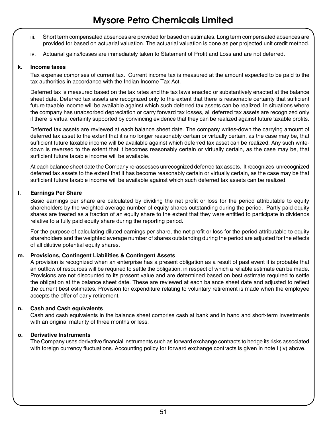- iii. Short term compensated absences are provided for based on estimates. Long term compensated absences are provided for based on actuarial valuation. The actuarial valuation is done as per projected unit credit method.
- iv. Actuarial gains/losses are immediately taken to Statement of Profit and Loss and are not deferred.

#### **k. Income taxes**

Tax expense comprises of current tax. Current income tax is measured at the amount expected to be paid to the tax authorities in accordance with the Indian Income Tax Act.

Deferred tax is measured based on the tax rates and the tax laws enacted or substantively enacted at the balance sheet date. Deferred tax assets are recognized only to the extent that there is reasonable certainty that sufficient future taxable income will be available against which such deferred tax assets can be realized. In situations where the company has unabsorbed depreciation or carry forward tax losses, all deferred tax assets are recognized only if there is virtual certainty supported by convincing evidence that they can be realized against future taxable profits.

Deferred tax assets are reviewed at each balance sheet date. The company writes-down the carrying amount of deferred tax asset to the extent that it is no longer reasonably certain or virtually certain, as the case may be, that sufficient future taxable income will be available against which deferred tax asset can be realized. Any such writedown is reversed to the extent that it becomes reasonably certain or virtually certain, as the case may be, that sufficient future taxable income will be available.

At each balance sheet date the Company re-assesses unrecognized deferred tax assets. It recognizes unrecognized deferred tax assets to the extent that it has become reasonably certain or virtually certain, as the case may be that sufficient future taxable income will be available against which such deferred tax assets can be realized.

#### **l. Earnings Per Share**

Basic earnings per share are calculated by dividing the net profit or loss for the period attributable to equity shareholders by the weighted average number of equity shares outstanding during the period. Partly paid equity shares are treated as a fraction of an equity share to the extent that they were entitled to participate in dividends relative to a fully paid equity share during the reporting period.

For the purpose of calculating diluted earnings per share, the net profit or loss for the period attributable to equity shareholders and the weighted average number of shares outstanding during the period are adjusted for the effects of all dilutive potential equity shares.

#### **m. Provisions, Contingent Liabilities & Contingent Assets**

A provision is recognized when an enterprise has a present obligation as a result of past event it is probable that an outflow of resources will be required to settle the obligation, in respect of which a reliable estimate can be made. Provisions are not discounted to its present value and are determined based on best estimate required to settle the obligation at the balance sheet date. These are reviewed at each balance sheet date and adjusted to reflect the current best estimates. Provision for expenditure relating to voluntary retirement is made when the employee accepts the offer of early retirement.

#### **n. Cash and Cash equivalents**

Cash and cash equivalents in the balance sheet comprise cash at bank and in hand and short-term investments with an original maturity of three months or less.

#### **o. Derivative Instruments**

The Company uses derivative financial instruments such as forward exchange contracts to hedge its risks associated with foreign currency fluctuations. Accounting policy for forward exchange contracts is given in note i (iv) above.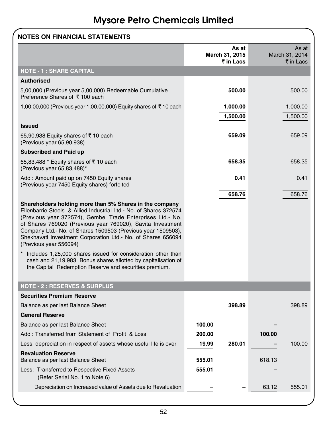| <b>NOTES ON FINANCIAL STATEMENTS</b>                                                                                                                                                                                                                                                                                                                                                                            |                                      |        |                                      |
|-----------------------------------------------------------------------------------------------------------------------------------------------------------------------------------------------------------------------------------------------------------------------------------------------------------------------------------------------------------------------------------------------------------------|--------------------------------------|--------|--------------------------------------|
|                                                                                                                                                                                                                                                                                                                                                                                                                 | As at<br>March 31, 2015<br>₹ in Lacs |        | As at<br>March 31, 2014<br>₹ in Lacs |
| <b>NOTE - 1 : SHARE CAPITAL</b>                                                                                                                                                                                                                                                                                                                                                                                 |                                      |        |                                      |
| <b>Authorised</b>                                                                                                                                                                                                                                                                                                                                                                                               |                                      |        |                                      |
| 5,00,000 (Previous year 5,00,000) Redeemable Cumulative<br>Preference Shares of ₹100 each                                                                                                                                                                                                                                                                                                                       | 500.00                               |        | 500.00                               |
| 1,00,00,000 (Previous year 1,00,00,000) Equity shares of ₹10 each                                                                                                                                                                                                                                                                                                                                               | 1,000.00                             |        | 1,000.00                             |
|                                                                                                                                                                                                                                                                                                                                                                                                                 | 1,500.00                             |        | 1,500.00                             |
| <b>Issued</b>                                                                                                                                                                                                                                                                                                                                                                                                   |                                      |        |                                      |
| 65,90,938 Equity shares of ₹10 each<br>(Previous year 65,90,938)                                                                                                                                                                                                                                                                                                                                                | 659.09                               |        | 659.09                               |
| <b>Subscribed and Paid up</b>                                                                                                                                                                                                                                                                                                                                                                                   |                                      |        |                                      |
| 65,83,488 * Equity shares of ₹10 each<br>(Previous year 65,83,488)*                                                                                                                                                                                                                                                                                                                                             | 658.35                               |        | 658.35                               |
| Add: Amount paid up on 7450 Equity shares<br>(Previous year 7450 Equity shares) forfeited                                                                                                                                                                                                                                                                                                                       | 0.41                                 |        | 0.41                                 |
|                                                                                                                                                                                                                                                                                                                                                                                                                 | 658.76                               |        | 658.76                               |
| Shareholders holding more than 5% Shares in the company<br>Ellenbarrie Steels & Allied Industrial Ltd. No. of Shares 372574<br>(Previous year 372574), Gembel Trade Enterprises Ltd. No.<br>of Shares 769020 (Previous year 769020), Savita Investment<br>Company Ltd.- No. of Shares 1509503 (Previous year 1509503),<br>Shekhavati Investment Corporation Ltd. No. of Shares 656094<br>(Previous year 556094) |                                      |        |                                      |
| Includes 1,25,000 shares issued for consideration other than<br>cash and 21,19,983 Bonus shares allotted by capitalisation of<br>the Capital Redemption Reserve and securities premium.                                                                                                                                                                                                                         |                                      |        |                                      |
| <b>NOTE - 2 : RESERVES &amp; SURPLUS</b>                                                                                                                                                                                                                                                                                                                                                                        |                                      |        |                                      |
| <b>Securities Premium Reserve</b>                                                                                                                                                                                                                                                                                                                                                                               |                                      |        |                                      |
| Balance as per last Balance Sheet                                                                                                                                                                                                                                                                                                                                                                               | 398.89                               |        | 398.89                               |
| <b>General Reserve</b>                                                                                                                                                                                                                                                                                                                                                                                          |                                      |        |                                      |
| Balance as per last Balance Sheet                                                                                                                                                                                                                                                                                                                                                                               | 100.00                               |        |                                      |
| Add: Transferred from Statement of Profit & Loss                                                                                                                                                                                                                                                                                                                                                                | 200.00                               | 100.00 |                                      |
| Less: depreciation in respect of assets whose useful life is over                                                                                                                                                                                                                                                                                                                                               | 280.01<br>19.99                      |        | 100.00                               |
| <b>Revaluation Reserve</b><br>Balance as per last Balance Sheet                                                                                                                                                                                                                                                                                                                                                 | 555.01                               | 618.13 |                                      |
| Less: Transferred to Respective Fixed Assets<br>(Refer Serial No. 1 to Note 6)                                                                                                                                                                                                                                                                                                                                  | 555.01                               |        |                                      |
| Depreciation on Increased value of Assets due to Revaluation                                                                                                                                                                                                                                                                                                                                                    |                                      | 63.12  | 555.01                               |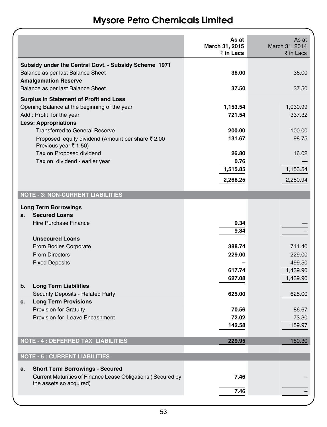|                                                                                                                           | As at<br>March 31, 2015<br>$\bar{z}$ in Lacs | As at<br>March 31, 2014<br>$\bar{\tau}$ in Lacs |
|---------------------------------------------------------------------------------------------------------------------------|----------------------------------------------|-------------------------------------------------|
| Subsidy under the Central Govt. - Subsidy Scheme 1971<br>Balance as per last Balance Sheet<br><b>Amalgamation Reserve</b> | 36.00                                        | 36.00                                           |
| Balance as per last Balance Sheet                                                                                         | 37.50                                        | 37.50                                           |
| Surplus in Statement of Profit and Loss<br>Opening Balance at the beginning of the year                                   | 1,153.54                                     | 1,030.99                                        |
| Add: Profit for the year                                                                                                  | 721.54                                       | 337.32                                          |
| <b>Less: Appropriations</b><br><b>Transferred to General Reserve</b>                                                      | 200.00                                       | 100.00                                          |
| Proposed equity dividend (Amount per share ₹ 2.00<br>Previous year ₹ 1.50)                                                | 131.67                                       | 98.75                                           |
| Tax on Proposed dividend                                                                                                  | 26.80                                        | 16.02                                           |
| Tax on dividend - earlier year                                                                                            | 0.76<br>1,515.85                             | 1,153.54                                        |
|                                                                                                                           | 2,268.25                                     | 2,280.94                                        |
| <b>NOTE - 3: NON-CURRENT LIABILITIES</b>                                                                                  |                                              |                                                 |
| <b>Long Term Borrowings</b>                                                                                               |                                              |                                                 |
| <b>Secured Loans</b><br>a.                                                                                                |                                              |                                                 |
| <b>Hire Purchase Finance</b>                                                                                              | 9.34<br>9.34                                 |                                                 |
| <b>Unsecured Loans</b>                                                                                                    |                                              |                                                 |
| From Bodies Corporate                                                                                                     | 388.74                                       | 711.40                                          |
| <b>From Directors</b>                                                                                                     | 229.00                                       | 229.00                                          |
| <b>Fixed Deposits</b>                                                                                                     |                                              | 499.50                                          |
|                                                                                                                           | 617.74                                       | 1,439.90                                        |
|                                                                                                                           | 627.08                                       | 1,439.90                                        |
| <b>Long Term Liabilities</b><br>b.                                                                                        |                                              |                                                 |
| Security Deposits - Related Party                                                                                         | 625.00                                       | 625.00                                          |
| <b>Long Term Provisions</b><br>с.                                                                                         |                                              |                                                 |
| <b>Provision for Gratuity</b><br>Provision for Leave Encashment                                                           | 70.56<br>72.02                               | 86.67<br>73.30                                  |
|                                                                                                                           | 142.58                                       | 159.97                                          |
|                                                                                                                           |                                              |                                                 |
| <b>NOTE - 4 : DEFERRED TAX LIABILITIES</b>                                                                                | 229.95                                       | 180.30                                          |
| <b>NOTE - 5 : CURRENT LIABILITIES</b>                                                                                     |                                              |                                                 |
| <b>Short Term Borrowings - Secured</b><br>а.                                                                              |                                              |                                                 |
| Current Maturities of Finance Lease Obligations (Secured by                                                               | 7.46                                         |                                                 |
| the assets so acquired)                                                                                                   | 7.46                                         |                                                 |
|                                                                                                                           |                                              |                                                 |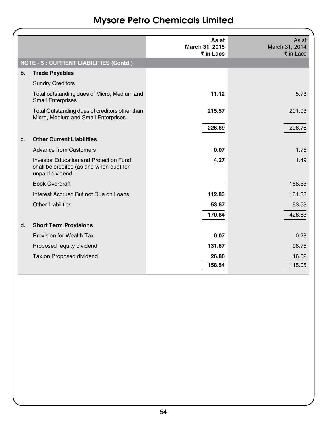|                                                                                                             | As at<br>March 31, 2015<br>₹ in Lacs | As at<br>March 31, 2014<br>$\bar{\bar{\tau}}$ in Lacs |
|-------------------------------------------------------------------------------------------------------------|--------------------------------------|-------------------------------------------------------|
| <b>NOTE - 5 : CURRENT LIABILITIES (Contd.)</b>                                                              |                                      |                                                       |
| $b$ .<br><b>Trade Payables</b>                                                                              |                                      |                                                       |
| <b>Sundry Creditors</b>                                                                                     |                                      |                                                       |
| Total outstanding dues of Micro, Medium and<br><b>Small Enterprises</b>                                     | 11.12                                | 5.73                                                  |
| Total Outstanding dues of creditors other than<br>Micro, Medium and Small Enterprises                       | 215.57                               | 201.03                                                |
|                                                                                                             | 226.69                               | 206.76                                                |
| <b>Other Current Liabilities</b><br>c.                                                                      |                                      |                                                       |
| <b>Advance from Customers</b>                                                                               | 0.07                                 | 1.75                                                  |
| <b>Investor Education and Protection Fund</b><br>shall be credited (as and when due) for<br>unpaid dividend | 4.27                                 | 1.49                                                  |
| <b>Book Overdraft</b>                                                                                       |                                      | 168.53                                                |
| Interest Accrued But not Due on Loans                                                                       | 112.83                               | 161.33                                                |
| <b>Other Liabilities</b>                                                                                    | 53.67                                | 93.53                                                 |
|                                                                                                             | 170.84                               | 426.63                                                |
| <b>Short Term Provisions</b><br>d.                                                                          |                                      |                                                       |
| Provision for Wealth Tax                                                                                    | 0.07                                 | 0.28                                                  |
| Proposed equity dividend                                                                                    | 131.67                               | 98.75                                                 |
| Tax on Proposed dividend                                                                                    | 26.80                                | 16.02                                                 |
|                                                                                                             | 158.54                               | 115.05                                                |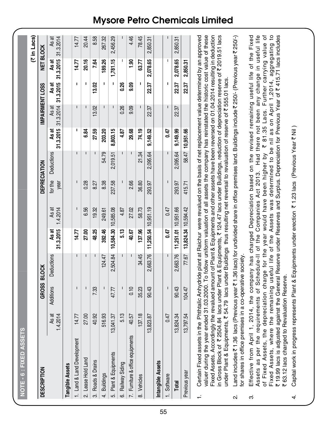|    | NOTE - 6 : FIXED ASSETS                                                                                                                                                                                                                                                                                                                                                                                                                                                                                                                                                                                 |                   |              |                                                                                                                                                                                                                                                                                                                                     |                     |                                                                                                                                                                                                                                                                                                                                                                                  |                 |              |                    |                    |                    |                    |                    |
|----|---------------------------------------------------------------------------------------------------------------------------------------------------------------------------------------------------------------------------------------------------------------------------------------------------------------------------------------------------------------------------------------------------------------------------------------------------------------------------------------------------------------------------------------------------------------------------------------------------------|-------------------|--------------|-------------------------------------------------------------------------------------------------------------------------------------------------------------------------------------------------------------------------------------------------------------------------------------------------------------------------------------|---------------------|----------------------------------------------------------------------------------------------------------------------------------------------------------------------------------------------------------------------------------------------------------------------------------------------------------------------------------------------------------------------------------|-----------------|--------------|--------------------|--------------------|--------------------|--------------------|--------------------|
|    |                                                                                                                                                                                                                                                                                                                                                                                                                                                                                                                                                                                                         |                   |              |                                                                                                                                                                                                                                                                                                                                     |                     |                                                                                                                                                                                                                                                                                                                                                                                  |                 |              |                    |                    |                    |                    | (₹ in Lacs)        |
|    | <b>DESCRIPTION</b>                                                                                                                                                                                                                                                                                                                                                                                                                                                                                                                                                                                      |                   | GROSS BLOCK  |                                                                                                                                                                                                                                                                                                                                     |                     |                                                                                                                                                                                                                                                                                                                                                                                  | DEPRECIATION    |              |                    |                    | IMPAIRMENT LOSS    | NET BLOCK          |                    |
|    |                                                                                                                                                                                                                                                                                                                                                                                                                                                                                                                                                                                                         | 1.4.2014<br>As at | Additions    | Deductions                                                                                                                                                                                                                                                                                                                          | 31.3.2015<br>As at  | As at<br>1.4.2014                                                                                                                                                                                                                                                                                                                                                                | for the<br>year | Deductions   | 31.3.2015<br>As at | 31.3.2014<br>As at | 31.3.2015<br>As at | 31.3.2015<br>As at | 31.3.2014<br>As at |
|    | <b>Tangible Assets</b>                                                                                                                                                                                                                                                                                                                                                                                                                                                                                                                                                                                  |                   |              |                                                                                                                                                                                                                                                                                                                                     |                     |                                                                                                                                                                                                                                                                                                                                                                                  |                 |              |                    |                    |                    |                    |                    |
|    | ξ<br>1. Land & Land Developm                                                                                                                                                                                                                                                                                                                                                                                                                                                                                                                                                                            | 14.77             | $\mathbf{I}$ | $\mathbf{I}$                                                                                                                                                                                                                                                                                                                        | 14.77               | $\begin{array}{c} \rule{0pt}{2.5ex} \rule{0pt}{2.5ex} \rule{0pt}{2.5ex} \rule{0pt}{2.5ex} \rule{0pt}{2.5ex} \rule{0pt}{2.5ex} \rule{0pt}{2.5ex} \rule{0pt}{2.5ex} \rule{0pt}{2.5ex} \rule{0pt}{2.5ex} \rule{0pt}{2.5ex} \rule{0pt}{2.5ex} \rule{0pt}{2.5ex} \rule{0pt}{2.5ex} \rule{0pt}{2.5ex} \rule{0pt}{2.5ex} \rule{0pt}{2.5ex} \rule{0pt}{2.5ex} \rule{0pt}{2.5ex} \rule{0$ | $\overline{1}$  | I.           | ı                  | $\mathbf{I}$       | $\mathbf I$        | 14.77              | 14.77              |
|    | 2. Lease Hold Land                                                                                                                                                                                                                                                                                                                                                                                                                                                                                                                                                                                      | 27.00             | I            | I                                                                                                                                                                                                                                                                                                                                   | 27.00               | 6.56                                                                                                                                                                                                                                                                                                                                                                             | 0.28            | $\mathbf{I}$ | 6.84               | $\mathbf{I}$       | ı                  | 20.16              | 20.44              |
|    | 3. Roads & Drains                                                                                                                                                                                                                                                                                                                                                                                                                                                                                                                                                                                       | 40.92             | 7.33         |                                                                                                                                                                                                                                                                                                                                     | 48.25               | 19.32                                                                                                                                                                                                                                                                                                                                                                            | 8.27            | п            | 27.59              | 13.02              | 13.02              | 7.64               | 8.58               |
|    | 4. Buildings                                                                                                                                                                                                                                                                                                                                                                                                                                                                                                                                                                                            | 516.93            |              | 124.47                                                                                                                                                                                                                                                                                                                              | 392.46              | 249.61                                                                                                                                                                                                                                                                                                                                                                           | 8.38            | 54.79        | 203.20             |                    | I.                 | 189.26             | 267.32             |
| ću | Plant & Equipments                                                                                                                                                                                                                                                                                                                                                                                                                                                                                                                                                                                      | 13,041.37         | 47.77        | 2,504.84                                                                                                                                                                                                                                                                                                                            | 10,584.30 10,585.08 |                                                                                                                                                                                                                                                                                                                                                                                  | 237.58          | 2,019.51     | 8,803.15           | $\mathbf{I}$       | ı                  | 1,781.15           | 2,456.29           |
|    | 6. Railway Siding                                                                                                                                                                                                                                                                                                                                                                                                                                                                                                                                                                                       | 5.13              |              |                                                                                                                                                                                                                                                                                                                                     | 5.13                | 4.87                                                                                                                                                                                                                                                                                                                                                                             |                 |              | 4.87               | 0.26               | 0.26               | ı                  |                    |
|    | ents<br>7. Furniture & office equipm                                                                                                                                                                                                                                                                                                                                                                                                                                                                                                                                                                    | 40.57             | 0.10         |                                                                                                                                                                                                                                                                                                                                     | 40.67               | 27.02                                                                                                                                                                                                                                                                                                                                                                            | 2.66            | T            | 29.68              | 9.09               | 9.09               | $\frac{6}{1}$      | 4.46               |
|    | 8. Vehicles                                                                                                                                                                                                                                                                                                                                                                                                                                                                                                                                                                                             | 137.18            | 35.23        | 34.45                                                                                                                                                                                                                                                                                                                               | 137.96              | 58.73                                                                                                                                                                                                                                                                                                                                                                            | 36.80           | 21.34        | 74.19              |                    | ı                  | 63.77              | 78.45              |
|    |                                                                                                                                                                                                                                                                                                                                                                                                                                                                                                                                                                                                         | 13,823.87         | 90.43        | 2,663.76                                                                                                                                                                                                                                                                                                                            | 11,250.54 10,951.19 |                                                                                                                                                                                                                                                                                                                                                                                  | 293.97          | 2,095.64     | 9,149.52           | 22.37              | 22.37              | 2,078.65           | 2,850.31           |
|    | Intangible Assets                                                                                                                                                                                                                                                                                                                                                                                                                                                                                                                                                                                       |                   |              |                                                                                                                                                                                                                                                                                                                                     |                     |                                                                                                                                                                                                                                                                                                                                                                                  |                 |              |                    |                    |                    |                    |                    |
|    | 1. Software                                                                                                                                                                                                                                                                                                                                                                                                                                                                                                                                                                                             | 0.47              |              |                                                                                                                                                                                                                                                                                                                                     | <b>170</b>          | 0.47                                                                                                                                                                                                                                                                                                                                                                             | ī               | I            | <b>170</b>         | I                  | ı                  |                    |                    |
|    | Total                                                                                                                                                                                                                                                                                                                                                                                                                                                                                                                                                                                                   | 13,824.34         | 90.43        | 2,663.76                                                                                                                                                                                                                                                                                                                            | 11,251.01 10,951.66 |                                                                                                                                                                                                                                                                                                                                                                                  | 293.97          | 2,095.64     | 9,149.99           | 22.37              | 22.37              | 2,078.65           | 2,850.31           |
|    | Previous year                                                                                                                                                                                                                                                                                                                                                                                                                                                                                                                                                                                           | 13,797.54         | 104.47       | 77.67                                                                                                                                                                                                                                                                                                                               | 13,824.34 10,594.42 |                                                                                                                                                                                                                                                                                                                                                                                  | 415.71          | 58.47        | 10,951.66          |                    | 22.37              | 2,850.31           |                    |
|    | Certain Fixed assets in the Phthtalic Anhydride plant at Raichur were revalued on the basis of net replacement value determined by an approved<br>valuer during the year ended 31.03.2000. To follow uniform valuation of all assets the company has reinstated the historic cost value of these<br>Fixed Assets. Accordingly the revalued amount of Plant & Equipments and other assets have been reversed on 01.04.2014 resulting in deduction<br>under Plant & Equipments, ₹ 54.79 lacs under Buildings thus resulting net reversal to revaluation of reserve of ₹ 555.01 lacs.<br>in Gross Block of |                   |              | ₹ 2504.84 lacs under Plant & Equipments, ₹ 124.47 lacs under Buildings, reduction of depreciation reserve of ₹ 2019.51 lacs                                                                                                                                                                                                         |                     |                                                                                                                                                                                                                                                                                                                                                                                  |                 |              |                    |                    |                    |                    |                    |
| ςi | for shares in office premises in a co-operative society<br>Land includes ₹1                                                                                                                                                                                                                                                                                                                                                                                                                                                                                                                             |                   |              | .36 lacs (Previous year ₹ 1.36 lacs) for undivided share in office premises land. Buildings include ₹ 250/- (Previous year ₹ 250/-)                                                                                                                                                                                                 |                     |                                                                                                                                                                                                                                                                                                                                                                                  |                 |              |                    |                    |                    |                    |                    |
| က  | ₹ 19.99 lacs is adjusted against the General Reserve under Reserves and Surplus. Depreciation for Previous Year of ₹ 415.71 lacs includes<br>₹63.12 lacs charged to Revaluation Reserve.<br>of Fixed Assets, the depreciation charge for the year would have been higher by ₹ 81.35 Lacs. Further carrying value of<br>Fixed Assets,<br>Effective from<br>Assets as per                                                                                                                                                                                                                                 |                   |              | April 1, 2014, the company has charged Depreciation based on the revised remaining useful life of the Fixed<br>the requirements of Schedule-II of the Companies Act 2013. Had there not been any change in useful life<br>where the remaining useful life of the Assets was determined to be nil as on April 1,2014, aggregating to |                     |                                                                                                                                                                                                                                                                                                                                                                                  |                 |              |                    |                    |                    |                    |                    |

Capital work in progress represents Plant & Equipments under erection ₹1.23 lacs (Previous Year ₹ Nil) 4. Capital work in progress represents Plant & Equipments under erection ₹ 1.23 lacs (Previous Year ₹ Nil )

 $\vec{r}$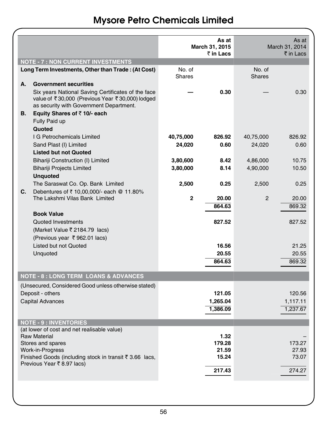| <b>NOTE - 7 : NON CURRENT INVESTMENTS</b> |                                                                                                                                                  |               | As at<br>March 31, 2015<br>₹ in Lacs |               | As at<br>March 31, 2014<br>$\bar{\tau}$ in Lacs |
|-------------------------------------------|--------------------------------------------------------------------------------------------------------------------------------------------------|---------------|--------------------------------------|---------------|-------------------------------------------------|
|                                           | Long Term Investments, Other than Trade: (At Cost)                                                                                               | No. of        |                                      | No. of        |                                                 |
| А.                                        | <b>Government securities</b>                                                                                                                     | <b>Shares</b> |                                      | <b>Shares</b> |                                                 |
|                                           | Six years National Saving Certificates of the face<br>value of ₹30,000 (Previous Year ₹30,000) lodged<br>as security with Government Department. |               | 0.30                                 |               | 0.30                                            |
| В.                                        | Equity Shares of $\bar{z}$ 10/- each<br>Fully Paid up                                                                                            |               |                                      |               |                                                 |
|                                           | Quoted                                                                                                                                           |               |                                      |               |                                                 |
|                                           | I G Petrochemicals Limited<br>Sand Plast (I) Limited                                                                                             | 40,75,000     | 826.92<br>0.60                       | 40,75,000     | 826.92<br>0.60                                  |
|                                           | <b>Listed but not Quoted</b>                                                                                                                     | 24,020        |                                      | 24,020        |                                                 |
|                                           | Bihariji Construction (I) Limited                                                                                                                | 3,80,600      | 8.42                                 | 4,86,000      | 10.75                                           |
|                                           | <b>Bihariji Projects Limited</b>                                                                                                                 | 3,80,000      | 8.14                                 | 4,90,000      | 10.50                                           |
|                                           | <b>Unquoted</b>                                                                                                                                  |               |                                      |               |                                                 |
|                                           | The Saraswat Co. Op. Bank Limited                                                                                                                | 2,500         | 0.25                                 | 2,500         | 0.25                                            |
| C.                                        | Debentures of ₹ 10,00,000/- each @ 11.80%<br>The Lakshmi Vilas Bank Limited                                                                      | $\mathbf{2}$  | 20.00                                | 2             | 20.00                                           |
|                                           |                                                                                                                                                  |               | 864.63                               |               | 869.32                                          |
|                                           | <b>Book Value</b>                                                                                                                                |               |                                      |               |                                                 |
|                                           | Quoted Investments                                                                                                                               |               | 827.52                               |               | 827.52                                          |
|                                           | (Market Value ₹ 2184.79 lacs)                                                                                                                    |               |                                      |               |                                                 |
|                                           | (Previous year ₹962.01 lacs)<br>Listed but not Quoted                                                                                            |               | 16.56                                |               | 21.25                                           |
|                                           | Unquoted                                                                                                                                         |               | 20.55                                |               | 20.55                                           |
|                                           |                                                                                                                                                  |               | 864.63                               |               | 869.32                                          |
|                                           |                                                                                                                                                  |               |                                      |               |                                                 |
|                                           | <b>NOTE - 8 : LONG TERM LOANS &amp; ADVANCES</b>                                                                                                 |               |                                      |               |                                                 |
|                                           | (Unsecured, Considered Good unless otherwise stated)                                                                                             |               |                                      |               |                                                 |
|                                           | Deposit - others                                                                                                                                 |               | 121.05                               |               | 120.56                                          |
|                                           | <b>Capital Advances</b>                                                                                                                          |               | 1,265.04                             |               | 1,117.11                                        |
|                                           |                                                                                                                                                  |               | 1,386.09                             |               | 1,237.67                                        |
|                                           | <b>NOTE - 9 : INVENTORIES</b>                                                                                                                    |               |                                      |               |                                                 |
|                                           | (at lower of cost and net realisable value)                                                                                                      |               |                                      |               |                                                 |
|                                           | <b>Raw Material</b>                                                                                                                              |               | 1.32<br>179.28                       |               | 173.27                                          |
|                                           | Stores and spares<br>Work-in-Progress                                                                                                            |               | 21.59                                |               | 27.93                                           |
|                                           | Finished Goods (including stock in transit ₹ 3.66 lacs,                                                                                          |               | 15.24                                |               | 73.07                                           |
|                                           | Previous Year ₹8.97 lacs)                                                                                                                        |               |                                      |               |                                                 |
|                                           |                                                                                                                                                  |               | 217.43                               |               | 274.27                                          |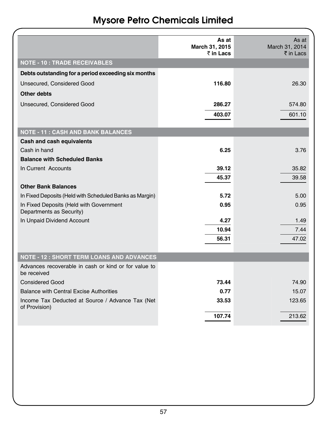|                                                                     | As at                       | As at                       |
|---------------------------------------------------------------------|-----------------------------|-----------------------------|
|                                                                     | March 31, 2015<br>₹ in Lacs | March 31, 2014<br>₹ in Lacs |
| <b>NOTE - 10 : TRADE RECEIVABLES</b>                                |                             |                             |
| Debts outstanding for a period exceeding six months                 |                             |                             |
| Unsecured, Considered Good                                          | 116.80                      | 26.30                       |
| Other debts                                                         |                             |                             |
| Unsecured, Considered Good                                          | 286.27                      | 574.80                      |
|                                                                     | 403.07                      | 601.10                      |
|                                                                     |                             |                             |
| <b>NOTE - 11: CASH AND BANK BALANCES</b>                            |                             |                             |
| Cash and cash equivalents                                           |                             |                             |
| Cash in hand                                                        | 6.25                        | 3.76                        |
| <b>Balance with Scheduled Banks</b>                                 |                             |                             |
| In Current Accounts                                                 | 39.12                       | 35.82                       |
|                                                                     | 45.37                       | 39.58                       |
| <b>Other Bank Balances</b>                                          |                             |                             |
| In Fixed Deposits (Held with Scheduled Banks as Margin)             | 5.72                        | 5.00                        |
| In Fixed Deposits (Held with Government<br>Departments as Security) | 0.95                        | 0.95                        |
| In Unpaid Dividend Account                                          | 4.27                        | 1.49                        |
|                                                                     | 10.94                       | 7.44                        |
|                                                                     | 56.31                       | 47.02                       |
|                                                                     |                             |                             |
| <b>NOTE - 12 : SHORT TERM LOANS AND ADVANCES</b>                    |                             |                             |
| Advances recoverable in cash or kind or for value to<br>be received |                             |                             |
| <b>Considered Good</b>                                              | 73.44                       | 74.90                       |
| <b>Balance with Central Excise Authorities</b>                      | 0.77                        | 15.07                       |
| Income Tax Deducted at Source / Advance Tax (Net<br>of Provision)   | 33.53                       | 123.65                      |
|                                                                     | 107.74                      | 213.62                      |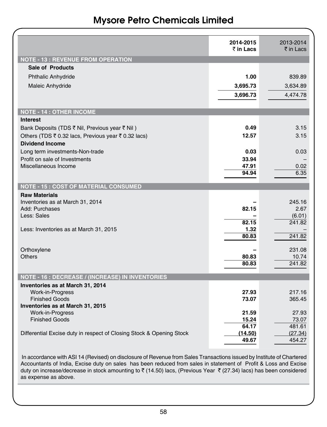|                                                                      | 2014-2015      | 2013-2014            |
|----------------------------------------------------------------------|----------------|----------------------|
|                                                                      | ₹ in Lacs      | $\bar{\tau}$ in Lacs |
| <b>NOTE - 13 : REVENUE FROM OPERATION</b>                            |                |                      |
| Sale of Products                                                     |                |                      |
| <b>Phthalic Anhydride</b>                                            | 1.00           | 839.89               |
| Maleic Anhydride                                                     | 3,695.73       | 3,634.89             |
|                                                                      | 3,696.73       | 4,474.78             |
|                                                                      |                |                      |
| <b>NOTE - 14 : OTHER INCOME</b>                                      |                |                      |
| <b>Interest</b>                                                      |                |                      |
| Bank Deposits (TDS ₹ Nil, Previous year ₹ Nil)                       | 0.49           | 3.15                 |
| Others (TDS ₹ 0.32 lacs, Previous year ₹ 0.32 lacs)                  | 12.57          | 3.15                 |
| <b>Dividend Income</b>                                               |                |                      |
| Long term investments-Non-trade                                      | 0.03           | 0.03                 |
| Profit on sale of Investments                                        | 33.94          |                      |
| Miscellaneous Income                                                 | 47.91          | 0.02                 |
|                                                                      | 94.94          | 6.35                 |
| <b>NOTE - 15: COST OF MATERIAL CONSUMED</b>                          |                |                      |
| <b>Raw Materials</b>                                                 |                |                      |
| Inventories as at March 31, 2014                                     |                | 245.16               |
| Add: Purchases                                                       | 82.15          | 2.67                 |
| Less: Sales                                                          |                | (6.01)               |
|                                                                      | 82.15          | 241.82               |
| Less: Inventories as at March 31, 2015                               | 1.32<br>80.83  | 241.82               |
|                                                                      |                |                      |
| Orthoxylene                                                          |                | 231.08               |
| <b>Others</b>                                                        | 80.83          | 10.74                |
|                                                                      | 80.83          | 241.82               |
| <b>NOTE - 16 : DECREASE / (INCREASE) IN INVENTORIES</b>              |                |                      |
| Inventories as at March 31, 2014                                     |                |                      |
| Work-in-Progress                                                     | 27.93          | 217.16               |
| <b>Finished Goods</b>                                                | 73.07          | 365.45               |
| Inventories as at March 31, 2015                                     |                |                      |
| Work-in-Progress                                                     | 21.59          | 27.93                |
| <b>Finished Goods</b>                                                | 15.24<br>64.17 | 73.07<br>481.61      |
| Differential Excise duty in respect of Closing Stock & Opening Stock | (14.50)        | (27.34)              |
|                                                                      | 49.67          | 454.27               |
|                                                                      |                |                      |

 In accordance with ASI 14 (Revised) on disclosure of Revenue from Sales Transactions issued by Institute of Chartered Accountants of India, Excise duty on sales has been reduced from sales in statement of Profit & Loss and Excise duty on increase/decrease in stock amounting to  $\bar{z}$  (14.50) lacs, (Previous Year  $\bar{z}$  (27.34) lacs) has been considered as expense as above.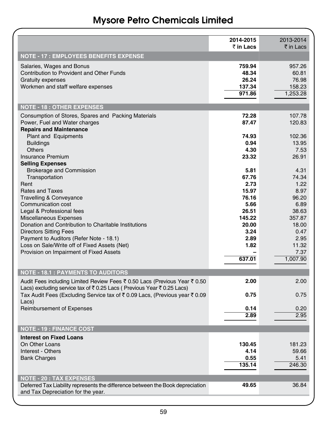|                                                                                                                                                    | 2014-2015<br>₹ in Lacs                       | 2013-2014<br>₹ in Lacs                         |
|----------------------------------------------------------------------------------------------------------------------------------------------------|----------------------------------------------|------------------------------------------------|
| <b>NOTE - 17 : EMPLOYEES BENEFITS EXPENSE</b>                                                                                                      |                                              |                                                |
| Salaries, Wages and Bonus<br>Contribution to Provident and Other Funds<br><b>Gratuity expenses</b><br>Workmen and staff welfare expenses           | 759.94<br>48.34<br>26.24<br>137.34<br>971.86 | 957.26<br>60.81<br>76.98<br>158.23<br>1,253.28 |
| <b>NOTE - 18: OTHER EXPENSES</b>                                                                                                                   |                                              |                                                |
| Consumption of Stores, Spares and Packing Materials<br>Power, Fuel and Water charges<br><b>Repairs and Maintenance</b>                             | 72.28<br>87.47                               | 107.78<br>120.83                               |
| <b>Plant and Equipments</b><br><b>Buildings</b>                                                                                                    | 74.93<br>0.94                                | 102.36<br>13.95                                |
| <b>Others</b>                                                                                                                                      | 4.30                                         | 7.53                                           |
| <b>Insurance Premium</b><br><b>Selling Expenses</b>                                                                                                | 23.32                                        | 26.91                                          |
| <b>Brokerage and Commission</b>                                                                                                                    | 5.81                                         | 4.31                                           |
| Transportation                                                                                                                                     | 67.76                                        | 74.34                                          |
| Rent<br><b>Rates and Taxes</b>                                                                                                                     | 2.73<br>15.97                                | 1.22<br>8.97                                   |
| Travelling & Conveyance                                                                                                                            | 76.16                                        | 96.20                                          |
| Communication cost                                                                                                                                 | 5.66                                         | 6.89                                           |
| Legal & Professional fees                                                                                                                          | 26.51                                        | 38.63                                          |
| Miscellaneous Expenses                                                                                                                             | 145.22                                       | 357.87                                         |
| Donation and Contribution to Charitable Institutions                                                                                               | 20.00                                        | 18.00                                          |
| <b>Directors Sitting Fees</b>                                                                                                                      | 3.24                                         | 0.47                                           |
| Payment to Auditors (Refer Note - 18.1)<br>Loss on Sale/Write off of Fixed Assets (Net)                                                            | 2.89<br>1.82                                 | 2.95<br>11.32                                  |
| Provision on Impairment of Fixed Assets                                                                                                            |                                              | 7.37                                           |
|                                                                                                                                                    | 637.01                                       | 1,007.90                                       |
| <b>NOTE - 18.1 : PAYMENTS TO AUDITORS</b>                                                                                                          |                                              |                                                |
| Audit Fees including Limited Review Fees ₹ 0.50 Lacs (Previous Year ₹ 0.50<br>Lacs) excluding service tax of ₹0.25 Lacs (Previous Year ₹0.25 Lacs) | 2.00                                         | 2.00                                           |
| Tax Audit Fees (Excluding Service tax of ₹ 0.09 Lacs, (Previous year ₹ 0.09<br>Lacs)                                                               | 0.75                                         | 0.75                                           |
| Reimbursement of Expenses                                                                                                                          | 0.14<br>2.89                                 | 0.20<br>2.95                                   |
| <b>NOTE - 19 : FINANCE COST</b>                                                                                                                    |                                              |                                                |
| <b>Interest on Fixed Loans</b>                                                                                                                     |                                              |                                                |
| On Other Loans                                                                                                                                     | 130.45                                       | 181.23                                         |
| Interest - Others                                                                                                                                  | 4.14                                         | 59.66                                          |
| <b>Bank Charges</b>                                                                                                                                | 0.55<br>135.14                               | 5.41<br>246.30                                 |
| <b>NOTE - 20 : TAX EXPENSES</b>                                                                                                                    |                                              |                                                |
| Deferred Tax Liability represents the difference between the Book depreciation<br>and Tax Depreciation for the year.                               | 49.65                                        | 36.84                                          |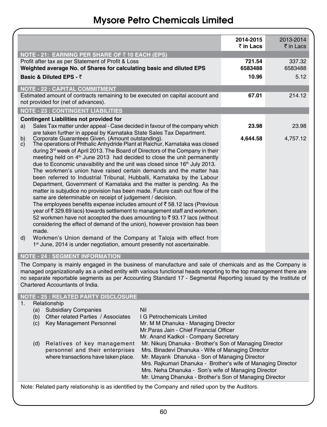|          |                                                                                                                                          | 2014-2015<br>$\bar{z}$ in Lacs | 2013-2014<br>₹ in Lacs |
|----------|------------------------------------------------------------------------------------------------------------------------------------------|--------------------------------|------------------------|
|          |                                                                                                                                          |                                |                        |
|          | NOTE - 21: EARNING PER SHARE OF ₹10 EACH (EPS)<br>Profit after tax as per Statement of Profit & Loss                                     | 721.54                         | 337.32                 |
|          | Weighted average No. of Shares for calculating basic and diluted EPS                                                                     | 6583488                        | 6583488                |
|          | Basic & Diluted EPS - $\bar{z}$                                                                                                          | 10.96                          | 5.12                   |
|          |                                                                                                                                          |                                |                        |
|          | <b>NOTE - 22 : CAPITAL COMMITMENT</b>                                                                                                    |                                |                        |
|          | Estimated amount of contracts remaining to be executed on capital account and                                                            | 67.01                          | 214.12                 |
|          | not provided for (net of advances).                                                                                                      |                                |                        |
|          | <b>NOTE - 23 : CONTINGENT LIABILITIES</b>                                                                                                |                                |                        |
|          | Contingent Liabilities not provided for                                                                                                  |                                |                        |
| a)       | Sales Tax matter under appeal - Case decided in favour of the company which                                                              | 23.98                          | 23.98                  |
|          | are taken further in appeal by Karnataka State Sales Tax Department.                                                                     | 4.644.58                       | 4,757.12               |
| b)<br>C) | Corporate Guarantees Given. (Amount outstanding).<br>The operations of Phthalic Anhydride Plant at Raichur, Karnataka was closed         |                                |                        |
|          | during 3 <sup>rd</sup> week of April 2013. The Board of Directors of the Company in their                                                |                                |                        |
|          | meeting held on 4 <sup>th</sup> June 2013 had decided to close the unit permanently                                                      |                                |                        |
|          | due to Economic unavaibility and the unit was closed since 16 <sup>th</sup> July 2013.                                                   |                                |                        |
|          | The workmen's union have raised certain demands and the matter has                                                                       |                                |                        |
|          | been referred to Industrial Tribunal, Hubballi, Karnataka by the Labour                                                                  |                                |                        |
|          | Department, Government of Karnataka and the matter is pending. As the                                                                    |                                |                        |
|          | matter is subjudice no provision has been made. Future cash out flow of the<br>same are determinable on receipt of judgement / decision. |                                |                        |
|          | The employees benefits expense includes amount of $\bar{\tau}$ 58.12 lacs (Previous                                                      |                                |                        |
|          | year of ₹329.69 lacs) towards settlement to management staff and workmen.                                                                |                                |                        |
|          | 52 workmen have not accepted the dues amounting to ₹93.17 lacs (without                                                                  |                                |                        |
|          | considering the effect of demand of the union), however provision has been                                                               |                                |                        |
|          | made.                                                                                                                                    |                                |                        |
| d)       | Workmen's Union demand of the Company at Taloja with effect from                                                                         |                                |                        |
|          | 1 <sup>st</sup> June, 2014 is under negotiation, amount presently not ascertainable.                                                     |                                |                        |
|          | <b>NOTE - 24 : SEGMENT INFORMATION</b>                                                                                                   |                                |                        |
|          | The Company is mainly engaged in the business of manufacture and sale of chemicals and as the Company is                                 |                                |                        |
|          | meneged exacutationally as a united ontituatibuscus functional beads reporting to the ten menegement there are                           |                                |                        |

managed organizationally as a united entity with various functional heads reporting to the top management there are no separate reportable segments as per Accounting Standard 17 - Segmental Reporting issued by the Institute of Chartered Accountants of India.

#### **NOTE - 25 : RELATED PARTY DISCLOSURE**

|     | Relationship                         |                                                              |
|-----|--------------------------------------|--------------------------------------------------------------|
| (a) | <b>Subsidiary Companies</b>          | Nil                                                          |
| (b) | Other related Parties / Associates   | I G Petrochemicals Limited                                   |
| (c) | Key Management Personnel             | Mr. M M Dhanuka - Managing Director                          |
|     |                                      | Mr. Paras Jain - Chief Financial Officer                     |
|     |                                      | Mr. Anand Kadkol - Company Secretary                         |
| (d) | Relatives of key management          | Mr. Nikunj Dhanuka - Brother's Son of Managing Director      |
|     | personnel and their enterprises      | Mrs. Binadevi Dhanuka - Wife of Managing Director            |
|     | where transactions have taken place. | Mr. Mayank Dhanuka - Son of Managing Director                |
|     |                                      | Mrs. Rajkumari Dhanuka - Brother's wife of Managing Director |
|     |                                      | Mrs. Neha Dhanuka - Son's wife of Managing Director          |
|     |                                      | Mr. Umang Dhanuka - Brother's Son of Managing Director       |

Note: Related party relationship is as identified by the Company and relied upon by the Auditors.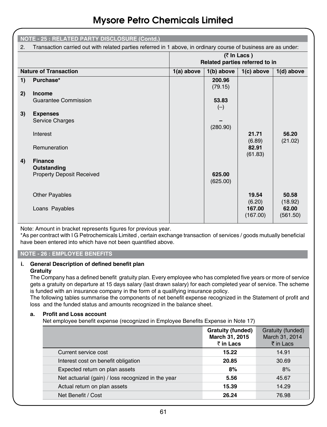|    | <b>NOTE - 25 : RELATED PARTY DISCLOSURE (Contd.)</b>                                                           |                                                         |                   |                              |                              |
|----|----------------------------------------------------------------------------------------------------------------|---------------------------------------------------------|-------------------|------------------------------|------------------------------|
| 2. | Transaction carried out with related parties referred in 1 above, in ordinary course of business are as under: |                                                         |                   |                              |                              |
|    |                                                                                                                | $(7 \text{ ln}$ Lacs)<br>Related parties referred to in |                   |                              |                              |
|    | <b>Nature of Transaction</b>                                                                                   | $1(a)$ above                                            | $1(b)$ above      | $1(c)$ above                 | $1(d)$ above                 |
| 1) | Purchase*                                                                                                      |                                                         | 200.96<br>(79.15) |                              |                              |
| 2) | Income                                                                                                         |                                                         |                   |                              |                              |
|    | Guarantee Commission                                                                                           |                                                         | 53.83<br>$(-)$    |                              |                              |
| 3) | <b>Expenses</b><br>Service Charges                                                                             |                                                         |                   |                              |                              |
|    |                                                                                                                |                                                         | (280.90)          |                              |                              |
|    | Interest                                                                                                       |                                                         |                   | 21.71<br>(6.89)              | 56.20<br>(21.02)             |
|    | Remuneration                                                                                                   |                                                         |                   | 82.91<br>(61.83)             |                              |
| 4) | <b>Finance</b><br>Outstanding                                                                                  |                                                         |                   |                              |                              |
|    | <b>Property Deposit Received</b>                                                                               |                                                         | 625.00            |                              |                              |
|    |                                                                                                                |                                                         | (625.00)          |                              |                              |
|    | <b>Other Payables</b>                                                                                          |                                                         |                   | 19.54                        | 50.58                        |
|    | Loans Payables                                                                                                 |                                                         |                   | (6.20)<br>167.00<br>(167.00) | (18.92)<br>62.00<br>(561.50) |

Note: Amount in bracket represents figures for previous year.

\*As per contract with I G Petrochemicals Limited , certain exchange transaction of services / goods mutually beneficial have been entered into which have not been quantified above.

#### **NOTE - 26 : EMPLOYEE BENEFITS**

#### **i. General Description of defined benefit plan Gratuity**

The Company has a defined benefit gratuity plan. Every employee who has completed five years or more of service gets a gratuity on departure at 15 days salary (last drawn salary) for each completed year of service. The scheme is funded with an insurance company in the form of a qualifying insurance policy.

The following tables summarise the components of net benefit expense recognized in the Statement of profit and loss and the funded status and amounts recognized in the balance sheet.

#### **a. Profit and Loss account**

Net employee benefit expense (recognized in Employee Benefits Expense in Note 17)

|                                                    | Gratuity (funded)<br>March 31, 2015<br>₹ in Lacs | Gratuity (funded)<br>March 31, 2014<br>₹ in Lacs |
|----------------------------------------------------|--------------------------------------------------|--------------------------------------------------|
| Current service cost                               | 15.22                                            | 14.91                                            |
| Interest cost on benefit obligation                | 20.85                                            | 30.69                                            |
| Expected return on plan assets                     | 8%                                               | 8%                                               |
| Net actuarial (gain) / loss recognized in the year | 5.56                                             | 45.67                                            |
| Actual return on plan assets                       | 15.39                                            | 14.29                                            |
| Net Benefit / Cost                                 | 26.24                                            | 76.98                                            |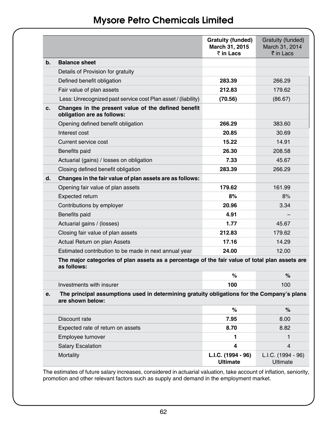|    |                                                                                                                | <b>Gratuity (funded)</b><br>March 31, 2015<br>₹ in Lacs | Gratuity (funded)<br>March 31, 2014<br>₹ in Lacs |
|----|----------------------------------------------------------------------------------------------------------------|---------------------------------------------------------|--------------------------------------------------|
| b. | <b>Balance sheet</b>                                                                                           |                                                         |                                                  |
|    | Details of Provision for gratuity                                                                              |                                                         |                                                  |
|    | Defined benefit obligation                                                                                     | 283.39                                                  | 266.29                                           |
|    | Fair value of plan assets                                                                                      | 212.83                                                  | 179.62                                           |
|    | Less: Unrecognized past service cost Plan asset / (liability)                                                  | (70.56)                                                 | (86.67)                                          |
| c. | Changes in the present value of the defined benefit<br>obligation are as follows:                              |                                                         |                                                  |
|    | Opening defined benefit obligation                                                                             | 266.29                                                  | 383.60                                           |
|    | Interest cost                                                                                                  | 20.85                                                   | 30.69                                            |
|    | Current service cost                                                                                           | 15.22                                                   | 14.91                                            |
|    | Benefits paid                                                                                                  | 26.30                                                   | 208.58                                           |
|    | Actuarial (gains) / losses on obligation                                                                       | 7.33                                                    | 45.67                                            |
|    | Closing defined benefit obligation                                                                             | 283.39                                                  | 266.29                                           |
| d. | Changes in the fair value of plan assets are as follows:                                                       |                                                         |                                                  |
|    | Opening fair value of plan assets                                                                              | 179.62                                                  | 161.99                                           |
|    | <b>Expected return</b>                                                                                         | 8%                                                      | 8%                                               |
|    | Contributions by employer                                                                                      | 20.96                                                   | 3.34                                             |
|    | Benefits paid                                                                                                  | 4.91                                                    |                                                  |
|    | Actuarial gains / (losses)                                                                                     | 1.77                                                    | 45.67                                            |
|    | Closing fair value of plan assets                                                                              | 212.83                                                  | 179.62                                           |
|    | Actual Return on plan Assets                                                                                   | 17.16                                                   | 14.29                                            |
|    | Estimated contribution to be made in next annual year                                                          | 24.00                                                   | 12.00                                            |
|    | The major categories of plan assets as a percentage of the fair value of total plan assets are<br>as follows:  |                                                         |                                                  |
|    |                                                                                                                | %                                                       | $\%$                                             |
|    | Investments with insurer                                                                                       | 100                                                     | 100                                              |
| e. | The principal assumptions used in determining gratuity obligations for the Company's plans<br>are shown below: |                                                         |                                                  |
|    |                                                                                                                | %                                                       | $\%$                                             |
|    | Discount rate                                                                                                  | 7.95                                                    | 8.00                                             |
|    | Expected rate of return on assets                                                                              | 8.70                                                    | 8.82                                             |
|    | Employee turnover                                                                                              | 1                                                       | 1                                                |
|    | <b>Salary Escalation</b>                                                                                       | 4                                                       | 4                                                |
|    | Mortality                                                                                                      | L.I.C. (1994 - 96)<br><b>Ultimate</b>                   | L.I.C. (1994 - 96)<br>Ultimate                   |

The estimates of future salary increases, considered in actuarial valuation, take account of inflation, seniority, promotion and other relevant factors such as supply and demand in the employment market.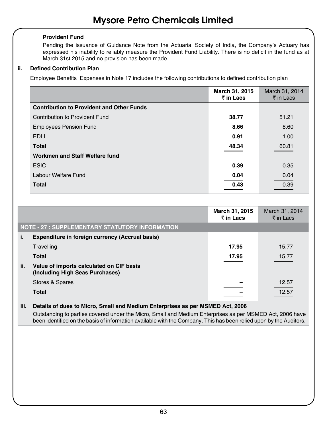#### **Provident Fund**

Pending the issuance of Guidance Note from the Actuarial Society of India, the Company's Actuary has expressed his inability to reliably measure the Provident Fund Liability. There is no deficit in the fund as at March 31st 2015 and no provision has been made.

#### **ii. Defined Contribution Plan**

Employee Benefits Expenses in Note 17 includes the following contributions to defined contribution plan

|                                                  | March 31, 2015<br>₹ in Lacs | March 31, 2014<br>₹ in Lacs |
|--------------------------------------------------|-----------------------------|-----------------------------|
| <b>Contribution to Provident and Other Funds</b> |                             |                             |
| Contribution to Provident Fund                   | 38.77                       | 51.21                       |
| <b>Employees Pension Fund</b>                    | 8.66                        | 8.60                        |
| <b>EDLI</b>                                      | 0.91                        | 1.00                        |
| <b>Total</b>                                     | 48.34                       | 60.81                       |
| Workmen and Staff Welfare fund                   |                             |                             |
| <b>ESIC</b>                                      | 0.39                        | 0.35                        |
| Labour Welfare Fund                              | 0.04                        | 0.04                        |
| <b>Total</b>                                     | 0.43                        | 0.39                        |

|     |                                                                             | March 31, 2015<br>₹ in Lacs | March 31, 2014<br>$\bar{\tau}$ in Lacs |
|-----|-----------------------------------------------------------------------------|-----------------------------|----------------------------------------|
|     | NOTE - 27 : SUPPLEMENTARY STATUTORY INFORMATION                             |                             |                                        |
| i.  | Expenditure in foreign currency (Accrual basis)                             |                             |                                        |
|     | Travelling                                                                  | 17.95                       | 15.77                                  |
|     | <b>Total</b>                                                                | 17.95                       | 15.77                                  |
| ii. | Value of imports calculated on CIF basis<br>(Including High Seas Purchases) |                             |                                        |
|     | Stores & Spares                                                             |                             | 12.57                                  |
|     | <b>Total</b>                                                                |                             | 12.57                                  |

#### **iii. Details of dues to Micro, Small and Medium Enterprises as per MSMED Act, 2006**

Outstanding to parties covered under the Micro, Small and Medium Enterprises as per MSMED Act, 2006 have been identified on the basis of information available with the Company. This has been relied upon by the Auditors.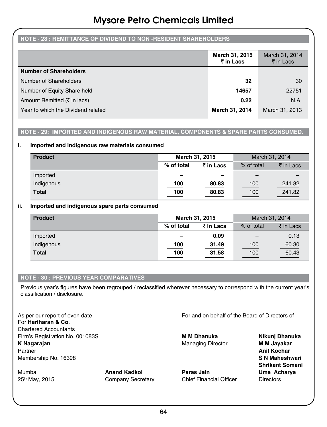#### **NOTE - 28 : REMITTANCE OF DIVIDEND TO NON -RESIDENT SHAREHOLDERS**

|                                        | March 31, 2015<br>₹ in Lacs | March 31, 2014<br>₹ in Lacs |
|----------------------------------------|-----------------------------|-----------------------------|
| <b>Number of Shareholders</b>          |                             |                             |
| Number of Shareholders                 | 32                          | 30                          |
| Number of Equity Share held            | 14657                       | 22751                       |
| Amount Remitted $(\bar{\tau}$ in lacs) | 0.22                        | N.A.                        |
| Year to which the Dividend related     | March 31, 2014              | March 31, 2013              |

#### **NOTE - 29: IMPORTED AND INDIGENOUS RAW MATERIAL, COMPONENTS & SPARE PARTS CONSUMED.**

#### **i. Imported and indigenous raw materials consumed**

| <b>Product</b> | March 31, 2015           |                          | March 31, 2014 |           |  |
|----------------|--------------------------|--------------------------|----------------|-----------|--|
|                | % of total               | ₹ in Lacs                | % of total     | ₹ in Lacs |  |
| Imported       | $\overline{\phantom{0}}$ | $\overline{\phantom{0}}$ |                |           |  |
| Indigenous     | 100                      | 80.83                    | 100            | 241.82    |  |
| <b>Total</b>   | 100                      | 80.83                    | 100            | 241.82    |  |

#### **ii. Imported and indigenous spare parts consumed**

| <b>Product</b> | March 31, 2015           |           | March 31, 2014 |           |
|----------------|--------------------------|-----------|----------------|-----------|
|                | % of total               | ₹ in Lacs | % of total     | ₹ in Lacs |
| Imported       | $\overline{\phantom{0}}$ | 0.09      |                | 0.13      |
| Indigenous     | 100                      | 31.49     | 100            | 60.30     |
| <b>Total</b>   | 100                      | 31.58     | 100            | 60.43     |

#### **NOTE - 30 : PREVIOUS YEAR COMPARATIVES**

Previous year's figures have been regrouped / reclassified wherever necessary to correspond with the current year's classification / disclosure.

For **Hariharan & Co**. Chartered Accountants Firm's Registration No. 001083S **M M Dhanuka Nikunj Dhanuka K Nagarajan** Managing Director **M M Jayakar** Partner **Anil Kochar** Membership No. 16398 **S N Maheshwari**

As per our report of even date For and on behalf of the Board of Directors of

Mumbai **Anand Kadkol Paras Jain Uma Acharya** 25<sup>th</sup> May, 2015 **Company Secretary** Chief Financial Officer Chief Chief Enterprise Company Secretary

 **Shrikant Somani**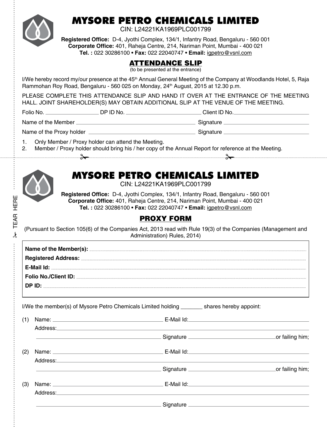

# MYSORE PETRO CHEMICALS LIMITED

CIN: L24221KA1969PLC001799

**Registered Office:** D-4, Jyothi Complex, 134/1, Infantry Road, Bengaluru - 560 001 **Corporate Office:** 401, Raheja Centre, 214, Nariman Point, Mumbai - 400 021 **Tel. :** 022 30286100 • **Fax:** 022 22040747 • **Email:** igpetro@vsnl.com

### ATTENDANCE SLIP

(to be presented at the entrance)

I/We hereby record my/our presence at the 45<sup>th</sup> Annual General Meeting of the Company at Woodlands Hotel, 5, Raja Rammohan Roy Road, Bengaluru - 560 025 on Monday, 24<sup>th</sup> August, 2015 at 12.30 p.m.

PLEASE COMPLETE THIS ATTENDANCE SLIP AND HAND IT OVER AT THE ENTRANCE OF THE MEETING HALL. JOINT SHAREHOLDER(S) MAY OBTAIN ADDITIONAL SLIP AT THE VENUE OF THE MEETING.

\* TEAR HERE TEAR HERE Folio No. \_\_\_\_\_\_\_\_\_\_\_\_\_\_\_\_\_\_\_\_\_\_\_\_\_DP ID No. \_\_\_\_\_\_\_\_\_\_\_\_\_\_\_\_\_\_\_\_\_\_\_\_\_\_\_\_\_\_Client ID No. \_\_\_\_

Name of the Member Signature Signature Signature

Name of the Proxy holder  $\Box$  Signature  $\Box$  Signature  $\Box$ 

- 1. Only Member / Proxy holder can attend the Meeting.
- 2. Member / Proxy holder should bring his / her copy of the Annual Report for reference at the Meeting.

#### 

## MYSORE PETRO CHEMICALS LIMITED

CIN: L24221KA1969PLC001799

**Registered Office:** D-4, Jyothi Complex, 134/1, Infantry Road, Bengaluru - 560 001 **Corporate Office:** 401, Raheja Centre, 214, Nariman Point, Mumbai - 400 021 **Tel. :** 022 30286100 • **Fax:** 022 22040747 • **Email:** igpetro@vsnl.com

### PROXY FORM

(Pursuant to Section 105(6) of the Companies Act, 2013 read with Rule 19(3) of the Companies (Management and Administration) Rules, 2014)

| ∙חו P יה |
|----------|

I/We the member(s) of Mysore Petro Chemicals Limited holding shares hereby appoint:

| (1) |                                                                                                                                                                                                                                |                                                                                                                                                                                                                                                                                                                                        | E-Mail Id: <b>E-Mail Id: E-Mail Id: E-Mail Id: E-Mail Id: E-Mail Id: E-Mail Id: E-Mail Id: E-Mail Id: E-Mail Id: E-Mail Id: E-Mail Id: E-Mail Id: E-Mail Id: E-Mail Id: E-Mail Id: E-Mail Id: E-</b> |
|-----|--------------------------------------------------------------------------------------------------------------------------------------------------------------------------------------------------------------------------------|----------------------------------------------------------------------------------------------------------------------------------------------------------------------------------------------------------------------------------------------------------------------------------------------------------------------------------------|------------------------------------------------------------------------------------------------------------------------------------------------------------------------------------------------------|
|     |                                                                                                                                                                                                                                | Address: Andreas Address Address Andreas Address Address Address Address Address Address Address Address Address Address Address Address Address Address Address Address Address Address Address Address Address Address Addre                                                                                                         | or failing him;                                                                                                                                                                                      |
| (2) |                                                                                                                                                                                                                                | E-Mail Id: The Communication of the Communication of the Communication of the Communication of the Communication of the Communication of the Communication of the Communication of the Communication of the Communication of t                                                                                                         |                                                                                                                                                                                                      |
|     | Address: Andreas Address Address and Address and Address and Address and Address and Address Address and Address Address and Address and Address and Address and Address and Address and Address and Address and Address and A |                                                                                                                                                                                                                                                                                                                                        | or failing him;                                                                                                                                                                                      |
| (3) | Name: Name: Name: Name: Name: Name: Name: Name: Name: Name: Name: Name: Name: Name: Name: Name: Name: Name: Name: Name: Name: Name: Name: Name: Name: Name: Name: Name: Name: Name: Name: Name: Name: Name: Name: Name: Name:  | E-Mail Id: The Contract of the Contract of the Contract of the Contract of the Contract of the Contract of the Contract of the Contract of the Contract of the Contract of the Contract of the Contract of the Contract of the<br>Address: Address: Address: Address: Address: Address: Address: Address: Address: Address: Address: A |                                                                                                                                                                                                      |
|     |                                                                                                                                                                                                                                |                                                                                                                                                                                                                                                                                                                                        |                                                                                                                                                                                                      |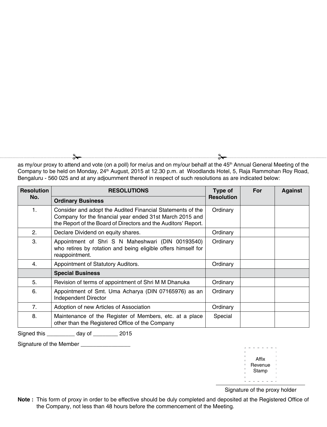$\rightarrow$ 

as my/our proxy to attend and vote (on a poll) for me/us and on my/our behalf at the 45<sup>th</sup> Annual General Meeting of the Company to be held on Monday, 24<sup>th</sup> August, 2015 at 12.30 p.m. at Woodlands Hotel, 5, Raja Rammohan Roy Road, Bengaluru - 560 025 and at any adjournment thereof in respect of such resolutions as are indicated below:

| <b>Resolution</b> | <b>RESOLUTIONS</b>                                                                                                                                                                       | Type of           | For | <b>Against</b> |
|-------------------|------------------------------------------------------------------------------------------------------------------------------------------------------------------------------------------|-------------------|-----|----------------|
| No.               | <b>Ordinary Business</b>                                                                                                                                                                 | <b>Resolution</b> |     |                |
| $\mathbf{1}$ .    | Consider and adopt the Audited Financial Statements of the<br>Company for the financial year ended 31st March 2015 and<br>the Report of the Board of Directors and the Auditors' Report. | Ordinary          |     |                |
| 2.                | Declare Dividend on equity shares.                                                                                                                                                       | Ordinary          |     |                |
| 3.                | Appointment of Shri S N Maheshwari (DIN 00193540)<br>who retires by rotation and being eligible offers himself for<br>reappointment.                                                     | Ordinary          |     |                |
| 4.                | Appointment of Statutory Auditors.                                                                                                                                                       | Ordinary          |     |                |
|                   | <b>Special Business</b>                                                                                                                                                                  |                   |     |                |
| 5.                | Revision of terms of appointment of Shri M M Dhanuka                                                                                                                                     | Ordinary          |     |                |
| 6.                | Appointment of Smt. Uma Acharya (DIN 07165976) as an<br>Independent Director                                                                                                             | Ordinary          |     |                |
| 7 <sub>1</sub>    | Adoption of new Articles of Association                                                                                                                                                  | Ordinary          |     |                |
| 8.                | Maintenance of the Register of Members, etc. at a place<br>other than the Registered Office of the Company                                                                               | Special           |     |                |

Signed this \_\_\_\_\_\_\_\_\_ day of \_\_\_\_\_\_\_\_ 2015

Signature of the Member

|  |  | Affix   |  |  |
|--|--|---------|--|--|
|  |  | Revenue |  |  |
|  |  | Stamp   |  |  |
|  |  |         |  |  |
|  |  |         |  |  |
|  |  |         |  |  |

Signature of the proxy holder

**Note :** This form of proxy in order to be effective should be duly completed and deposited at the Registered Office of the Company, not less than 48 hours before the commencement of the Meeting.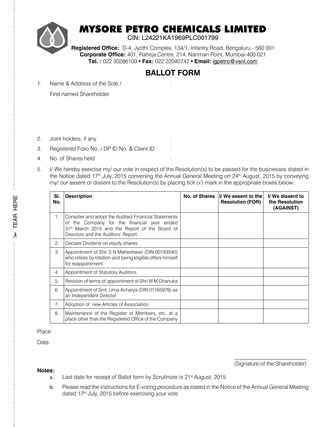

## MYSORE PETRO CHEMICALS LIMITED

CIN: L24221KA1969PLC001799

**Registered Office:** D-4, Jyothi Complex, 134/1, Infantry Road, Bengaluru - 560 001 **Corporate Office:** 401, Raheja Centre, 214, Nariman Point, Mumbai-400 021 **Tel. :** 022 30286100 • **Fax:** 022 22040747 • **Email:** igpetro@vsnl.com

### **BALLOT FORM**

1. Name & Address of the Sole / :

First named Shareholder

- 2. Joint holders, if any
- 3. Registered Folio No. / DP ID No. & Client ID :
- 4. No. of Shares held
- 5. I/ We hereby exercise my/ our vote in respect of the Resolution(s) to be passed for the businesses stated in the Notice dated 17<sup>th</sup> July, 2015 convening the Annual General Meeting on 24<sup>th</sup> August, 2015 by conveying my/ our assent or dissent to the Resolution(s) by placing tick (√) mark in the appropriate boxes below:

| SI.<br>No.     | <b>Description</b>                                                                                                                                                                                      | No. of Shares | I/We assent to the<br><b>Resolution (FOR)</b> | I/We dissent to<br>the Resolution<br>(AGAINST) |
|----------------|---------------------------------------------------------------------------------------------------------------------------------------------------------------------------------------------------------|---------------|-----------------------------------------------|------------------------------------------------|
| $\mathbf{1}$ . | Consider and adopt the Audited Financial Statements<br>of the Company for the financial year ended<br>31 <sup>st</sup> March 2015 and the Report of the Board of<br>Directors and the Auditors' Report. |               |                                               |                                                |
| 2.             | Declare Dividend on equity shares.                                                                                                                                                                      |               |                                               |                                                |
| 3.             | Appointment of Shri S N Maheshwari (DIN 00193540)<br>who retires by rotation and being eligible offers himself<br>for reappointment.                                                                    |               |                                               |                                                |
| 4.             | Appointment of Statutory Auditors.                                                                                                                                                                      |               |                                               |                                                |
| 5.             | Revision of terms of appointment of Shri M M Dhanuka                                                                                                                                                    |               |                                               |                                                |
| 6.             | Appointment of Smt. Uma Acharya (DIN 07165976) as<br>an Independent Director                                                                                                                            |               |                                               |                                                |
| 7 <sub>1</sub> | Adoption of new Articles of Association                                                                                                                                                                 |               |                                               |                                                |
| 8.             | Maintenance of the Register of Members, etc. at a<br>place other than the Registered Office of the Company                                                                                              |               |                                               |                                                |

#### Place:

Date:

**Notes:**

#### (Signature of the Shareholder)

- a. Last date for receipt of Ballot form by Scrutinizer is 21<sup>st</sup> August, 2015.
- b. Please read the instructions for E-voting procedure as stated in the Notice of the Annual General Meeting dated 17<sup>th</sup> July, 2015 before exercising your vote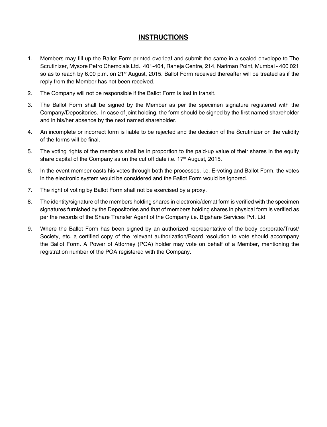### **INSTRUCTIONS**

- 1. Members may fill up the Ballot Form printed overleaf and submit the same in a sealed envelope to The Scrutinizer, Mysore Petro Chemcials Ltd., 401-404, Raheja Centre, 214, Nariman Point, Mumbai - 400 021 so as to reach by 6.00 p.m. on 21<sup>st</sup> August, 2015. Ballot Form received thereafter will be treated as if the reply from the Member has not been received.
- 2. The Company will not be responsible if the Ballot Form is lost in transit.
- 3. The Ballot Form shall be signed by the Member as per the specimen signature registered with the Company/Depositories. In case of joint holding, the form should be signed by the first named shareholder and in his/her absence by the next named shareholder.
- 4. An incomplete or incorrect form is liable to be rejected and the decision of the Scrutinizer on the validity of the forms will be final.
- 5. The voting rights of the members shall be in proportion to the paid-up value of their shares in the equity share capital of the Company as on the cut off date i.e. 17<sup>th</sup> August, 2015.
- 6. In the event member casts his votes through both the processes, i.e. E-voting and Ballot Form, the votes in the electronic system would be considered and the Ballot Form would be ignored.
- 7. The right of voting by Ballot Form shall not be exercised by a proxy.
- 8. The identity/signature of the members holding shares in electronic/demat form is verified with the specimen signatures furnished by the Depositories and that of members holding shares in physical form is verified as per the records of the Share Transfer Agent of the Company i.e. Bigshare Services Pvt. Ltd.
- 9. Where the Ballot Form has been signed by an authorized representative of the body corporate/Trust/ Society, etc. a certified copy of the relevant authorization/Board resolution to vote should accompany the Ballot Form. A Power of Attorney (POA) holder may vote on behalf of a Member, mentioning the registration number of the POA registered with the Company.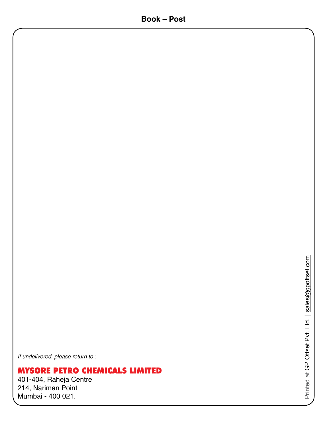*If undelivered, please return to :*

## MYSORE PETRO CHEMICALS LIMITED

401-404, Raheja Centre 214, Nariman Point Mumbai - 400 021.